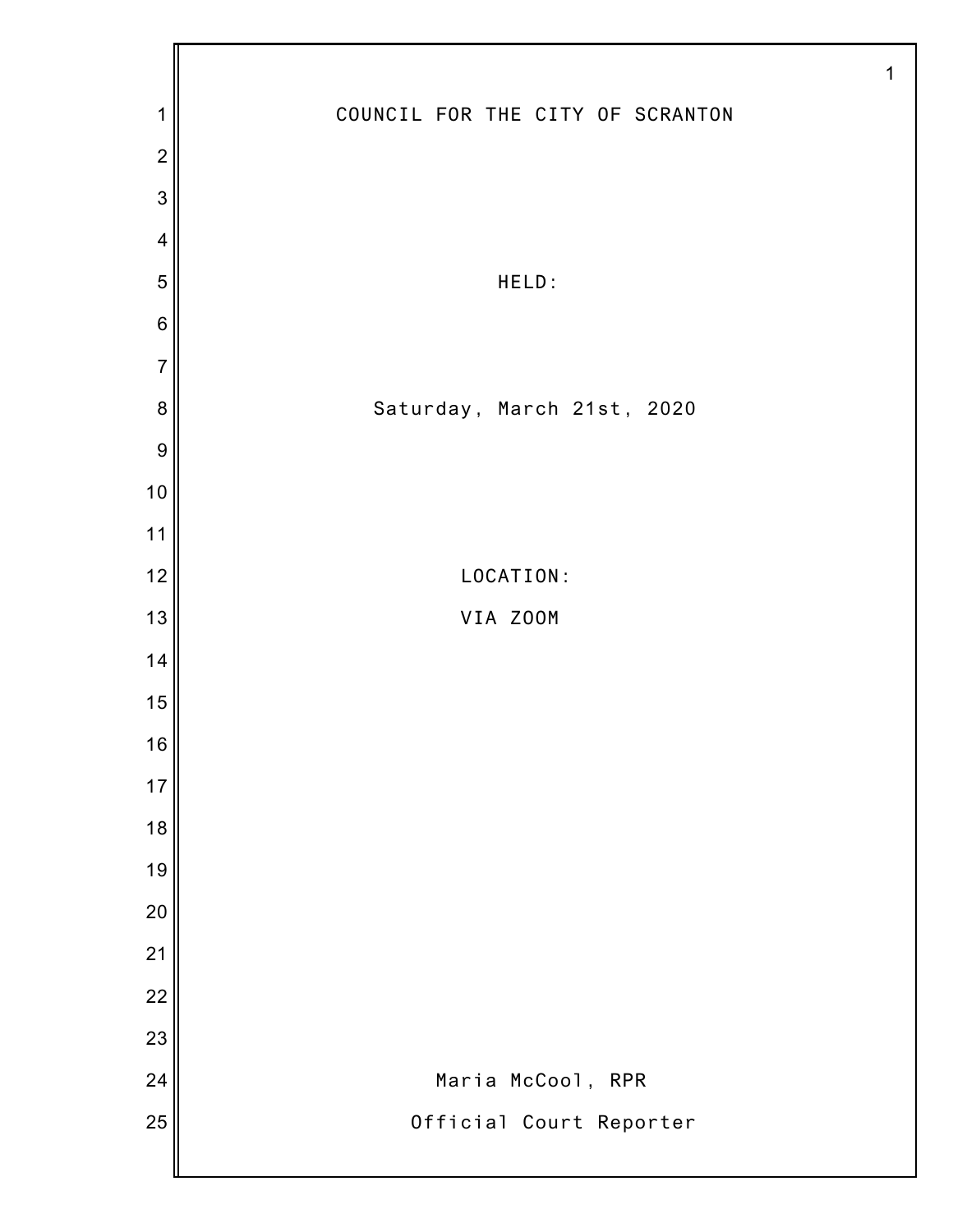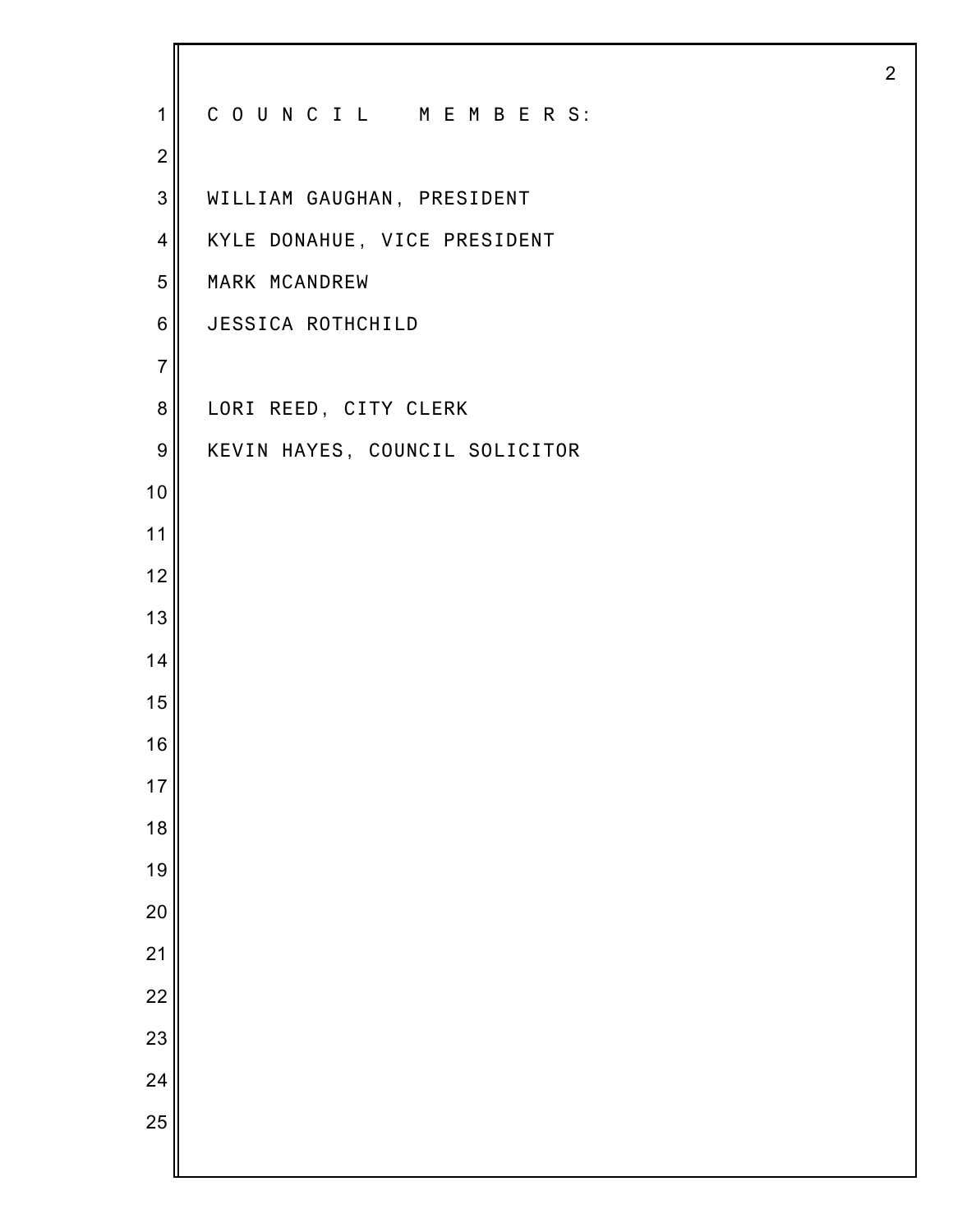| $\mathbf 1$      | COUNCIL MEMBERS:               |
|------------------|--------------------------------|
| $\overline{2}$   |                                |
| 3                | WILLIAM GAUGHAN, PRESIDENT     |
| $\overline{4}$   | KYLE DONAHUE, VICE PRESIDENT   |
| 5                | MARK MCANDREW                  |
| $\,6$            | JESSICA ROTHCHILD              |
| $\overline{7}$   |                                |
| 8                | LORI REED, CITY CLERK          |
| $\boldsymbol{9}$ | KEVIN HAYES, COUNCIL SOLICITOR |
| 10               |                                |
| 11               |                                |
| 12               |                                |
| 13               |                                |
| 14               |                                |
| 15               |                                |
| 16               |                                |
| 17               |                                |
| 18               |                                |
| 19               |                                |
| 20               |                                |
| 21               |                                |
| 22               |                                |
| 23               |                                |
| 24               |                                |
| 25               |                                |
|                  |                                |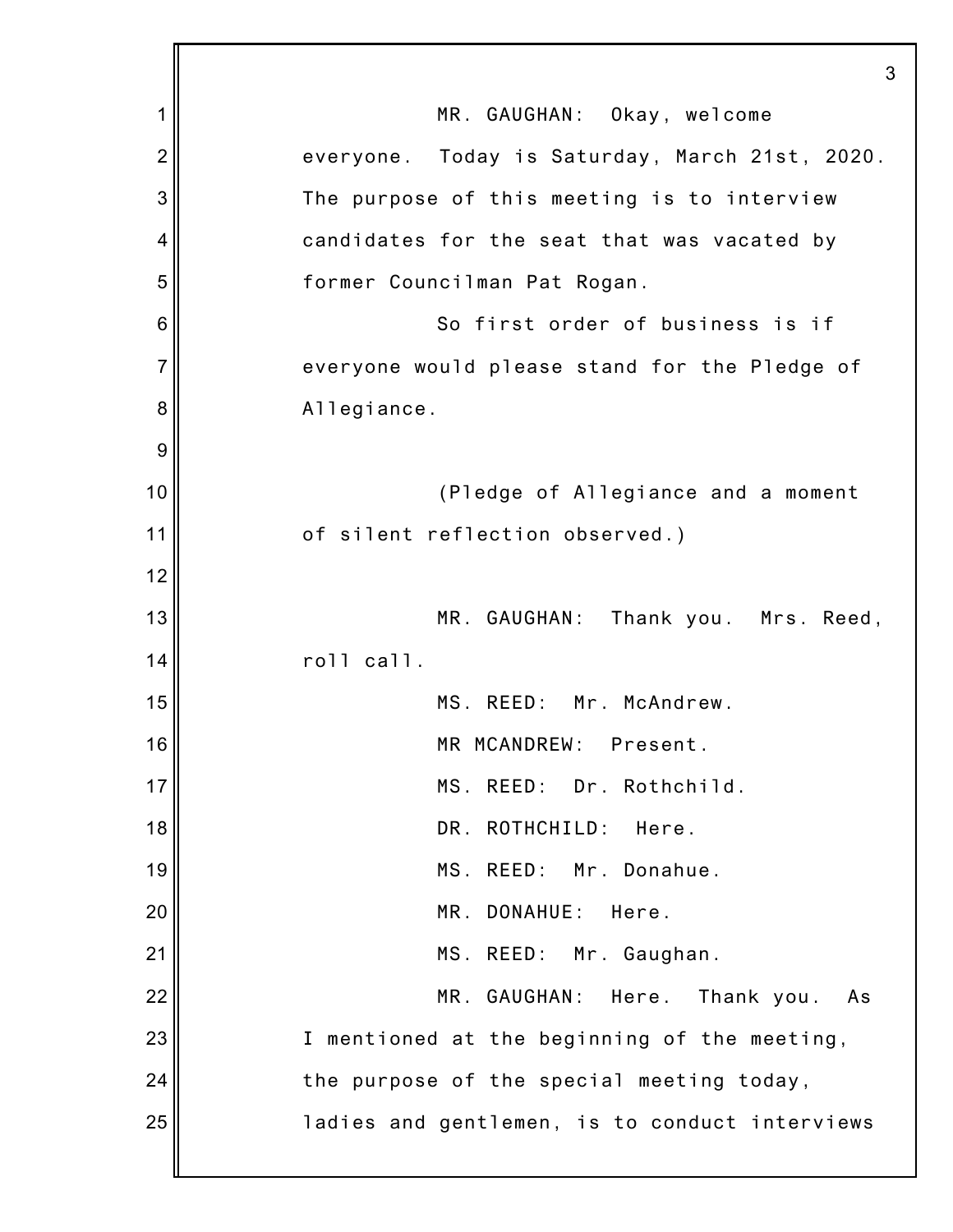|                | 3                                              |
|----------------|------------------------------------------------|
| 1              | MR. GAUGHAN: Okay, welcome                     |
| $\overline{2}$ | everyone. Today is Saturday, March 21st, 2020. |
| 3              | The purpose of this meeting is to interview    |
| 4              | candidates for the seat that was vacated by    |
| 5              | former Councilman Pat Rogan.                   |
| 6              | So first order of business is if               |
| $\overline{7}$ | everyone would please stand for the Pledge of  |
| 8              | Allegiance.                                    |
| 9              |                                                |
| 10             | (Pledge of Allegiance and a moment             |
| 11             | of silent reflection observed.)                |
| 12             |                                                |
| 13             | MR. GAUGHAN: Thank you. Mrs. Reed,             |
| 14             | roll call.                                     |
| 15             | MS. REED: Mr. McAndrew.                        |
| 16             | MR MCANDREW: Present.                          |
| 17             | MS. REED:<br>Dr. Rothchild.                    |
| 18             | ROTHCHILD:<br>DR.<br>Here.                     |
| 19             | MS. REED:<br>Mr. Donahue.                      |
| 20             | MR.<br>DONAHUE:<br>Here.                       |
| 21             | MS. REED: Mr. Gaughan.                         |
| 22             | MR. GAUGHAN:<br>Here.<br>Thank you.<br>As      |
| 23             | I mentioned at the beginning of the meeting,   |
| 24             | the purpose of the special meeting today,      |
| 25             | ladies and gentlemen, is to conduct interviews |
|                |                                                |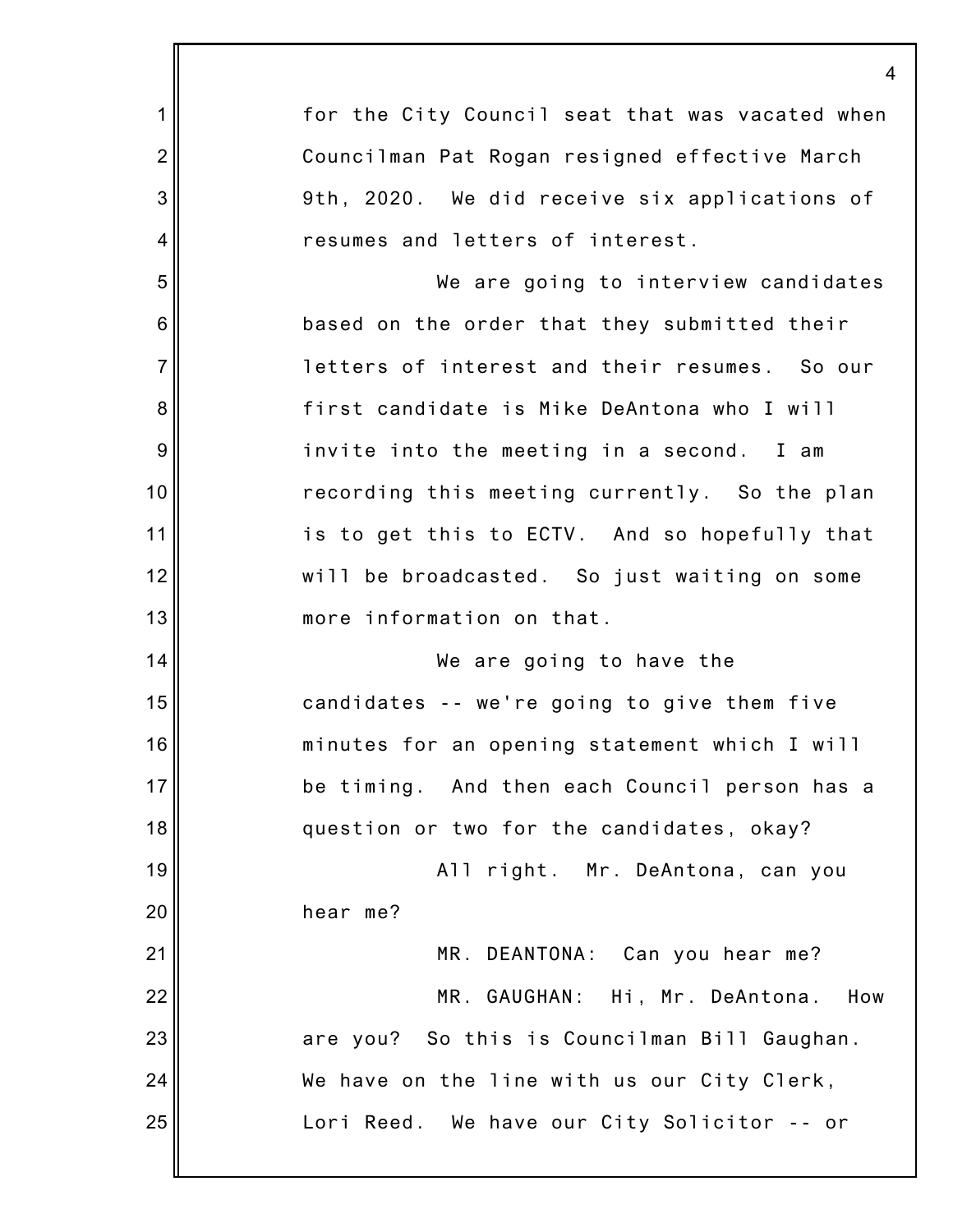|                  | $\overline{4}$                                  |
|------------------|-------------------------------------------------|
| 1                | for the City Council seat that was vacated when |
| $\overline{2}$   | Councilman Pat Rogan resigned effective March   |
| 3                | 9th, 2020. We did receive six applications of   |
| $\overline{4}$   | resumes and letters of interest.                |
| 5                | We are going to interview candidates            |
| $6\phantom{1}6$  | based on the order that they submitted their    |
| $\overline{7}$   | letters of interest and their resumes. So our   |
| 8                | first candidate is Mike DeAntona who I will     |
| $\boldsymbol{9}$ | invite into the meeting in a second. I am       |
| 10               | recording this meeting currently. So the plan   |
| 11               | is to get this to ECTV. And so hopefully that   |
| 12               | will be broadcasted. So just waiting on some    |
| 13               | more information on that.                       |
| 14               | We are going to have the                        |
| 15               | candidates -- we're going to give them five     |
| 16               | minutes for an opening statement which I will   |
| 17               | be timing. And then each Council person has a   |
| 18               | question or two for the candidates, okay?       |
| 19               | All right. Mr. DeAntona, can you                |
| 20               | hear me?                                        |
| 21               | MR. DEANTONA: Can you hear me?                  |
| 22               | MR. GAUGHAN: Hi, Mr. DeAntona.<br>How           |
| 23               | are you? So this is Councilman Bill Gaughan.    |
| 24               | We have on the line with us our City Clerk,     |
| 25               | Lori Reed. We have our City Solicitor -- or     |
|                  |                                                 |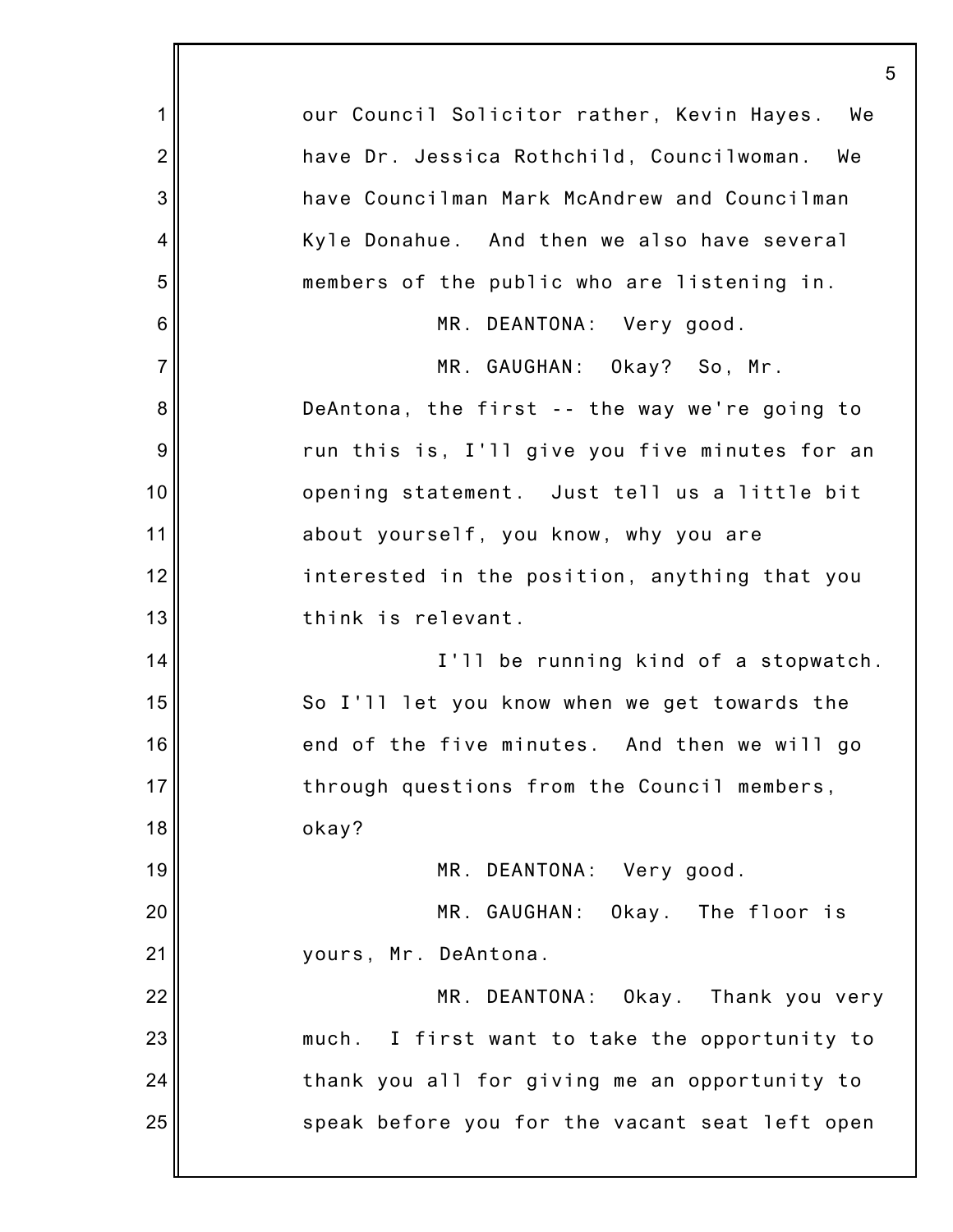|                 | 5                                                |
|-----------------|--------------------------------------------------|
| 1               | our Council Solicitor rather, Kevin Hayes.<br>We |
| $\overline{2}$  | have Dr. Jessica Rothchild, Councilwoman. We     |
| 3               | have Councilman Mark McAndrew and Councilman     |
| 4               | Kyle Donahue. And then we also have several      |
| 5               | members of the public who are listening in.      |
| $6\phantom{1}6$ | MR. DEANTONA: Very good.                         |
| $\overline{7}$  | MR. GAUGHAN: Okay? So, Mr.                       |
| 8               | DeAntona, the first -- the way we're going to    |
| 9               | run this is, I'll give you five minutes for an   |
| 10              | opening statement. Just tell us a little bit     |
| 11              | about yourself, you know, why you are            |
| 12              | interested in the position, anything that you    |
| 13              | think is relevant.                               |
| 14              | I'll be running kind of a stopwatch.             |
| 15              | So I'll let you know when we get towards the     |
| 16              | end of the five minutes. And then we will go     |
| 17              | through questions from the Council members,      |
| 18              | okay?                                            |
| 19              | MR. DEANTONA: Very good.                         |
| 20              | MR. GAUGHAN: Okay. The floor is                  |
| 21              | yours, Mr. DeAntona.                             |
| 22              | MR. DEANTONA: Okay. Thank you very               |
| 23              | much. I first want to take the opportunity to    |
| 24              | thank you all for giving me an opportunity to    |
| 25              | speak before you for the vacant seat left open   |
|                 |                                                  |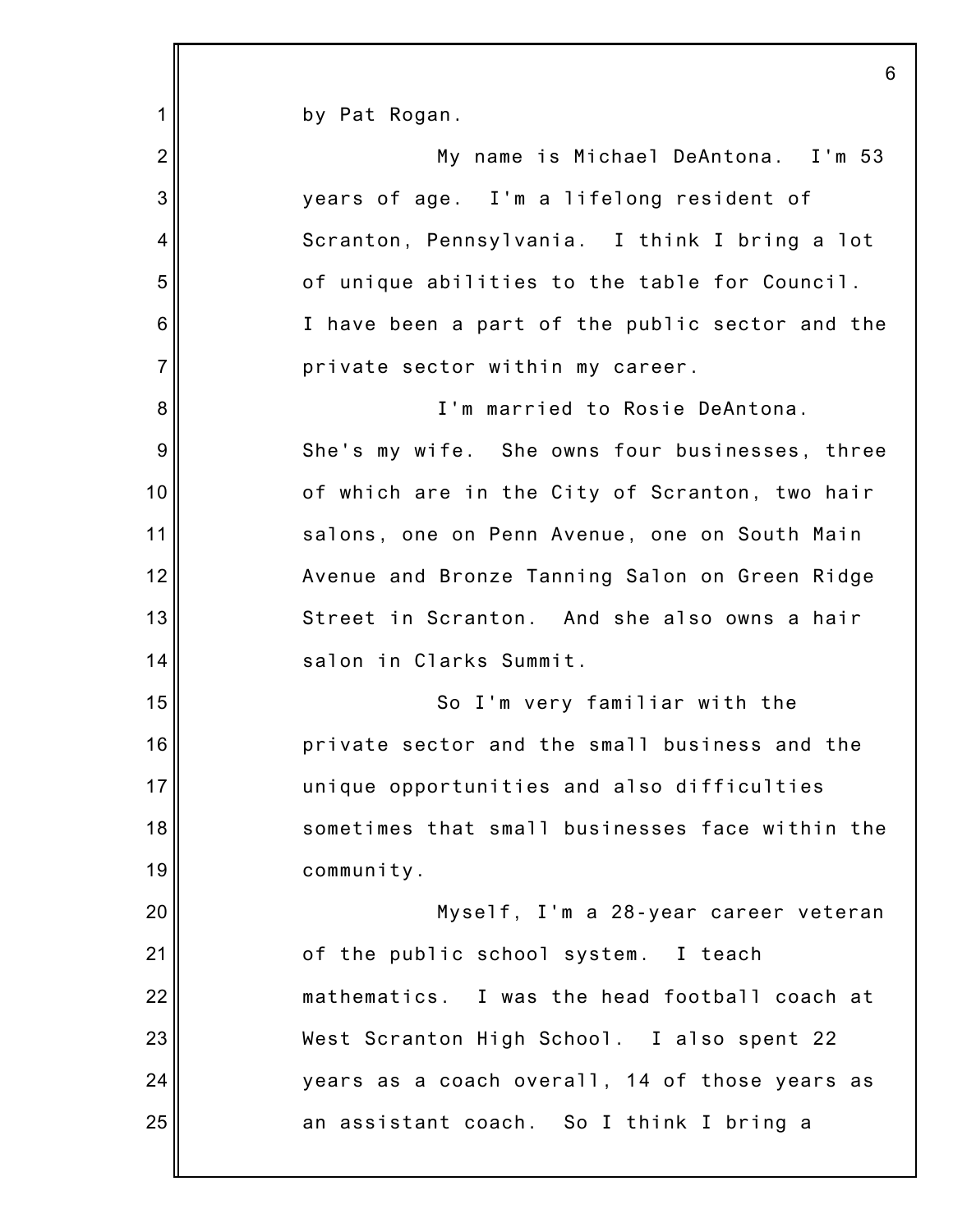| $\mathbf 1$    | by Pat Rogan.                                   |
|----------------|-------------------------------------------------|
| $\overline{2}$ | My name is Michael DeAntona. I'm 53             |
| 3              | years of age. I'm a lifelong resident of        |
| 4              | Scranton, Pennsylvania. I think I bring a lot   |
| 5              | of unique abilities to the table for Council.   |
| $\,6$          | I have been a part of the public sector and the |
| $\overline{7}$ | private sector within my career.                |
| 8              | I'm married to Rosie DeAntona.                  |
| 9              | She's my wife. She owns four businesses, three  |
| 10             | of which are in the City of Scranton, two hair  |
| 11             | salons, one on Penn Avenue, one on South Main   |
| 12             | Avenue and Bronze Tanning Salon on Green Ridge  |
| 13             | Street in Scranton. And she also owns a hair    |
| 14             | salon in Clarks Summit.                         |
| 15             | So I'm very familiar with the                   |
| 16             | private sector and the small business and the   |
| 17             | unique opportunities and also difficulties      |
| 18             | sometimes that small businesses face within the |
| 19             | community.                                      |
| 20             | Myself, I'm a 28-year career veteran            |
| 21             | of the public school system. I teach            |
| 22             | mathematics. I was the head football coach at   |
| 23             | West Scranton High School. I also spent 22      |
| 24             | years as a coach overall, 14 of those years as  |
| 25             | an assistant coach. So I think I bring a        |
|                |                                                 |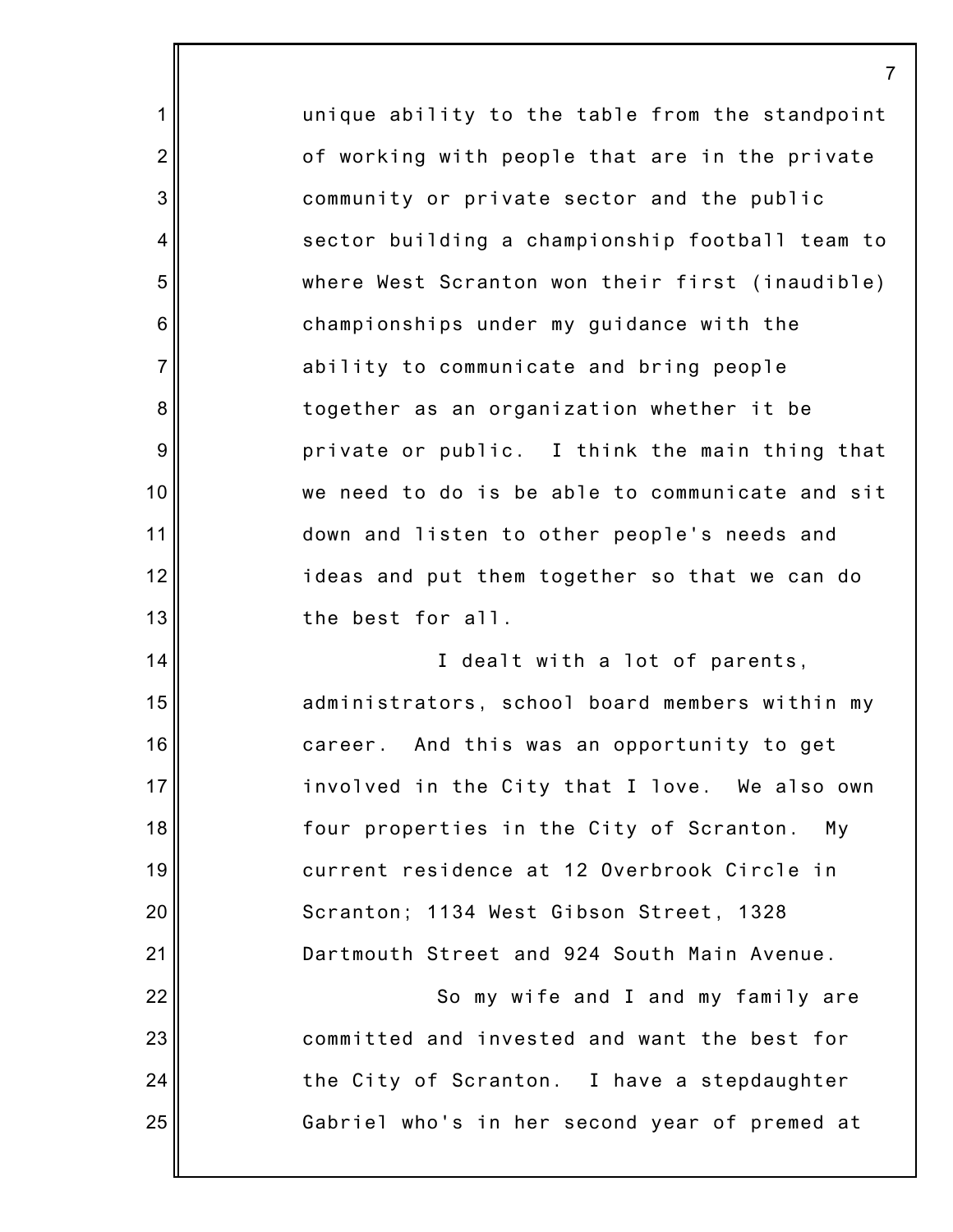unique ability to the table from the standpoint of working with people that are in the private community or private sector and the public sector building a championship football team to where West Scranton won their first (inaudible) championships under my guidance with the ability to communicate and bring people together as an organization whether it be private or public. I think the main thing that we need to do is be able to communicate and sit down and listen to other people's needs and ideas and put them together so that we can do the best for all. I dealt with a lot of parents, administrators, school board members within my career. And this was an opportunity to get involved in the City that I love. We also own four properties in the City of Scranton. My current residence at 12 Overbrook Circle in Scranton; 1134 West Gibson Street, 1328 Dartmouth Street and 924 South Main Avenue. So my wife and I and my family are committed and invested and want the best for

the City of Scranton. I have a stepdaughter

Gabriel who's in her second year of premed at

25

1

2

3

4

5

6

7

8

9

10

11

12

13

14

15

16

17

18

19

20

21

22

23

24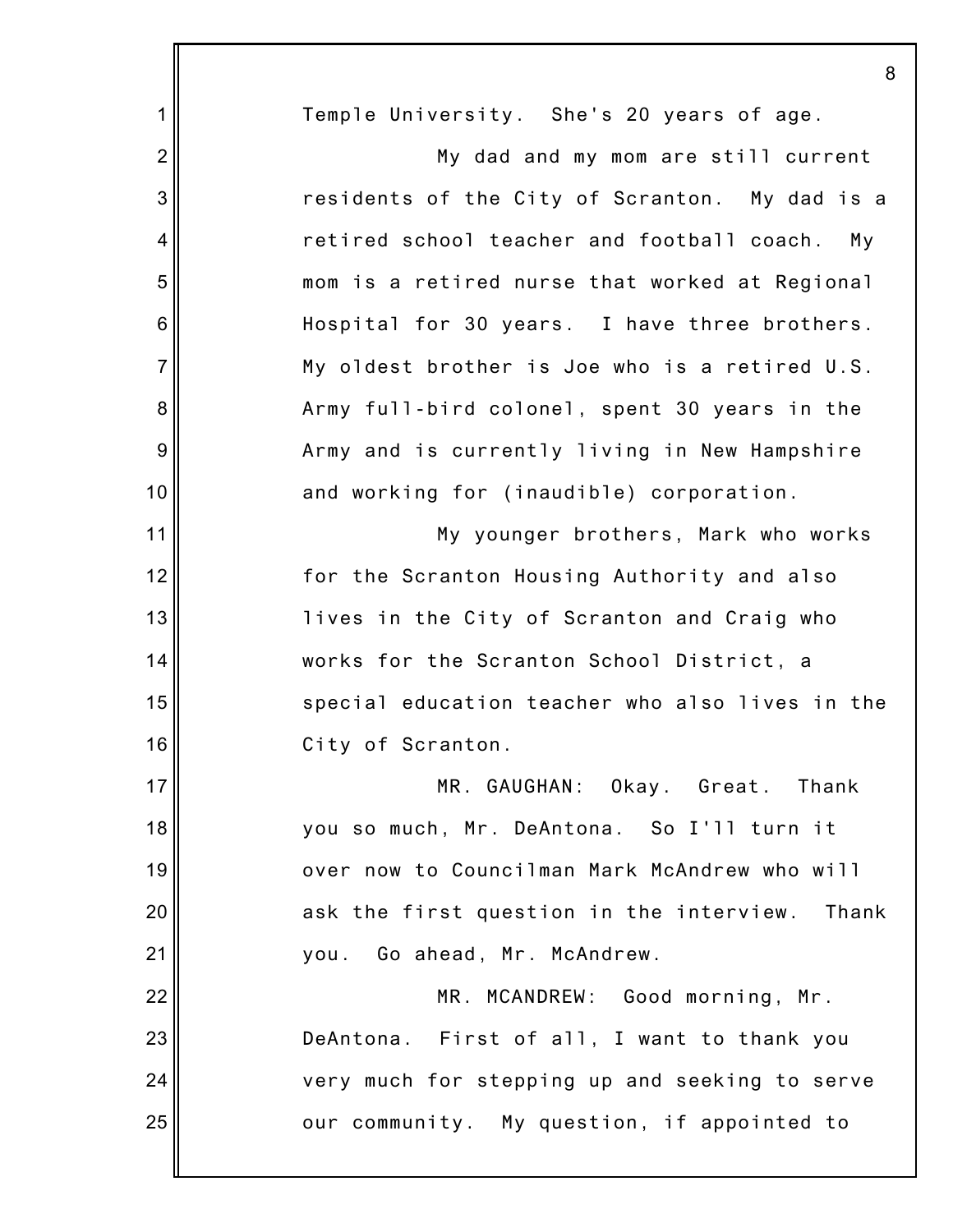|                 | 8                                                 |
|-----------------|---------------------------------------------------|
| 1               | Temple University. She's 20 years of age.         |
| $\overline{2}$  | My dad and my mom are still current               |
| 3               | residents of the City of Scranton. My dad is a    |
| 4               | retired school teacher and football coach.<br>My  |
| 5               | mom is a retired nurse that worked at Regional    |
| $6\phantom{1}6$ | Hospital for 30 years. I have three brothers.     |
| $\overline{7}$  | My oldest brother is Joe who is a retired U.S.    |
| 8               | Army full-bird colonel, spent 30 years in the     |
| 9               | Army and is currently living in New Hampshire     |
| 10              | and working for (inaudible) corporation.          |
| 11              | My younger brothers, Mark who works               |
| 12              | for the Scranton Housing Authority and also       |
| 13              | lives in the City of Scranton and Craig who       |
| 14              | works for the Scranton School District, a         |
| 15              | special education teacher who also lives in the   |
| 16              | City of Scranton.                                 |
| 17              | MR. GAUGHAN: Okay. Great. Thank                   |
| 18              | you so much, Mr. DeAntona. So I'll turn it        |
| 19              | over now to Councilman Mark McAndrew who will     |
| 20              | ask the first question in the interview.<br>Thank |
| 21              | you. Go ahead, Mr. McAndrew.                      |
| 22              | MR. MCANDREW: Good morning, Mr.                   |
| 23              | DeAntona. First of all, I want to thank you       |
| 24              | very much for stepping up and seeking to serve    |
| 25              | our community. My question, if appointed to       |
|                 |                                                   |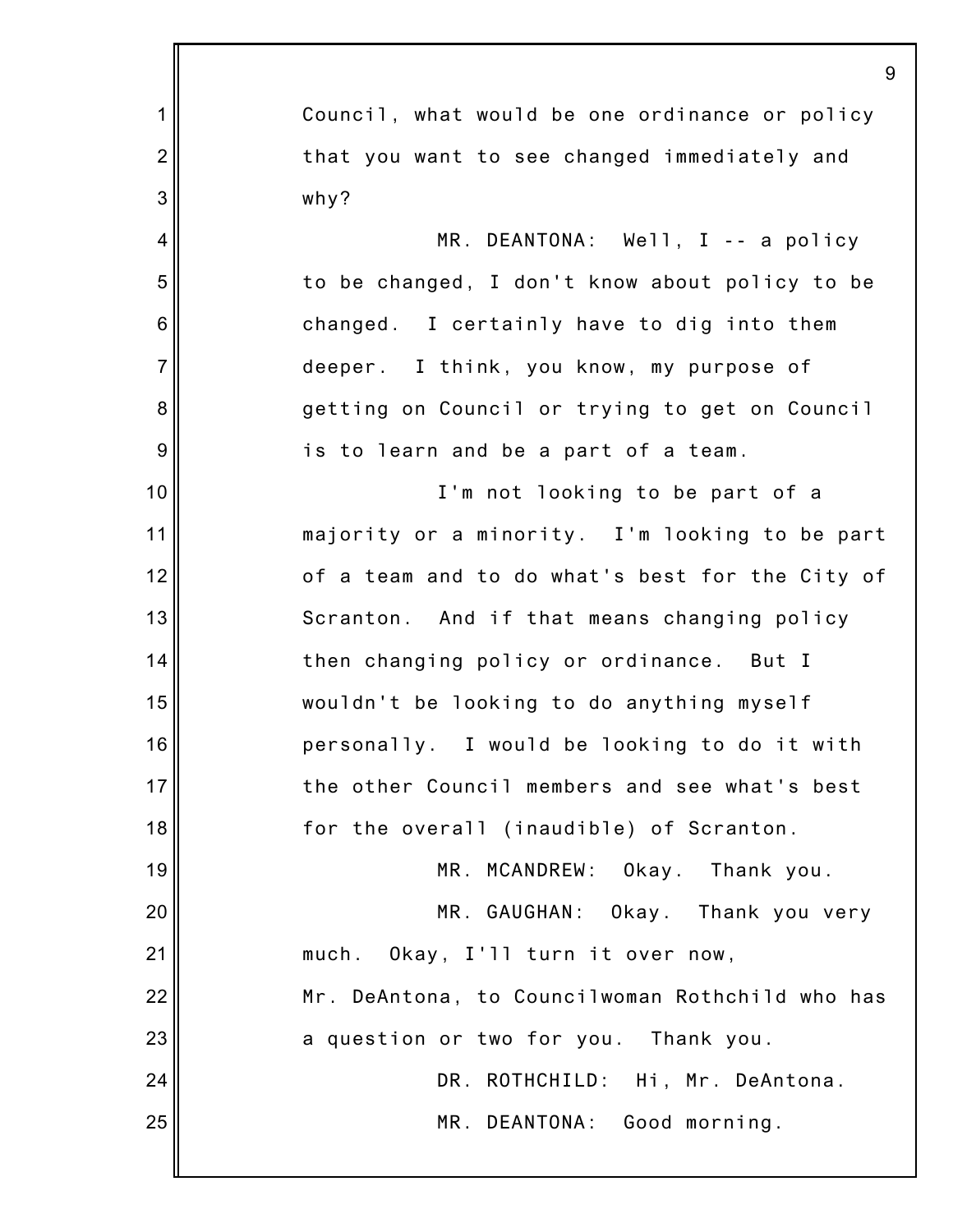|                | 9                                               |
|----------------|-------------------------------------------------|
| $\mathbf 1$    | Council, what would be one ordinance or policy  |
| $\overline{2}$ | that you want to see changed immediately and    |
| 3              | why?                                            |
| 4              | MR. DEANTONA: Well, I -- a policy               |
| 5              | to be changed, I don't know about policy to be  |
| $\,6$          | changed. I certainly have to dig into them      |
| $\overline{7}$ | deeper. I think, you know, my purpose of        |
| 8              | getting on Council or trying to get on Council  |
| $9\,$          | is to learn and be a part of a team.            |
| 10             | I'm not looking to be part of a                 |
| 11             | majority or a minority. I'm looking to be part  |
| 12             | of a team and to do what's best for the City of |
| 13             | Scranton. And if that means changing policy     |
| 14             | then changing policy or ordinance. But I        |
| 15             | wouldn't be looking to do anything myself       |
| 16             | personally. I would be looking to do it with    |
| 17             | the other Council members and see what's best   |
| 18             | for the overall (inaudible) of Scranton.        |
| 19             | MR. MCANDREW: Okay. Thank you.                  |
| 20             | MR. GAUGHAN: Okay. Thank you very               |
| 21             | much. Okay, I'll turn it over now,              |
| 22             | Mr. DeAntona, to Councilwoman Rothchild who has |
| 23             | a question or two for you. Thank you.           |
| 24             | DR. ROTHCHILD: Hi, Mr. DeAntona.                |
| 25             | MR. DEANTONA: Good morning.                     |
|                |                                                 |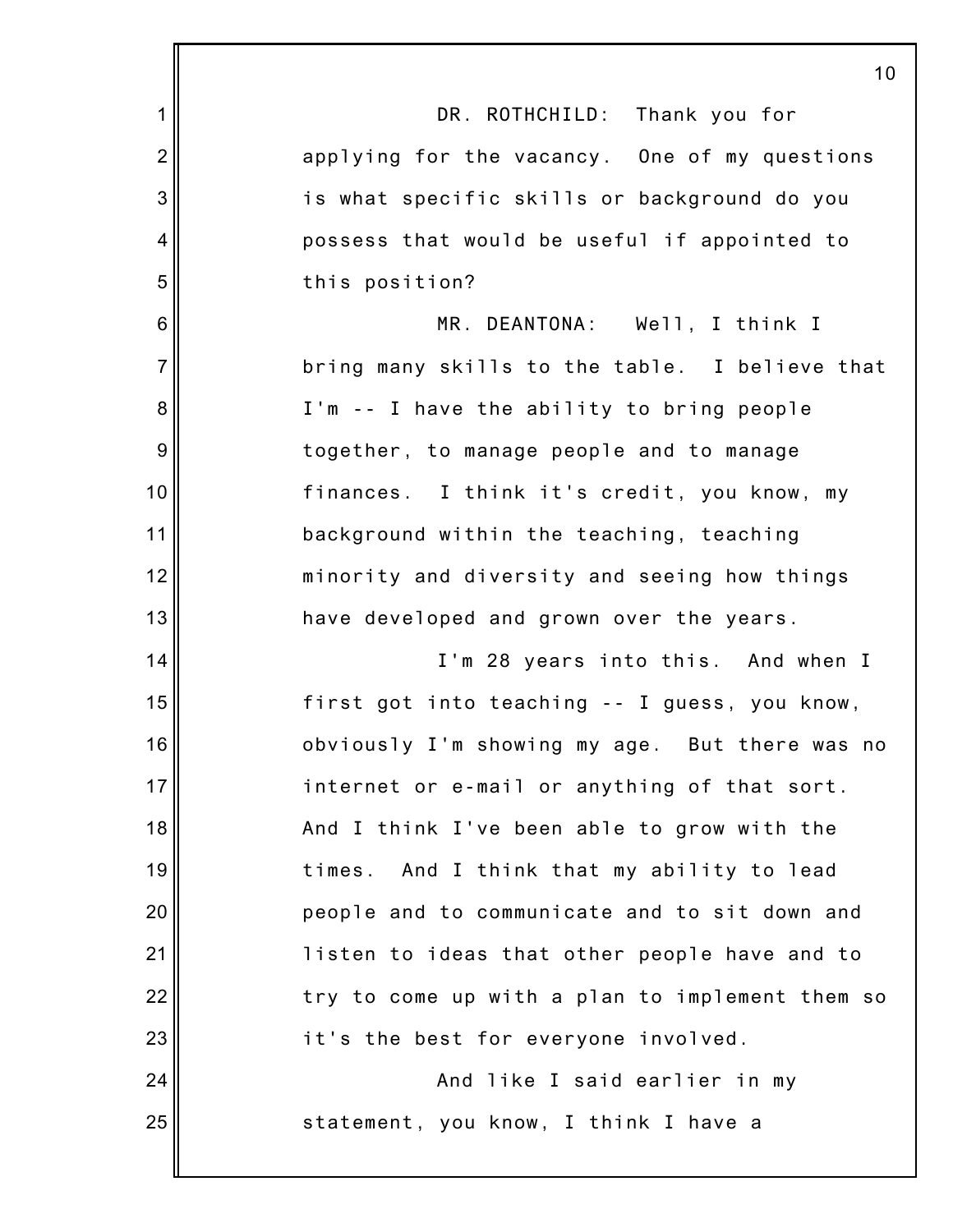|                | 10                                              |
|----------------|-------------------------------------------------|
| $\mathbf 1$    | DR. ROTHCHILD: Thank you for                    |
| $\overline{2}$ | applying for the vacancy. One of my questions   |
| 3              | is what specific skills or background do you    |
| 4              | possess that would be useful if appointed to    |
| 5              | this position?                                  |
| $\,6$          | MR. DEANTONA: Well, I think I                   |
| $\overline{7}$ | bring many skills to the table. I believe that  |
| 8              | I'm -- I have the ability to bring people       |
| $9\,$          | together, to manage people and to manage        |
| 10             | finances. I think it's credit, you know, my     |
| 11             | background within the teaching, teaching        |
| 12             | minority and diversity and seeing how things    |
| 13             | have developed and grown over the years.        |
| 14             | I'm 28 years into this. And when I              |
| 15             | first got into teaching -- I guess, you know,   |
| 16             | obviously I'm showing my age. But there was no  |
| 17             | internet or e-mail or anything of that sort.    |
| 18             | And I think I've been able to grow with the     |
| 19             | times. And I think that my ability to lead      |
| 20             | people and to communicate and to sit down and   |
| 21             | listen to ideas that other people have and to   |
| 22             | try to come up with a plan to implement them so |
| 23             | it's the best for everyone involved.            |
| 24             | And like I said earlier in my                   |
| 25             | statement, you know, I think I have a           |
|                |                                                 |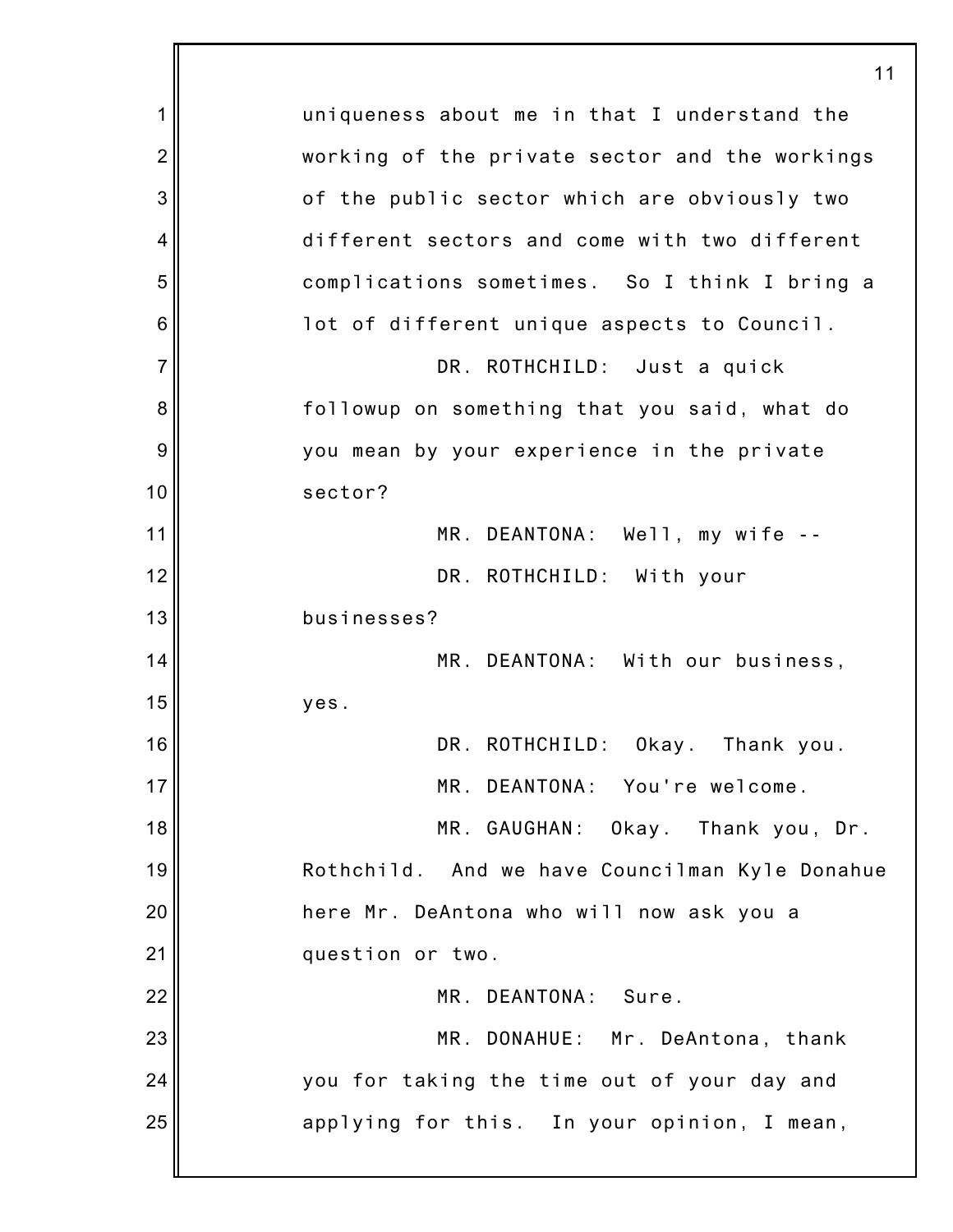|                | 11                                             |
|----------------|------------------------------------------------|
| 1              | uniqueness about me in that I understand the   |
| $\overline{2}$ | working of the private sector and the workings |
| 3              | of the public sector which are obviously two   |
| $\overline{4}$ | different sectors and come with two different  |
| 5              | complications sometimes. So I think I bring a  |
| 6              | lot of different unique aspects to Council.    |
| $\overline{7}$ | DR. ROTHCHILD: Just a quick                    |
| 8              | followup on something that you said, what do   |
| 9              | you mean by your experience in the private     |
| 10             | sector?                                        |
| 11             | MR. DEANTONA: Well, my wife --                 |
| 12             | DR. ROTHCHILD: With your                       |
| 13             | businesses?                                    |
| 14             | MR. DEANTONA: With our business,               |
| 15             | yes.                                           |
| 16             | DR. ROTHCHILD: Okay. Thank you.                |
| 17             | MR. DEANTONA: You're welcome.                  |
| 18             | MR. GAUGHAN: Okay. Thank you, Dr.              |
| 19             | Rothchild. And we have Councilman Kyle Donahue |
| 20             | here Mr. DeAntona who will now ask you a       |
| 21             | question or two.                               |
| 22             | MR. DEANTONA: Sure.                            |
| 23             | MR. DONAHUE: Mr. DeAntona, thank               |
| 24             | you for taking the time out of your day and    |
| 25             | applying for this. In your opinion, I mean,    |
|                |                                                |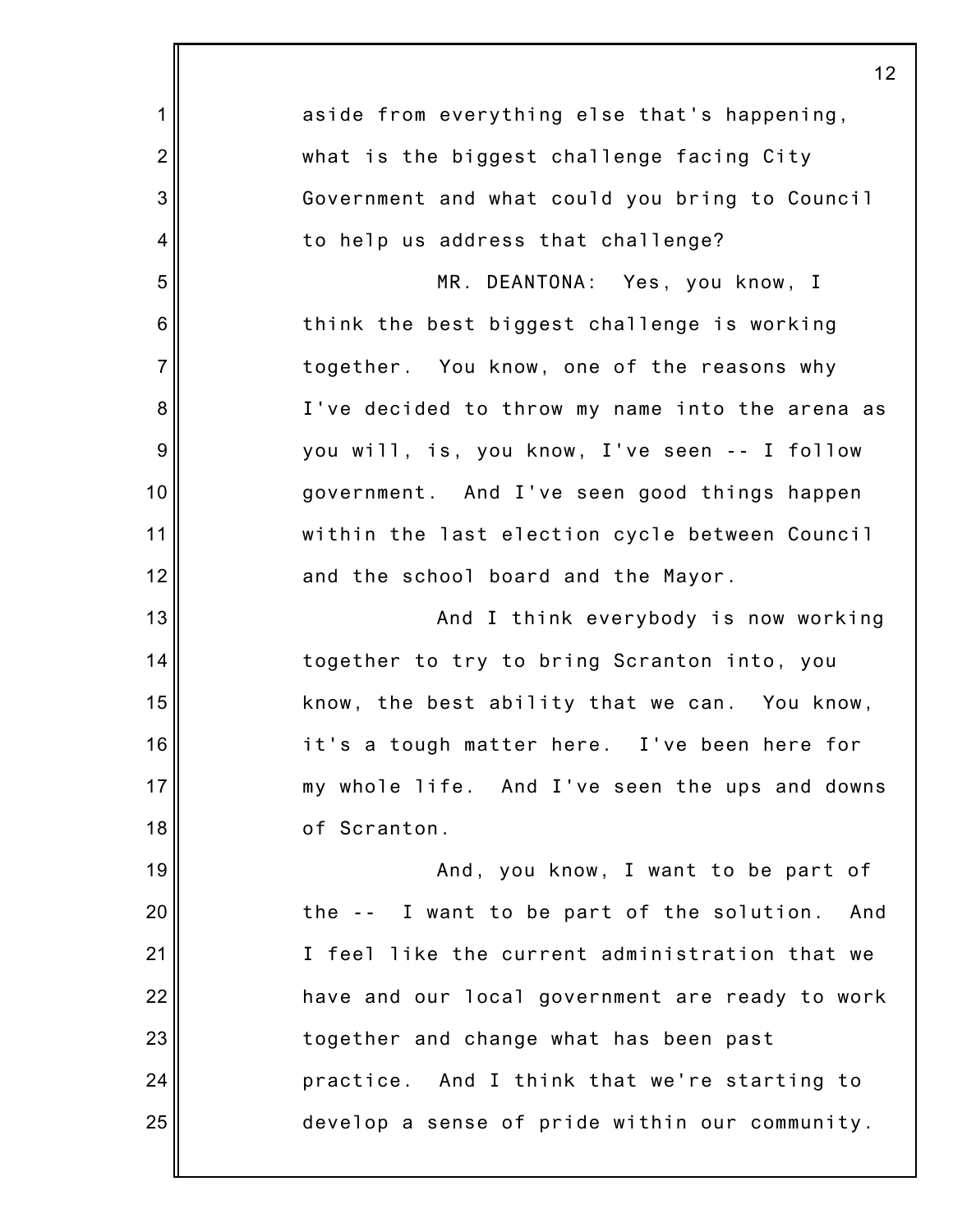|                | 12                                               |
|----------------|--------------------------------------------------|
| 1              | aside from everything else that's happening,     |
| $\overline{2}$ | what is the biggest challenge facing City        |
| 3              | Government and what could you bring to Council   |
| 4              | to help us address that challenge?               |
| 5              | MR. DEANTONA: Yes, you know, I                   |
| 6              | think the best biggest challenge is working      |
| $\overline{7}$ | together. You know, one of the reasons why       |
| 8              | I've decided to throw my name into the arena as  |
| 9              | you will, is, you know, I've seen -- I follow    |
| 10             | government. And I've seen good things happen     |
| 11             | within the last election cycle between Council   |
| 12             | and the school board and the Mayor.              |
| 13             | And I think everybody is now working             |
| 14             | together to try to bring Scranton into, you      |
| 15             | know, the best ability that we can. You know,    |
| 16             | it's a tough matter here. I've been here for     |
| 17             | my whole life. And I've seen the ups and downs   |
| 18             | of Scranton.                                     |
| 19             | And, you know, I want to be part of              |
| 20             | the -- I want to be part of the solution.<br>And |
| 21             | I feel like the current administration that we   |
| 22             | have and our local government are ready to work  |
| 23             | together and change what has been past           |
| 24             | practice. And I think that we're starting to     |
| 25             | develop a sense of pride within our community.   |
|                |                                                  |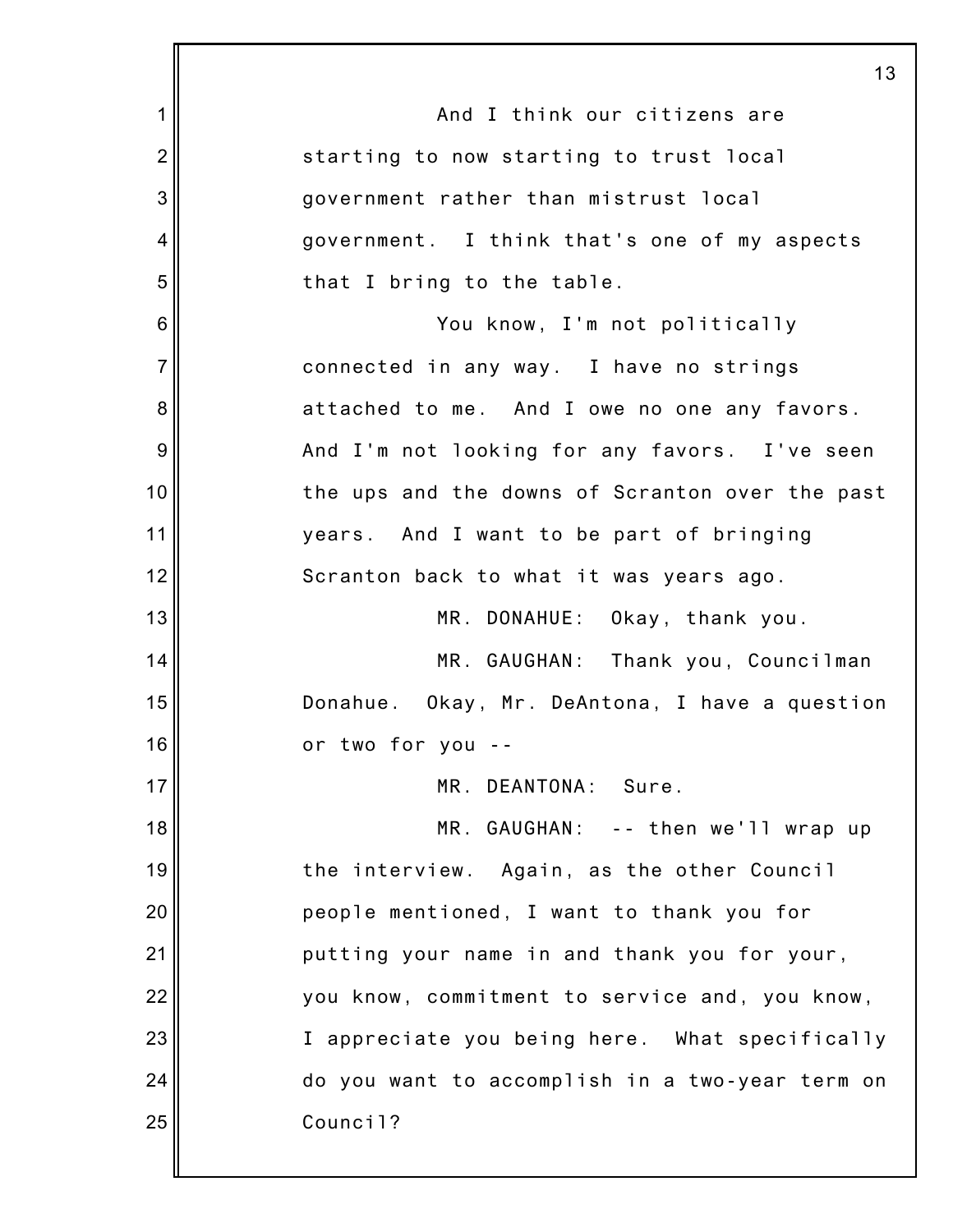|                 | 13                                              |
|-----------------|-------------------------------------------------|
| 1               | And I think our citizens are                    |
| $\overline{2}$  | starting to now starting to trust local         |
| 3               | government rather than mistrust local           |
| 4               | government. I think that's one of my aspects    |
| 5               | that I bring to the table.                      |
| $6\phantom{1}6$ | You know, I'm not politically                   |
| $\overline{7}$  | connected in any way. I have no strings         |
| 8               | attached to me. And I owe no one any favors.    |
| $\overline{9}$  | And I'm not looking for any favors. I've seen   |
| 10              | the ups and the downs of Scranton over the past |
| 11              | years. And I want to be part of bringing        |
| 12              | Scranton back to what it was years ago.         |
| 13              | MR. DONAHUE: Okay, thank you.                   |
| 14              | MR. GAUGHAN: Thank you, Councilman              |
| 15              | Donahue. Okay, Mr. DeAntona, I have a question  |
| 16              | or two for you                                  |
| 17              | MR. DEANTONA: Sure.                             |
| 18              | MR. GAUGHAN: -- then we'll wrap up              |
| 19              | the interview. Again, as the other Council      |
| 20              | people mentioned, I want to thank you for       |
| 21              | putting your name in and thank you for your,    |
| 22              | you know, commitment to service and, you know,  |
| 23              | I appreciate you being here. What specifically  |
| 24              | do you want to accomplish in a two-year term on |
| 25              | Council?                                        |
|                 |                                                 |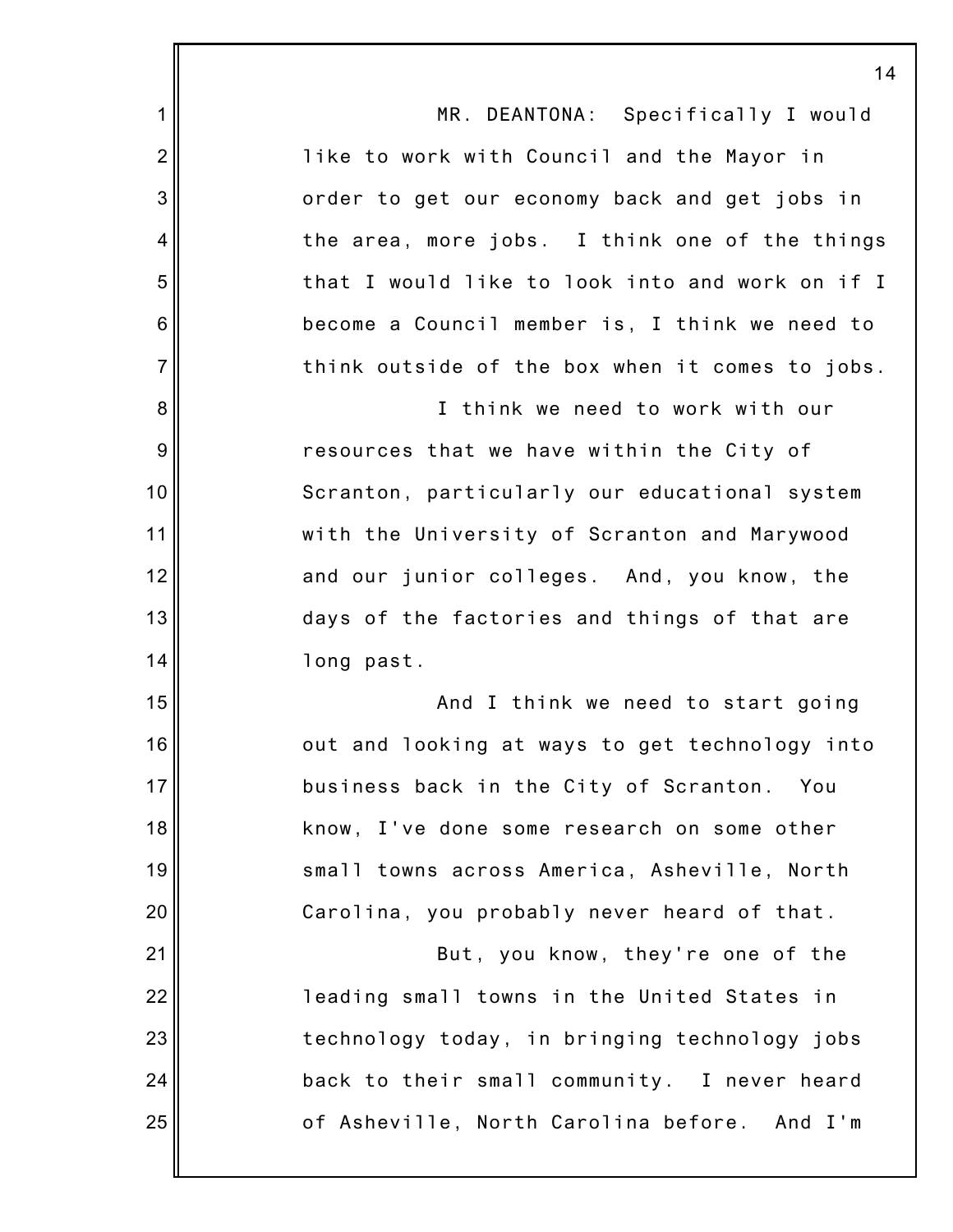|                 | 1                                               |
|-----------------|-------------------------------------------------|
| 1               | MR. DEANTONA: Specifically I would              |
| $\overline{2}$  | like to work with Council and the Mayor in      |
| 3               | order to get our economy back and get jobs in   |
| 4               | the area, more jobs. I think one of the things  |
| 5               | that I would like to look into and work on if I |
| $6\phantom{1}6$ | become a Council member is, I think we need to  |
| $\overline{7}$  | think outside of the box when it comes to jobs. |
| 8               | I think we need to work with our                |
| 9               | resources that we have within the City of       |
| 10              | Scranton, particularly our educational system   |
| 11              | with the University of Scranton and Marywood    |
| 12              | and our junior colleges. And, you know, the     |
| 13              | days of the factories and things of that are    |
| 14              | long past.                                      |
| 15              | And I think we need to start going              |
| 16              | out and looking at ways to get technology into  |
| 17              | business back in the City of Scranton. You      |
| 18              | know, I've done some research on some other     |
| 19              | small towns across America, Asheville, North    |
| 20              | Carolina, you probably never heard of that.     |
| 21              | But, you know, they're one of the               |
| 22              | leading small towns in the United States in     |
| 23              | technology today, in bringing technology jobs   |
| 24              | back to their small community. I never heard    |
| 25              | of Asheville, North Carolina before. And I'm    |
|                 |                                                 |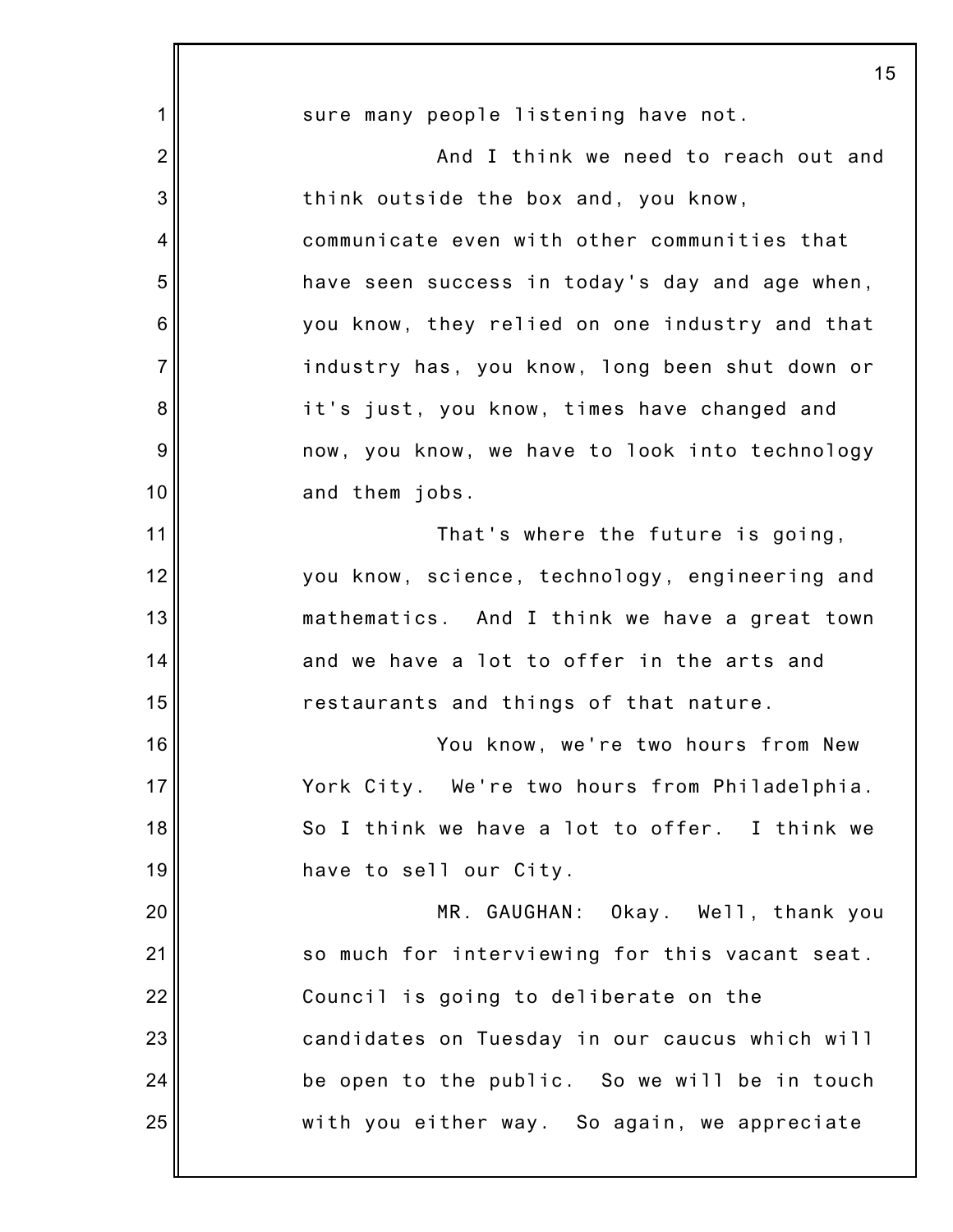|                | 15                                             |
|----------------|------------------------------------------------|
| 1              | sure many people listening have not.           |
| $\overline{2}$ | And I think we need to reach out and           |
| 3              | think outside the box and, you know,           |
| 4              | communicate even with other communities that   |
| 5              | have seen success in today's day and age when, |
| 6              | you know, they relied on one industry and that |
| $\overline{7}$ | industry has, you know, long been shut down or |
| 8              | it's just, you know, times have changed and    |
| $9\,$          | now, you know, we have to look into technology |
| 10             | and them jobs.                                 |
| 11             | That's where the future is going,              |
| 12             | you know, science, technology, engineering and |
| 13             | mathematics. And I think we have a great town  |
| 14             | and we have a lot to offer in the arts and     |
| 15             | restaurants and things of that nature.         |
| 16             | You know, we're two hours from New             |
| 17             | York City. We're two hours from Philadelphia.  |
| 18             | So I think we have a lot to offer. I think we  |
| 19             | have to sell our City.                         |
| 20             | MR. GAUGHAN: Okay. Well, thank you             |
| 21             | so much for interviewing for this vacant seat. |
| 22             | Council is going to deliberate on the          |
| 23             | candidates on Tuesday in our caucus which will |
| 24             | be open to the public. So we will be in touch  |
| 25             | with you either way. So again, we appreciate   |
|                |                                                |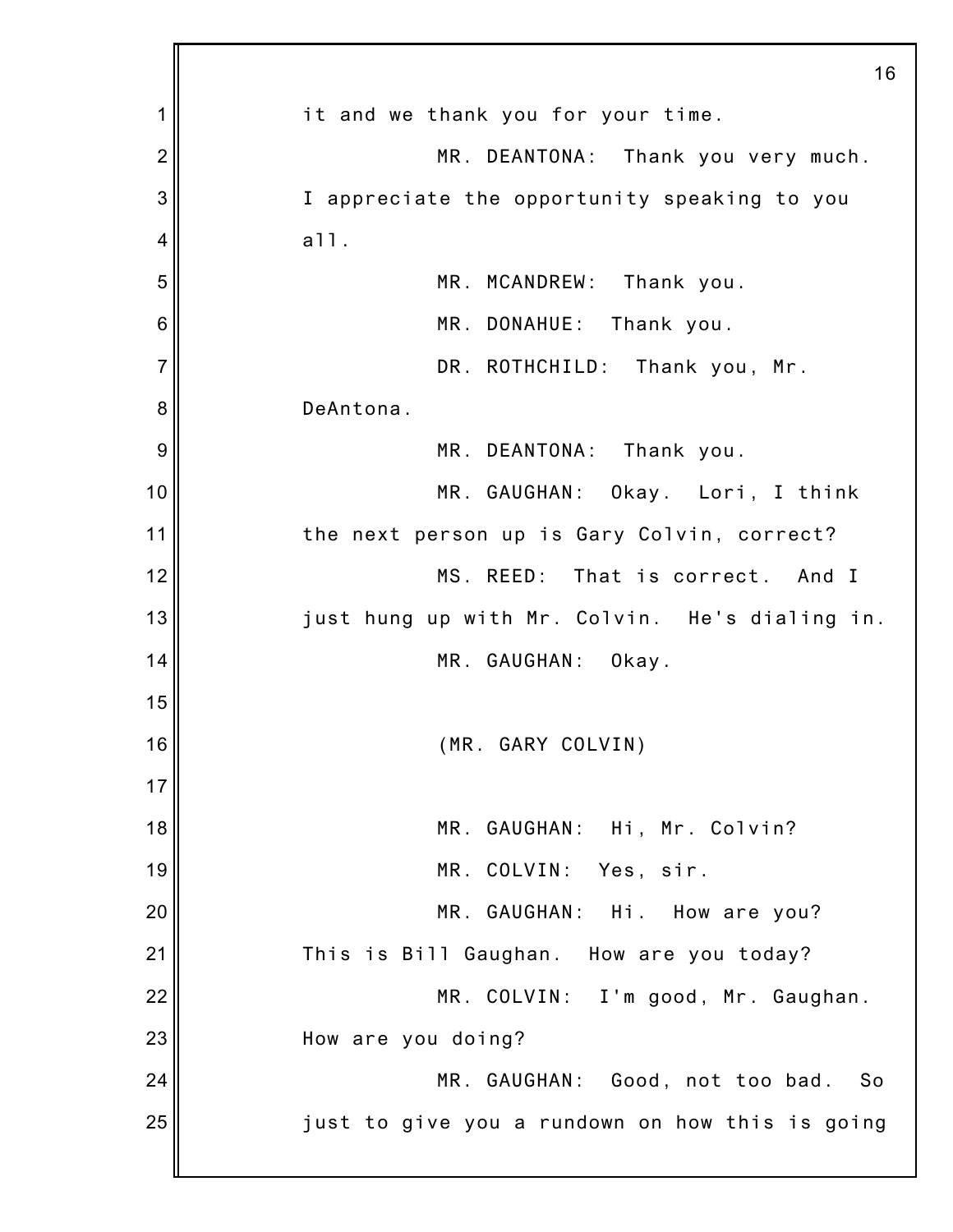|                | 16                                              |
|----------------|-------------------------------------------------|
| 1              | it and we thank you for your time.              |
| $\overline{2}$ | MR. DEANTONA: Thank you very much.              |
| 3              | I appreciate the opportunity speaking to you    |
| 4              | a11.                                            |
| 5              | MR. MCANDREW:<br>Thank you.                     |
| 6              | MR. DONAHUE:<br>Thank you.                      |
| $\overline{7}$ | DR. ROTHCHILD: Thank you, Mr.                   |
| 8              | DeAntona.                                       |
| 9              | MR. DEANTONA:<br>Thank you.                     |
| 10             | MR. GAUGHAN: Okay. Lori, I think                |
| 11             | the next person up is Gary Colvin, correct?     |
| 12             | MS. REED: That is correct. And I                |
| 13             | just hung up with Mr. Colvin. He's dialing in.  |
| 14             | MR. GAUGHAN: Okay.                              |
| 15             |                                                 |
| 16             | (MR. GARY COLVIN)                               |
| 17             |                                                 |
| 18             | MR. GAUGHAN: Hi, Mr. Colvin?                    |
| 19             | MR. COLVIN:<br>Yes, sir.                        |
| 20             | MR. GAUGHAN: Hi. How are you?                   |
| 21             | This is Bill Gaughan. How are you today?        |
| 22             | MR. COLVIN: I'm good, Mr. Gaughan.              |
| 23             | How are you doing?                              |
| 24             | MR. GAUGHAN: Good, not too bad.<br>- So         |
| 25             | just to give you a rundown on how this is going |
|                |                                                 |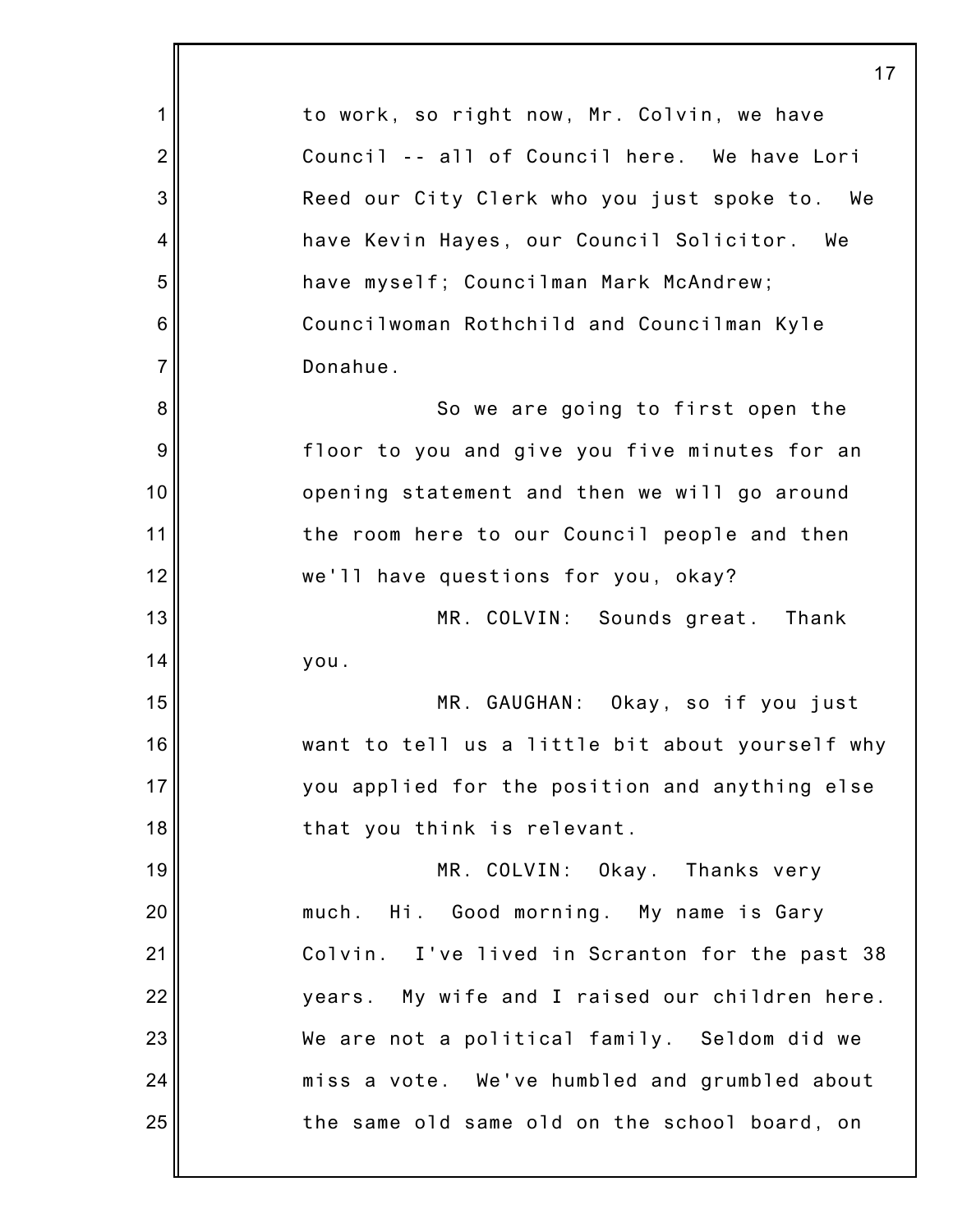|                  | 17                                              |
|------------------|-------------------------------------------------|
| 1                | to work, so right now, Mr. Colvin, we have      |
| $\overline{2}$   | Council -- all of Council here. We have Lori    |
| $\mathbf{3}$     | Reed our City Clerk who you just spoke to. We   |
| 4                | have Kevin Hayes, our Council Solicitor. We     |
| 5                | have myself; Councilman Mark McAndrew;          |
| $\,6$            | Councilwoman Rothchild and Councilman Kyle      |
| $\overline{7}$   | Donahue.                                        |
| 8                | So we are going to first open the               |
| $\boldsymbol{9}$ | floor to you and give you five minutes for an   |
| 10               | opening statement and then we will go around    |
| 11               | the room here to our Council people and then    |
| 12               | we'll have questions for you, okay?             |
| 13               | MR. COLVIN: Sounds great. Thank                 |
| 14               | you.                                            |
| 15               | MR. GAUGHAN: Okay, so if you just               |
| 16               | want to tell us a little bit about yourself why |
| 17               | you applied for the position and anything else  |
| 18               | that you think is relevant.                     |
| 19               | MR. COLVIN: Okay. Thanks very                   |
| 20               | Hi. Good morning. My name is Gary<br>much.      |
| 21               | Colvin. I've lived in Scranton for the past 38  |
| 22               | years. My wife and I raised our children here.  |
| 23               | We are not a political family. Seldom did we    |
| 24               | miss a vote. We've humbled and grumbled about   |
| 25               | the same old same old on the school board, on   |
|                  |                                                 |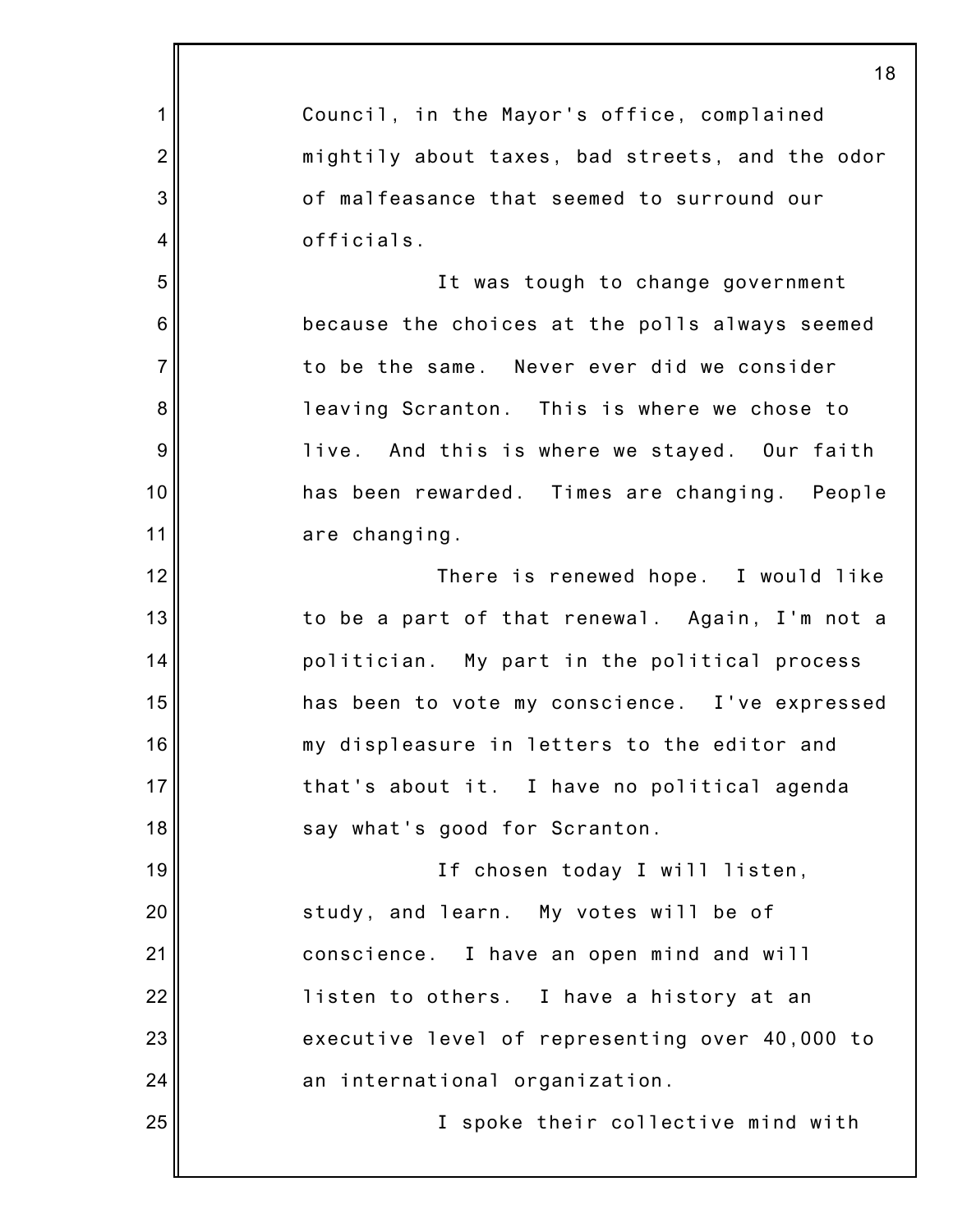|                | 18                                              |
|----------------|-------------------------------------------------|
| 1              | Council, in the Mayor's office, complained      |
| $\overline{2}$ | mightily about taxes, bad streets, and the odor |
| 3              | of malfeasance that seemed to surround our      |
| 4              | officials.                                      |
| 5              | It was tough to change government               |
| 6              | because the choices at the polls always seemed  |
| $\overline{7}$ | to be the same. Never ever did we consider      |
| 8              | leaving Scranton. This is where we chose to     |
| 9              | live. And this is where we stayed. Our faith    |
| 10             | has been rewarded. Times are changing. People   |
| 11             | are changing.                                   |
| 12             | There is renewed hope. I would like             |
| 13             | to be a part of that renewal. Again, I'm not a  |
| 14             | politician. My part in the political process    |
| 15             | has been to vote my conscience. I've expressed  |
| 16             | my displeasure in letters to the editor and     |
| 17             | that's about it. I have no political agenda     |
| 18             | say what's good for Scranton.                   |
| 19             | If chosen today I will listen,                  |
| 20             | study, and learn. My votes will be of           |
| 21             | conscience. I have an open mind and will        |
| 22             | listen to others. I have a history at an        |
| 23             | executive level of representing over 40,000 to  |
| 24             | an international organization.                  |
| 25             | I spoke their collective mind with              |
|                |                                                 |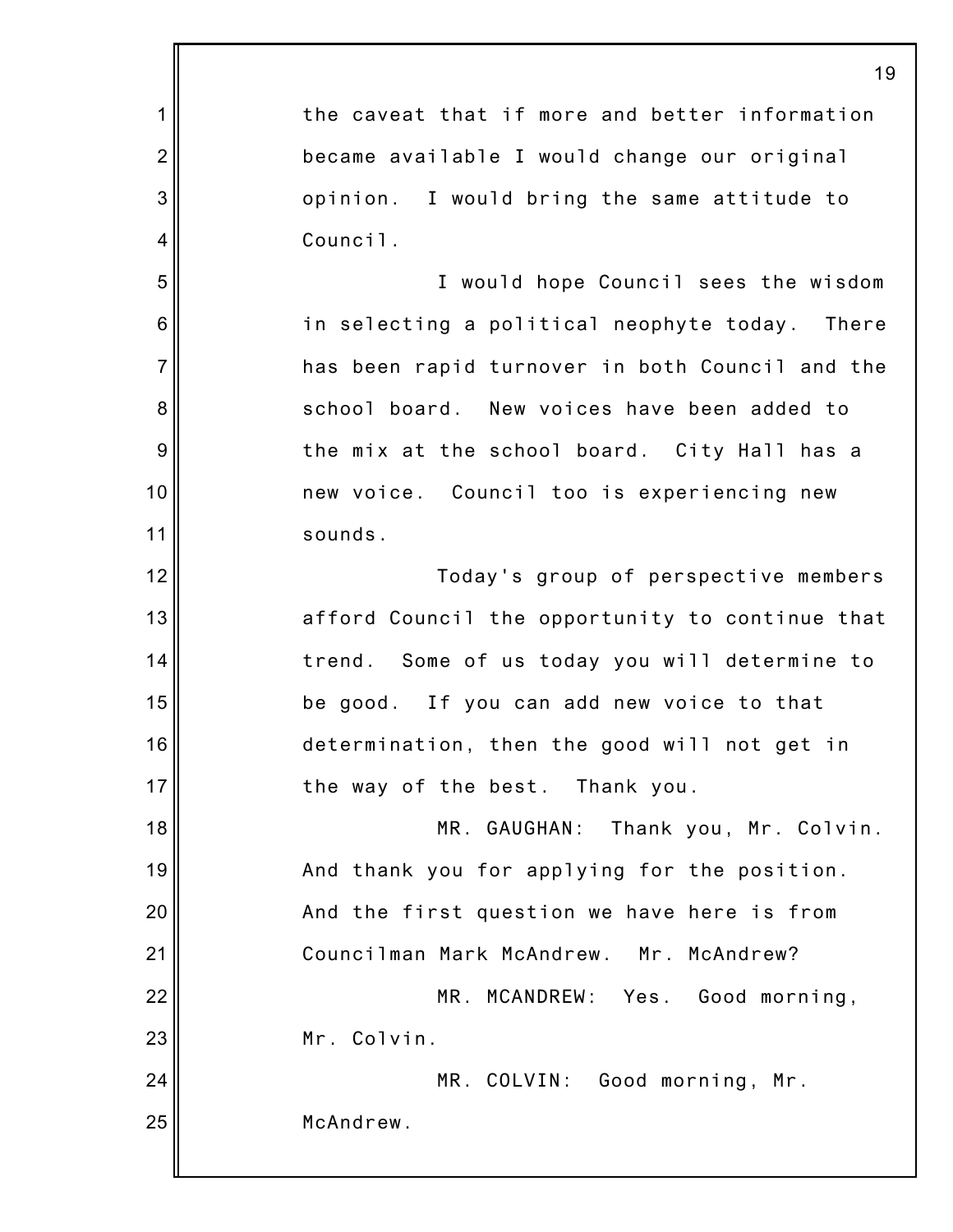1 2 3 4 5 6 7 8 9 10 11 12 13 14 15 16 17 18 19 20 21 22 23 24 25 19 the caveat that if more and better information became available I would change our original opinion. I would bring the same attitude to Council. I would hope Council sees the wisdom in selecting a political neophyte today. There has been rapid turnover in both Council and the school board. New voices have been added to the mix at the school board. City Hall has a new voice. Council too is experiencing new sounds. Today's group of perspective members afford Council the opportunity to continue that trend. Some of us today you will determine to be good. If you can add new voice to that determination, then the good will not get in the way of the best. Thank you. MR. GAUGHAN: Thank you, Mr. Colvin. And thank you for applying for the position. And the first question we have here is from Councilman Mark McAndrew. Mr. McAndrew? MR. MCANDREW: Yes. Good morning, Mr. Colvin. MR. COLVIN: Good morning, Mr. McAndrew.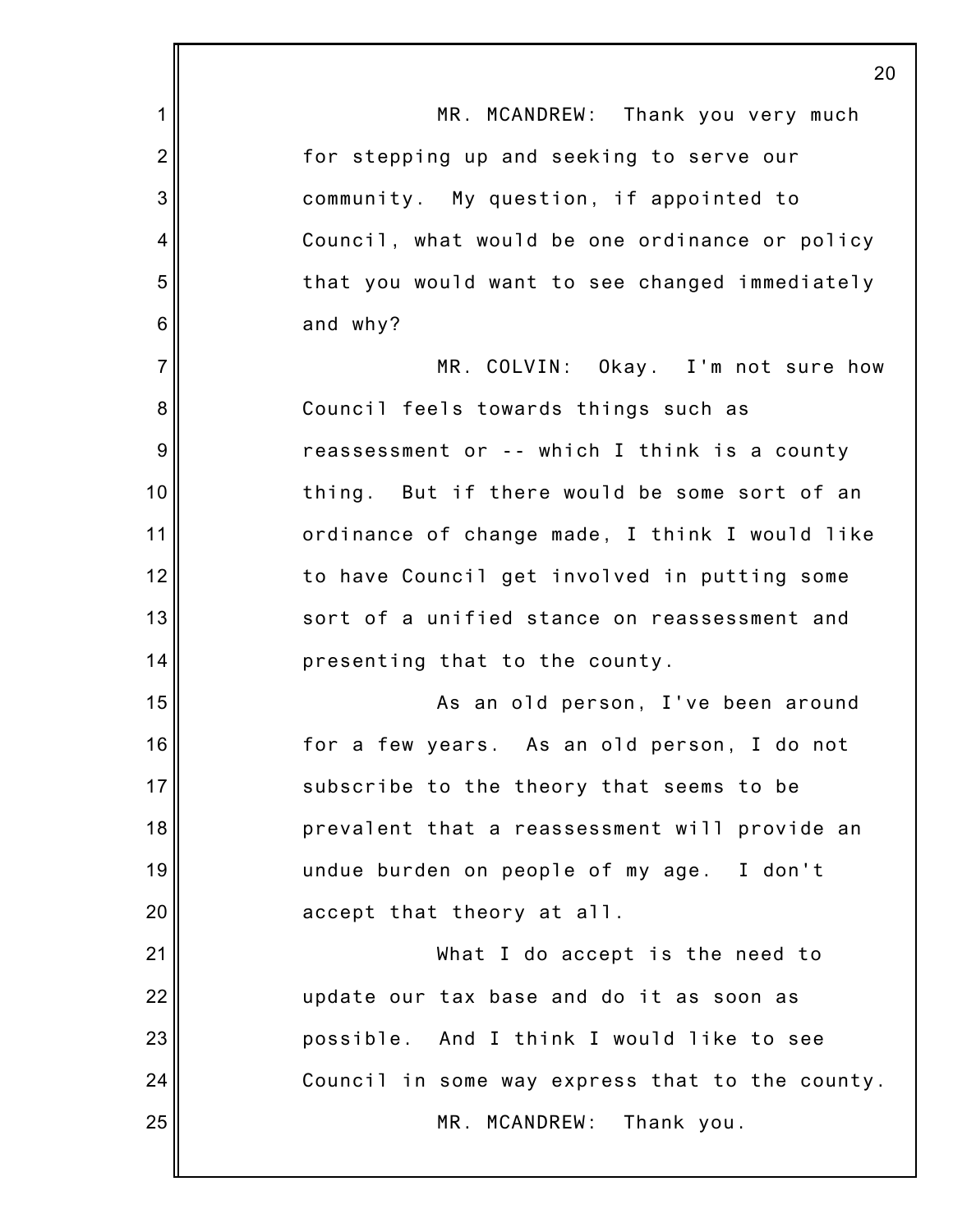|                | 20                                              |
|----------------|-------------------------------------------------|
| 1              | MR. MCANDREW: Thank you very much               |
| $\overline{2}$ | for stepping up and seeking to serve our        |
| 3              | community. My question, if appointed to         |
| 4              | Council, what would be one ordinance or policy  |
| 5              | that you would want to see changed immediately  |
| 6              | and why?                                        |
| $\overline{7}$ | MR. COLVIN: Okay. I'm not sure how              |
| 8              | Council feels towards things such as            |
| 9              | reassessment or -- which I think is a county    |
| 10             | But if there would be some sort of an<br>thing. |
| 11             | ordinance of change made, I think I would like  |
| 12             | to have Council get involved in putting some    |
| 13             | sort of a unified stance on reassessment and    |
| 14             | presenting that to the county.                  |
| 15             | As an old person, I've been around              |
| 16             | for a few years. As an old person, I do not     |
| 17             | subscribe to the theory that seems to be        |
| 18             | prevalent that a reassessment will provide an   |
| 19             | undue burden on people of my age. I don't       |
| 20             | accept that theory at all.                      |
| 21             | What I do accept is the need to                 |
| 22             | update our tax base and do it as soon as        |
| 23             | possible. And I think I would like to see       |
| 24             | Council in some way express that to the county. |
| 25             | MR. MCANDREW:<br>Thank you.                     |
|                |                                                 |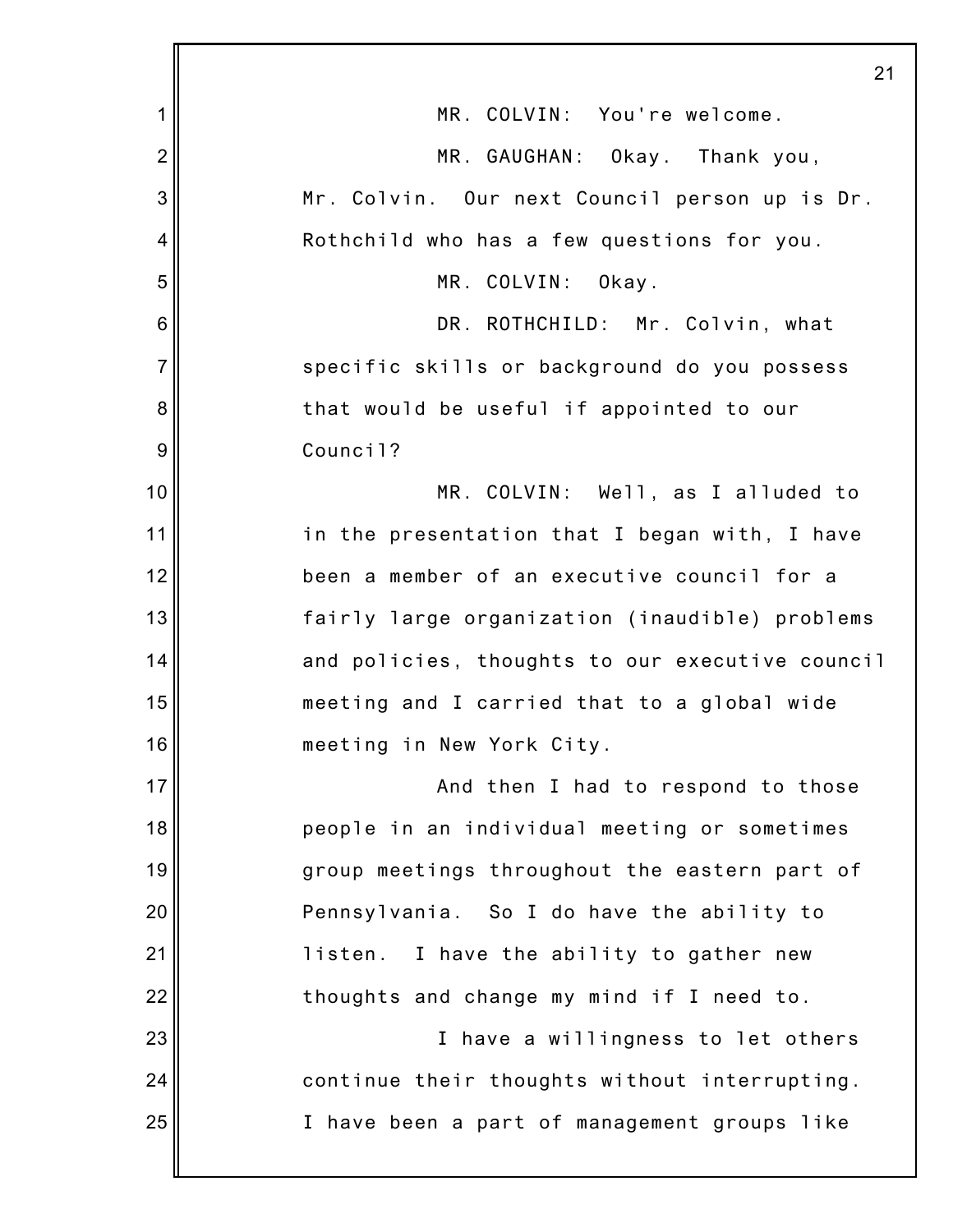|                 | 21                                              |
|-----------------|-------------------------------------------------|
| 1               | MR. COLVIN: You're welcome.                     |
| $\overline{2}$  | MR. GAUGHAN: Okay. Thank you,                   |
| 3               | Mr. Colvin. Our next Council person up is Dr.   |
| 4               | Rothchild who has a few questions for you.      |
| 5               | MR. COLVIN:<br>Okay.                            |
| $6\phantom{1}6$ | DR. ROTHCHILD: Mr. Colvin, what                 |
| $\overline{7}$  | specific skills or background do you possess    |
| 8               | that would be useful if appointed to our        |
| 9               | Council?                                        |
| 10              | MR. COLVIN: Well, as I alluded to               |
| 11              | in the presentation that I began with, I have   |
| 12              | been a member of an executive council for a     |
| 13              | fairly large organization (inaudible) problems  |
| 14              | and policies, thoughts to our executive council |
| 15              | meeting and I carried that to a global wide     |
| 16              | meeting in New York City.                       |
| 17              | And then I had to respond to those              |
| 18              | people in an individual meeting or sometimes    |
| 19              | group meetings throughout the eastern part of   |
| 20              | Pennsylvania. So I do have the ability to       |
| 21              | listen. I have the ability to gather new        |
| 22              | thoughts and change my mind if I need to.       |
| 23              | I have a willingness to let others              |
| 24              | continue their thoughts without interrupting.   |
| 25              | I have been a part of management groups like    |
|                 |                                                 |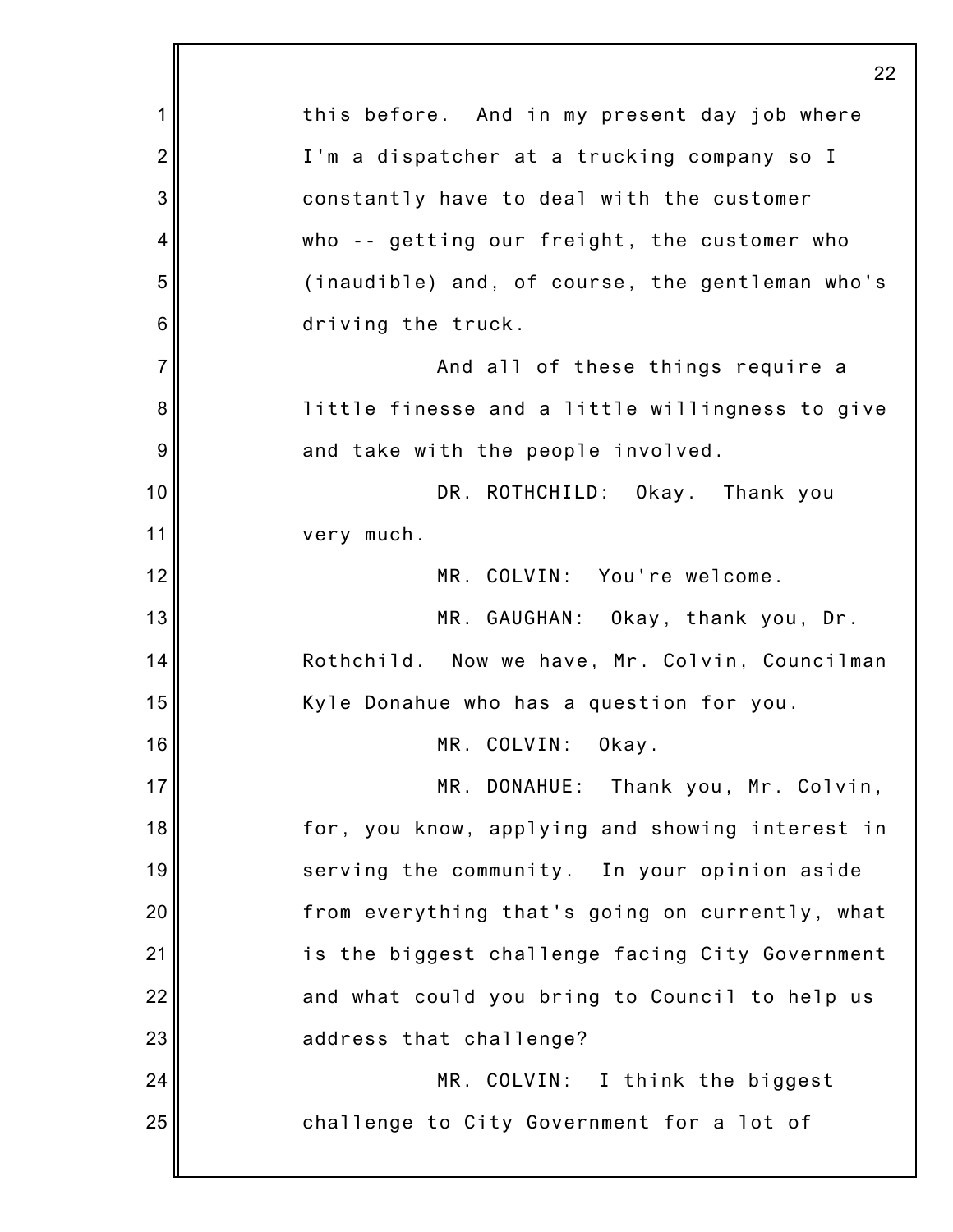|                  | 22                                              |
|------------------|-------------------------------------------------|
| 1                | this before. And in my present day job where    |
| $\overline{2}$   | I'm a dispatcher at a trucking company so I     |
| 3                | constantly have to deal with the customer       |
| 4                | who -- getting our freight, the customer who    |
| 5                | (inaudible) and, of course, the gentleman who's |
| $\,6$            | driving the truck.                              |
| $\overline{7}$   | And all of these things require a               |
| 8                | little finesse and a little willingness to give |
| $\boldsymbol{9}$ | and take with the people involved.              |
| 10               | DR. ROTHCHILD: Okay. Thank you                  |
| 11               | very much.                                      |
| 12               | MR. COLVIN: You're welcome.                     |
| 13               | MR. GAUGHAN: Okay, thank you, Dr.               |
| 14               | Rothchild. Now we have, Mr. Colvin, Councilman  |
| 15               | Kyle Donahue who has a question for you.        |
| 16               | MR. COLVIN: Okay.                               |
| 17               | MR. DONAHUE: Thank you, Mr. Colvin,             |
| 18               | for, you know, applying and showing interest in |
| 19               | serving the community. In your opinion aside    |
| 20               | from everything that's going on currently, what |
| 21               | is the biggest challenge facing City Government |
| 22               | and what could you bring to Council to help us  |
| 23               | address that challenge?                         |
| 24               | MR. COLVIN: I think the biggest                 |
| 25               | challenge to City Government for a lot of       |
|                  |                                                 |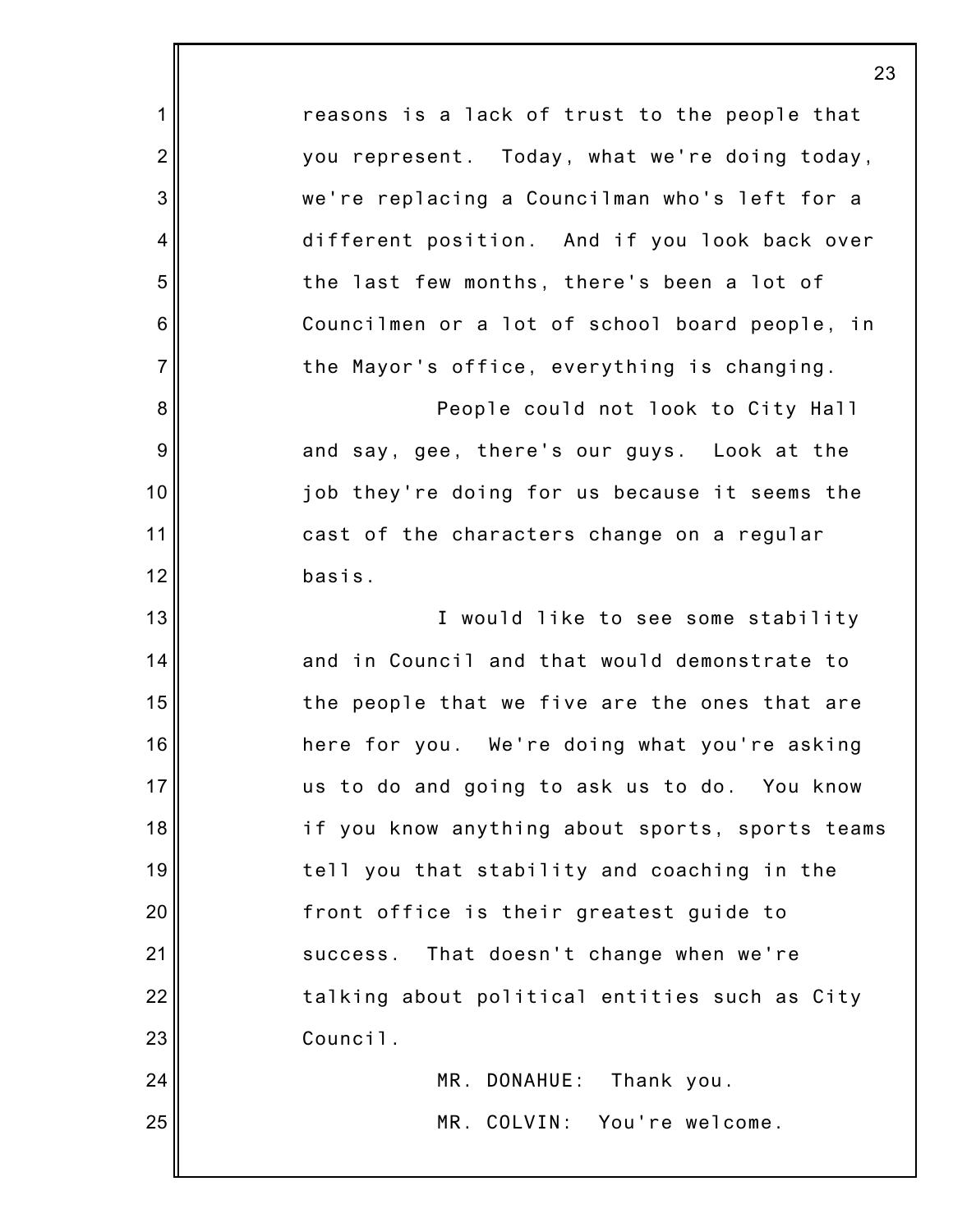|                | 23                                              |
|----------------|-------------------------------------------------|
| $\mathbf 1$    | reasons is a lack of trust to the people that   |
| $\overline{2}$ | you represent. Today, what we're doing today,   |
| 3              | we're replacing a Councilman who's left for a   |
| $\overline{4}$ | different position. And if you look back over   |
| 5              | the last few months, there's been a lot of      |
| 6              | Councilmen or a lot of school board people, in  |
| $\overline{7}$ | the Mayor's office, everything is changing.     |
| 8              | People could not look to City Hall              |
| 9              | and say, gee, there's our guys. Look at the     |
| 10             | job they're doing for us because it seems the   |
| 11             | cast of the characters change on a regular      |
| 12             | basis.                                          |
| 13             | I would like to see some stability              |
| 14             | and in Council and that would demonstrate to    |
| 15             | the people that we five are the ones that are   |
| 16             | here for you. We're doing what you're asking    |
| 17             | us to do and going to ask us to do. You know    |
| 18             | if you know anything about sports, sports teams |
| 19             | tell you that stability and coaching in the     |
| 20             | front office is their greatest guide to         |
| 21             | That doesn't change when we're<br>success.      |
| 22             | talking about political entities such as City   |
| 23             | Council.                                        |
| 24             | MR. DONAHUE:<br>Thank you.                      |
| 25             | MR. COLVIN: You're welcome.                     |
|                |                                                 |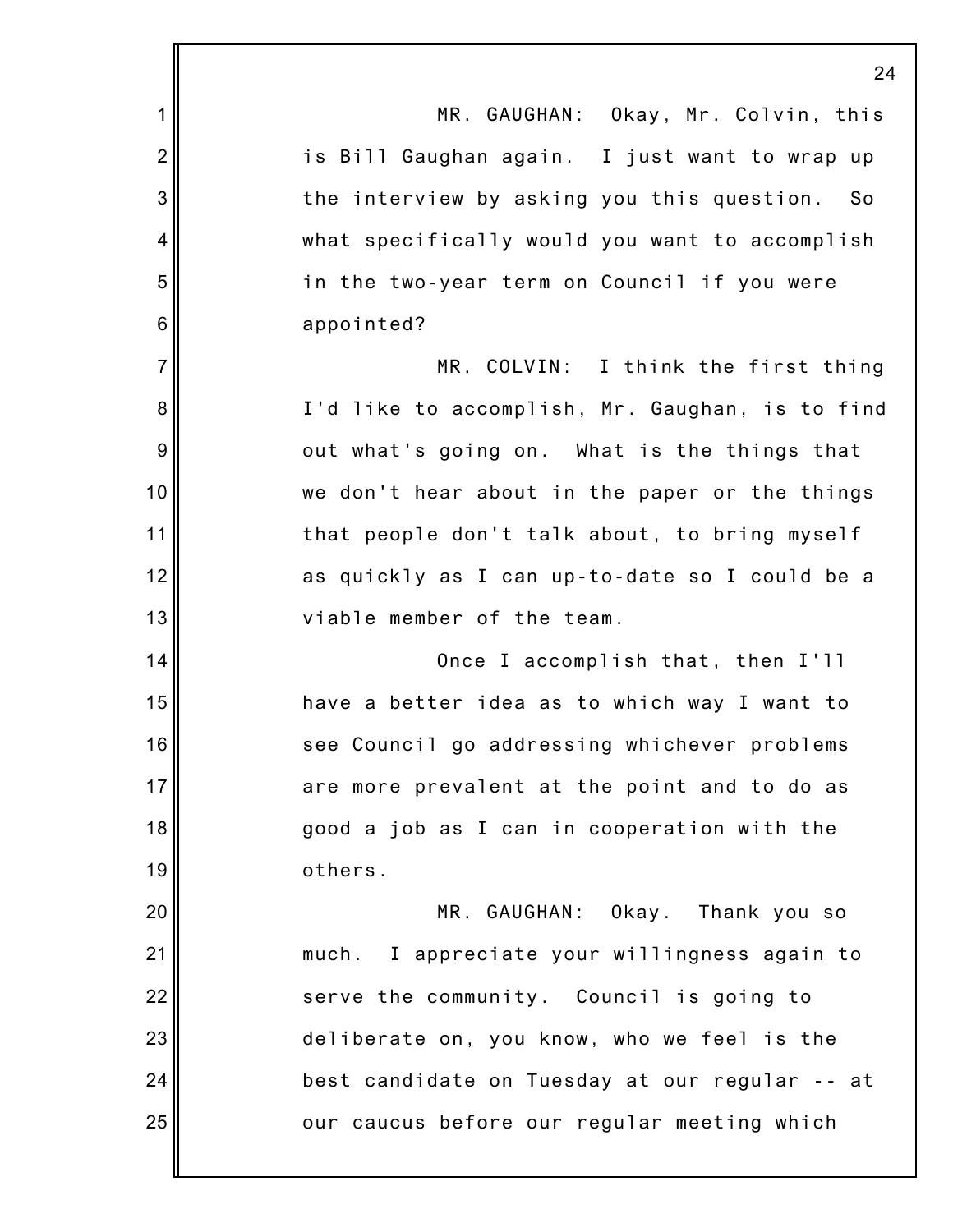|                 | $\overline{2}$                                  |
|-----------------|-------------------------------------------------|
| 1               | MR. GAUGHAN: Okay, Mr. Colvin, this             |
| $\overline{2}$  | is Bill Gaughan again. I just want to wrap up   |
| 3               | the interview by asking you this question. So   |
| 4               | what specifically would you want to accomplish  |
| 5               | in the two-year term on Council if you were     |
| $6\phantom{1}6$ | appointed?                                      |
| $\overline{7}$  | MR. COLVIN: I think the first thing             |
| 8               | I'd like to accomplish, Mr. Gaughan, is to find |
| 9               | out what's going on. What is the things that    |
| 10              | we don't hear about in the paper or the things  |
| 11              | that people don't talk about, to bring myself   |
| 12              | as quickly as I can up-to-date so I could be a  |
| 13              | viable member of the team.                      |
| 14              | Once I accomplish that, then I'll               |
| 15              | have a better idea as to which way I want to    |
| 16              | see Council go addressing whichever problems    |
| 17              | are more prevalent at the point and to do as    |
| 18              | good a job as I can in cooperation with the     |
| 19              | others.                                         |
| 20              | MR. GAUGHAN: Okay. Thank you so                 |
| 21              | much. I appreciate your willingness again to    |
| 22              | serve the community. Council is going to        |
| 23              | deliberate on, you know, who we feel is the     |
| 24              | best candidate on Tuesday at our regular -- at  |
| 25              | our caucus before our regular meeting which     |
|                 |                                                 |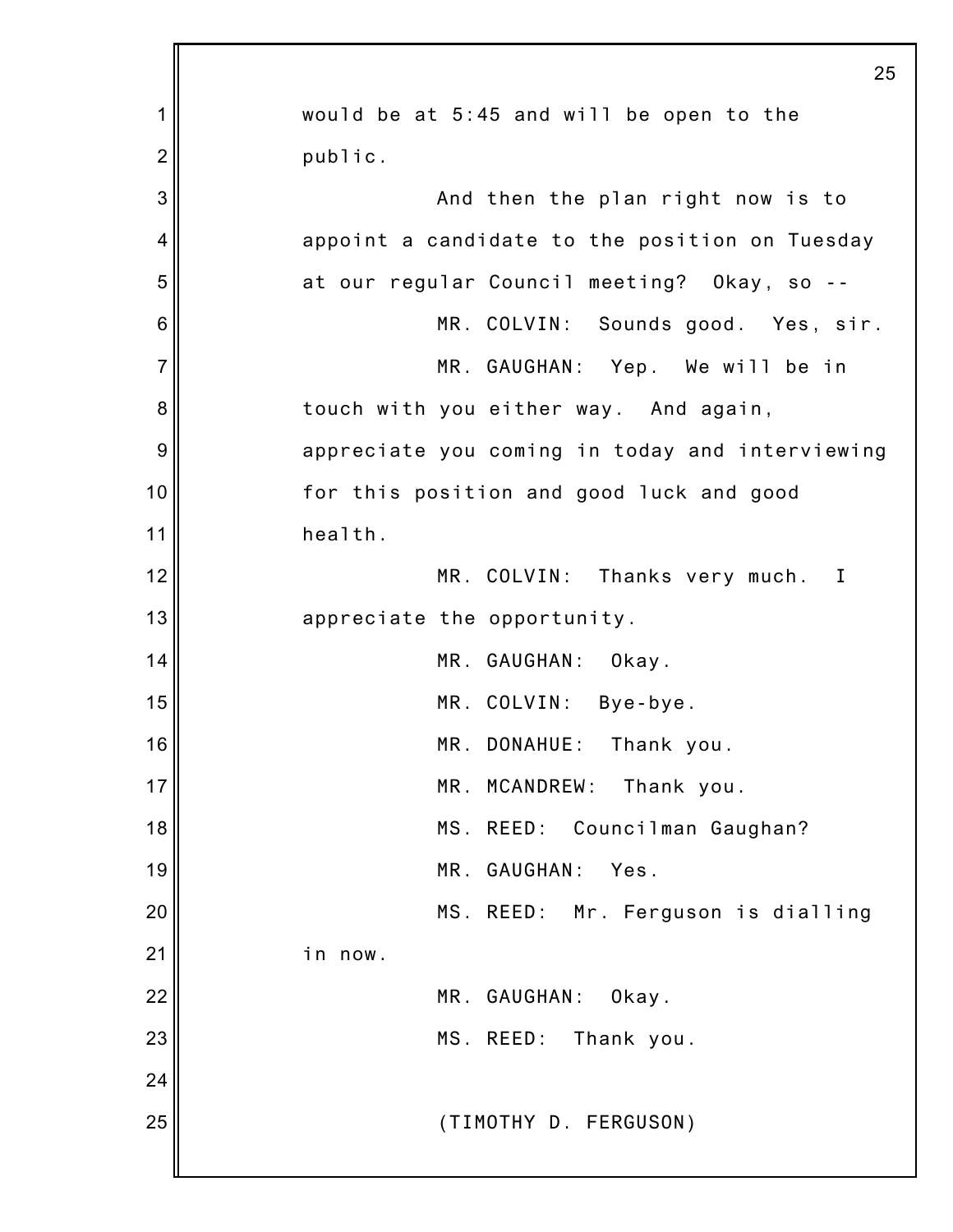|                | 25                                              |
|----------------|-------------------------------------------------|
| 1              | would be at 5:45 and will be open to the        |
| $\overline{2}$ | public.                                         |
| 3              | And then the plan right now is to               |
| 4              | appoint a candidate to the position on Tuesday  |
| 5              | at our regular Council meeting? Okay, so --     |
| 6              | MR. COLVIN: Sounds good. Yes, sir.              |
| $\overline{7}$ | MR. GAUGHAN: Yep. We will be in                 |
| 8              | touch with you either way. And again,           |
| 9              | appreciate you coming in today and interviewing |
| 10             | for this position and good luck and good        |
| 11             | health.                                         |
| 12             | MR. COLVIN: Thanks very much.<br>$\blacksquare$ |
| 13             | appreciate the opportunity.                     |
| 14             | MR. GAUGHAN: Okay.                              |
| 15             | MR. COLVIN: Bye-bye.                            |
| 16             | MR. DONAHUE: Thank you.                         |
| 17             | MR.<br>MCANDREW:<br>Thank you.                  |
| 18             | MS. REED:<br>Councilman Gaughan?                |
| 19             | MR. GAUGHAN:<br>Yes.                            |
| 20             | MS. REED: Mr. Ferguson is dialling              |
| 21             | in now.                                         |
| 22             | MR. GAUGHAN:<br>Okay.                           |
| 23             | MS. REED:<br>Thank you.                         |
| 24             |                                                 |
| 25             | (TIMOTHY D. FERGUSON)                           |
|                |                                                 |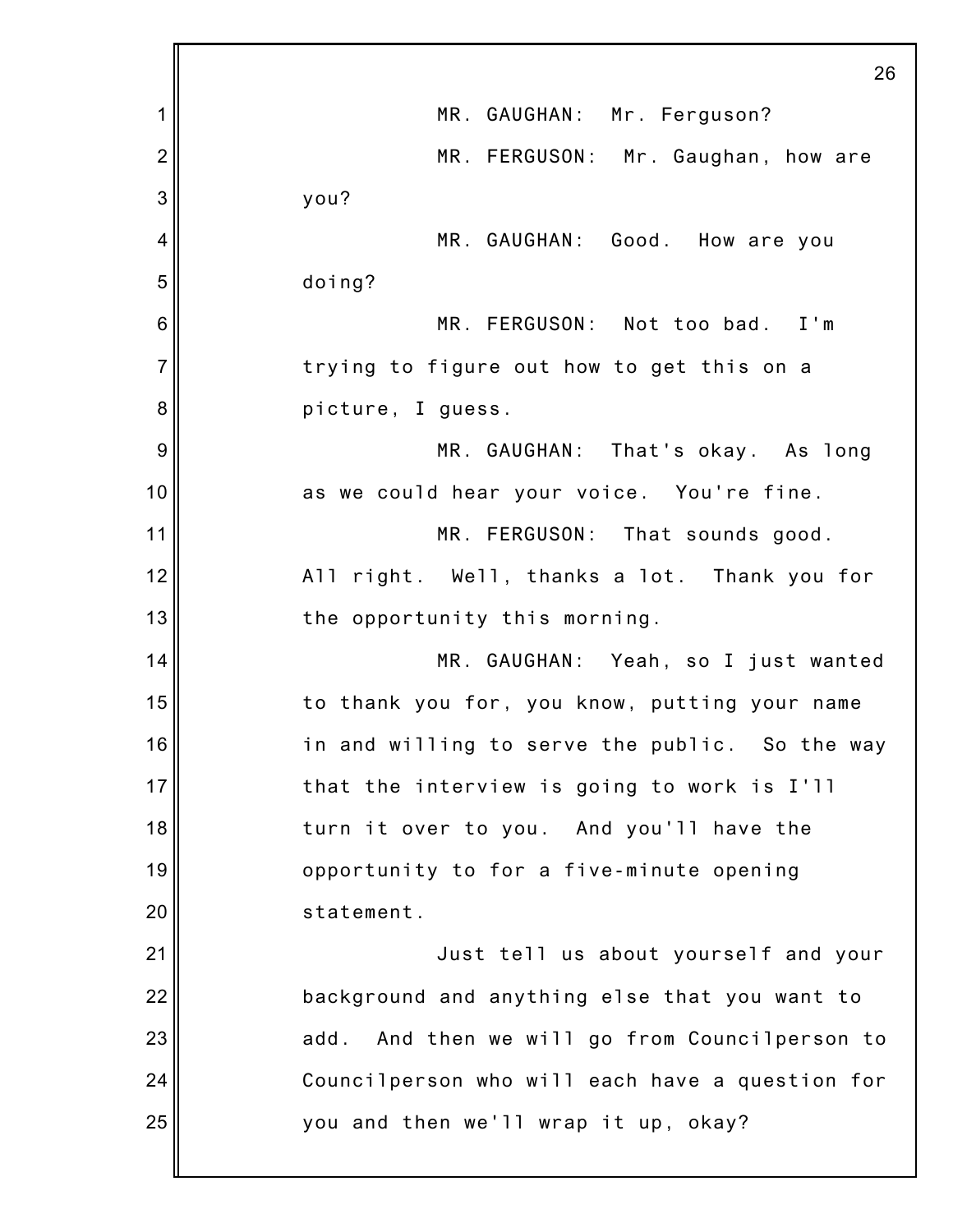|                | 26                                                |
|----------------|---------------------------------------------------|
| 1              | MR. GAUGHAN: Mr. Ferguson?                        |
| $\overline{2}$ | MR. FERGUSON: Mr. Gaughan, how are                |
| 3              | you?                                              |
| 4              | MR. GAUGHAN: Good. How are you                    |
| 5              | doing?                                            |
| 6              | MR. FERGUSON: Not too bad. I'm                    |
| 7              | trying to figure out how to get this on a         |
| 8              | picture, I guess.                                 |
| 9              | MR. GAUGHAN: That's okay. As long                 |
| 10             | as we could hear your voice. You're fine.         |
| 11             | MR. FERGUSON: That sounds good.                   |
| 12             | All right. Well, thanks a lot. Thank you for      |
| 13             | the opportunity this morning.                     |
| 14             | MR. GAUGHAN: Yeah, so I just wanted               |
| 15             | to thank you for, you know, putting your name     |
| 16             | in and willing to serve the public. So the way    |
| 17             | that the interview is going to work is I'll       |
| 18             | turn it over to you. And you'll have the          |
| 19             | opportunity to for a five-minute opening          |
| 20             | statement.                                        |
| 21             | Just tell us about yourself and your              |
| 22             | background and anything else that you want to     |
| 23             | And then we will go from Councilperson to<br>add. |
| 24             | Councilperson who will each have a question for   |
| 25             | you and then we'll wrap it up, okay?              |
|                |                                                   |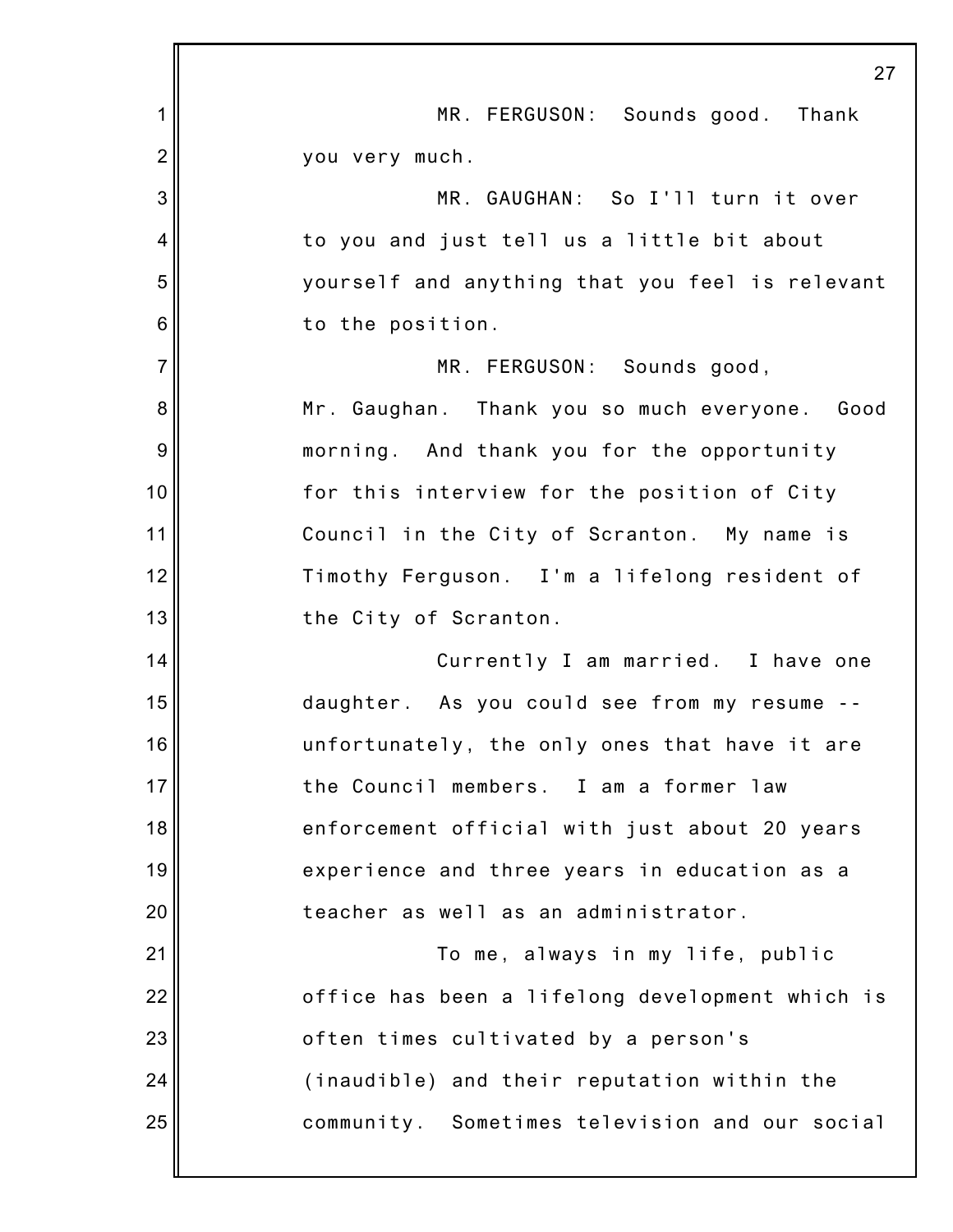|                | 27                                              |
|----------------|-------------------------------------------------|
| 1              | MR. FERGUSON: Sounds good. Thank                |
| $\overline{2}$ | you very much.                                  |
| 3              | MR. GAUGHAN: So I'll turn it over               |
| 4              | to you and just tell us a little bit about      |
| 5              | yourself and anything that you feel is relevant |
| 6              | to the position.                                |
| $\overline{7}$ | MR. FERGUSON: Sounds good,                      |
| 8              | Mr. Gaughan. Thank you so much everyone. Good   |
| 9              | morning. And thank you for the opportunity      |
| 10             | for this interview for the position of City     |
| 11             | Council in the City of Scranton. My name is     |
| 12             | Timothy Ferguson. I'm a lifelong resident of    |
| 13             | the City of Scranton.                           |
| 14             | Currently I am married. I have one              |
| 15             | daughter. As you could see from my resume       |
| 16             | unfortunately, the only ones that have it are   |
| 17             | the Council members. I am a former law          |
| 18             | enforcement official with just about 20 years   |
| 19             | experience and three years in education as a    |
| 20             | teacher as well as an administrator.            |
| 21             | To me, always in my life, public                |
| 22             | office has been a lifelong development which is |
| 23             | often times cultivated by a person's            |
| 24             | (inaudible) and their reputation within the     |
| 25             | community. Sometimes television and our social  |
|                |                                                 |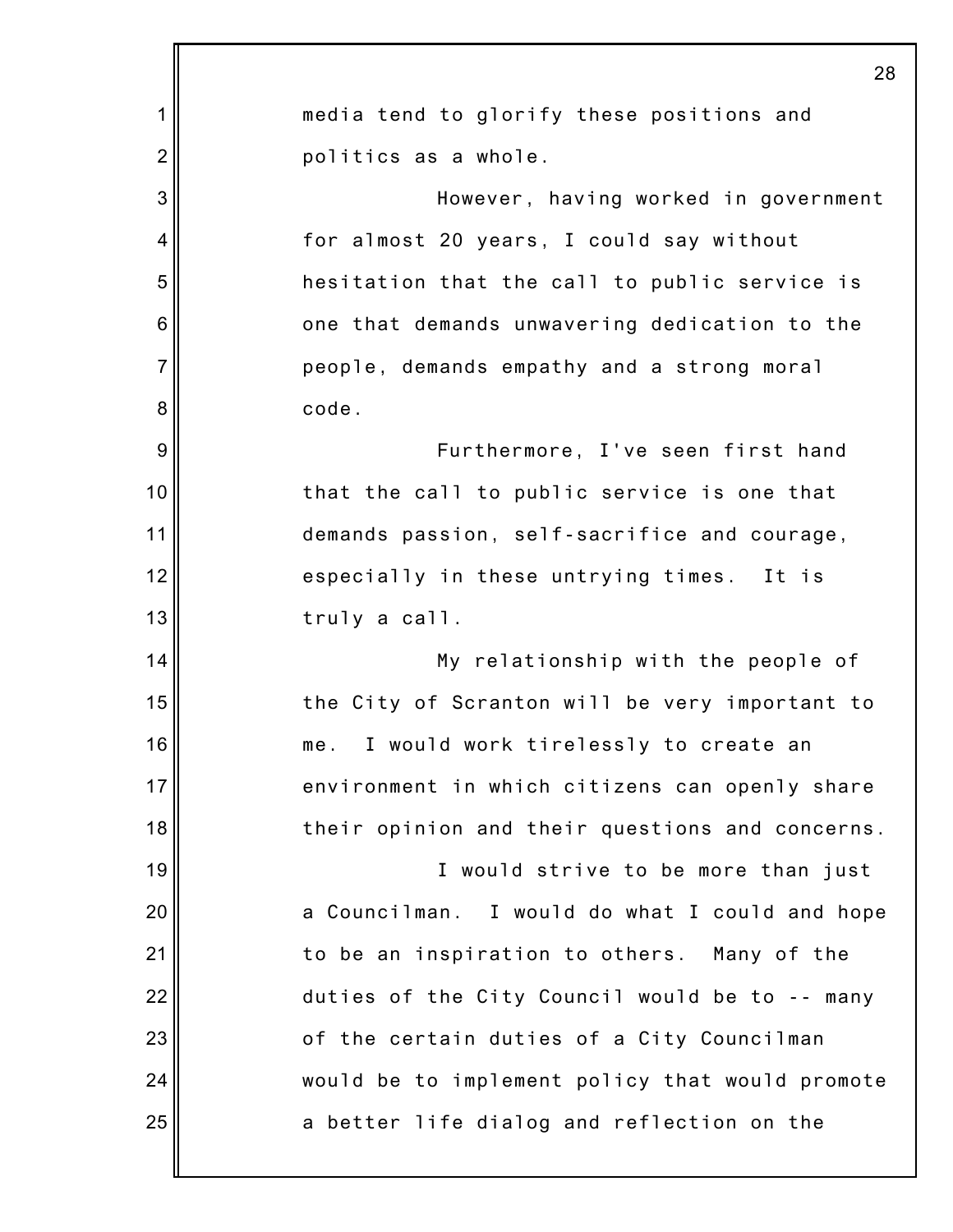|                | 28                                              |
|----------------|-------------------------------------------------|
| 1              | media tend to glorify these positions and       |
| $\overline{2}$ | politics as a whole.                            |
| 3              | However, having worked in government            |
| 4              | for almost 20 years, I could say without        |
| 5              | hesitation that the call to public service is   |
| 6              | one that demands unwavering dedication to the   |
| $\overline{7}$ | people, demands empathy and a strong moral      |
| 8              | code.                                           |
| 9              | Furthermore, I've seen first hand               |
| 10             | that the call to public service is one that     |
| 11             | demands passion, self-sacrifice and courage,    |
| 12             | especially in these untrying times. It is       |
| 13             | truly a call.                                   |
| 14             | My relationship with the people of              |
| 15             | the City of Scranton will be very important to  |
| 16             | me.<br>I would work tirelessly to create an     |
| 17             | environment in which citizens can openly share  |
| 18             | their opinion and their questions and concerns. |
| 19             | I would strive to be more than just             |
| 20             | a Councilman. I would do what I could and hope  |
| 21             | to be an inspiration to others. Many of the     |
| 22             | duties of the City Council would be to -- many  |
| 23             | of the certain duties of a City Councilman      |
| 24             | would be to implement policy that would promote |
| 25             | a better life dialog and reflection on the      |
|                |                                                 |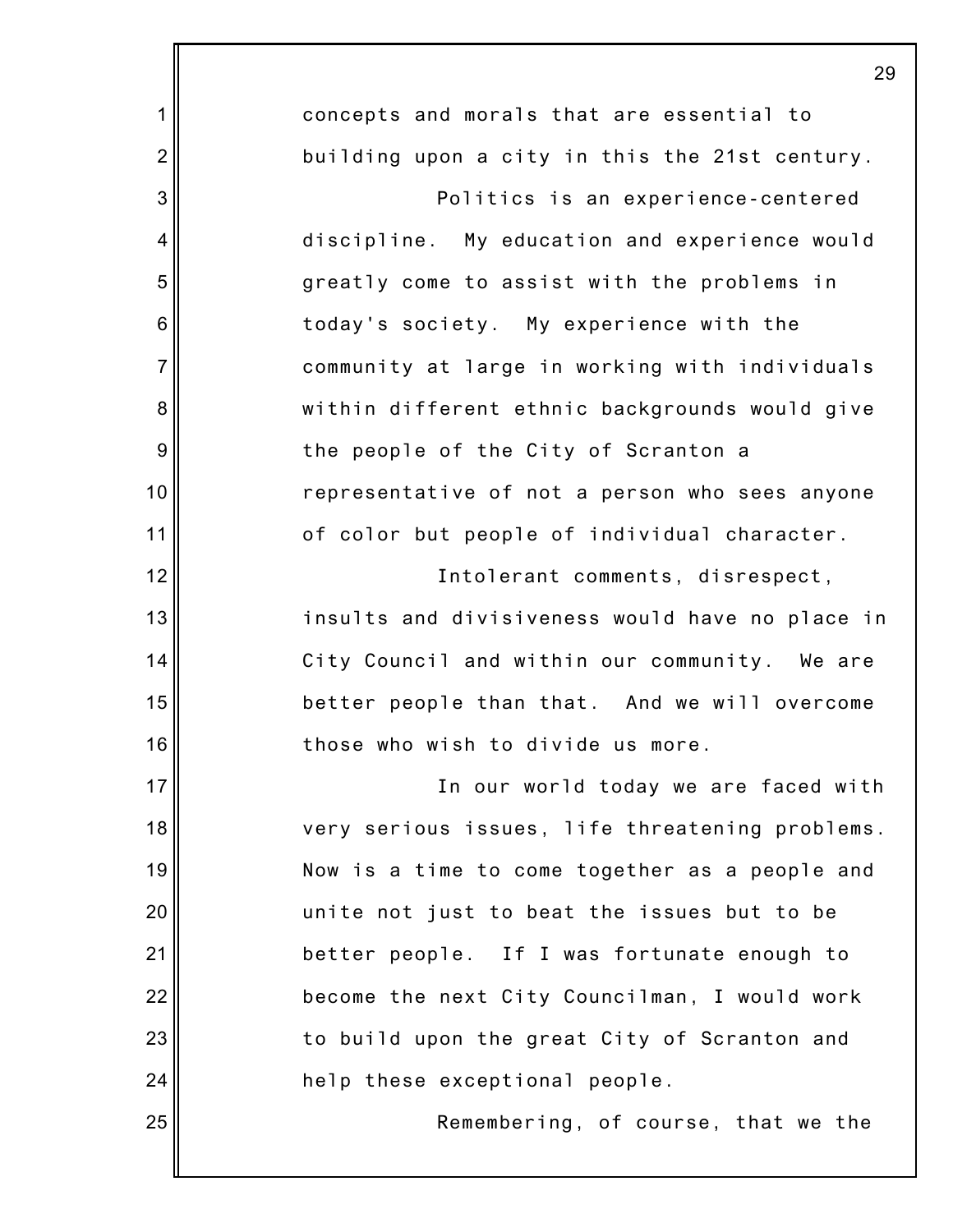|                 | 25                                              |
|-----------------|-------------------------------------------------|
| 1               | concepts and morals that are essential to       |
| $\overline{2}$  | building upon a city in this the 21st century.  |
| 3               | Politics is an experience-centered              |
| 4               | discipline. My education and experience would   |
| 5               | greatly come to assist with the problems in     |
| $6\phantom{1}6$ | today's society. My experience with the         |
| $\overline{7}$  | community at large in working with individuals  |
| 8               | within different ethnic backgrounds would give  |
| $\overline{9}$  | the people of the City of Scranton a            |
| 10              | representative of not a person who sees anyone  |
| 11              | of color but people of individual character.    |
| 12              | Intolerant comments, disrespect,                |
| 13              | insults and divisiveness would have no place in |
| 14              | City Council and within our community. We are   |
| 15              | better people than that. And we will overcome   |
| 16              | those who wish to divide us more.               |
| 17              | In our world today we are faced with            |
| 18              | very serious issues, life threatening problems. |
| 19              | Now is a time to come together as a people and  |
| 20              | unite not just to beat the issues but to be     |
| 21              | better people. If I was fortunate enough to     |
| 22              | become the next City Councilman, I would work   |
| 23              | to build upon the great City of Scranton and    |
| 24              | help these exceptional people.                  |
| 25              | Remembering, of course, that we the             |
|                 |                                                 |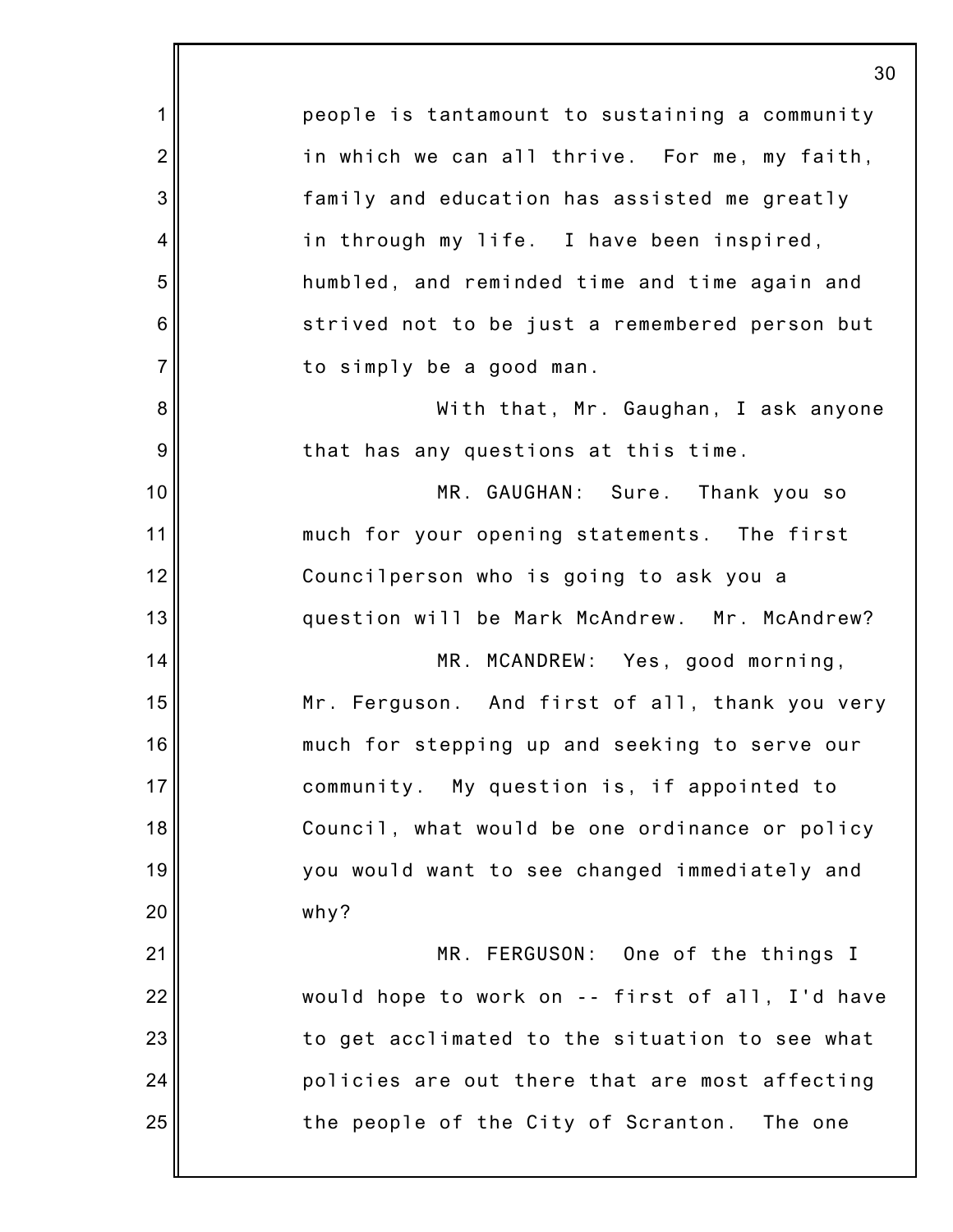1 2 3 4 5 6 7 8 9 10 11 12 13 14 15 16 17 18 19 20 21 22 23 24 25 30 people is tantamount to sustaining a community in which we can all thrive. For me, my faith, family and education has assisted me greatly in through my life. I have been inspired, humbled, and reminded time and time again and strived not to be just a remembered person but to simply be a good man. With that, Mr. Gaughan, I ask anyone that has any questions at this time. MR. GAUGHAN: Sure. Thank you so much for your opening statements. The first Councilperson who is going to ask you a question will be Mark McAndrew. Mr. McAndrew? MR. MCANDREW: Yes, good morning, Mr. Ferguson. And first of all, thank you very much for stepping up and seeking to serve our community. My question is, if appointed to Council, what would be one ordinance or policy you would want to see changed immediately and why? MR. FERGUSON: One of the things I would hope to work on -- first of all, I'd have to get acclimated to the situation to see what policies are out there that are most affecting the people of the City of Scranton. The one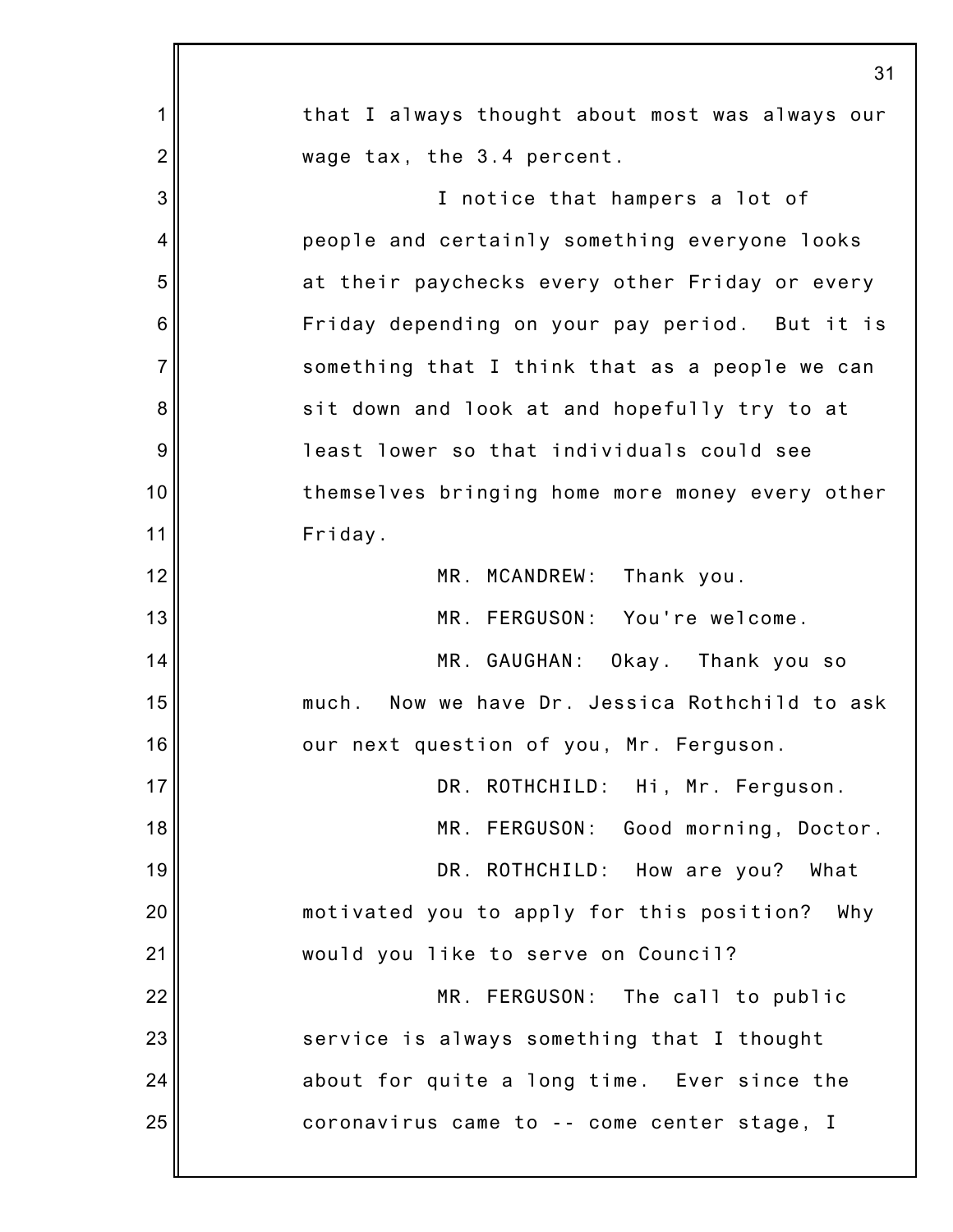|                 | 31                                                |
|-----------------|---------------------------------------------------|
| 1               | that I always thought about most was always our   |
| $\overline{2}$  | wage tax, the 3.4 percent.                        |
| 3               | I notice that hampers a lot of                    |
| 4               | people and certainly something everyone looks     |
| 5               | at their paychecks every other Friday or every    |
| $6\phantom{1}6$ | Friday depending on your pay period. But it is    |
| $\overline{7}$  | something that I think that as a people we can    |
| 8               | sit down and look at and hopefully try to at      |
| $\overline{9}$  | least lower so that individuals could see         |
| 10              | themselves bringing home more money every other   |
| 11              | Friday.                                           |
| 12              | MR. MCANDREW: Thank you.                          |
| 13              | MR. FERGUSON: You're welcome.                     |
| 14              | MR. GAUGHAN: Okay. Thank you so                   |
| 15              | Now we have Dr. Jessica Rothchild to ask<br>much. |
| 16              | our next question of you, Mr. Ferguson.           |
| 17              | DR. ROTHCHILD: Hi, Mr. Ferguson.                  |
| 18              | MR. FERGUSON: Good morning, Doctor.               |
| 19              | DR. ROTHCHILD: How are you? What                  |
| 20              | motivated you to apply for this position? Why     |
| 21              | would you like to serve on Council?               |
| 22              | MR. FERGUSON: The call to public                  |
| 23              | service is always something that I thought        |
| 24              | about for quite a long time. Ever since the       |
| 25              | coronavirus came to -- come center stage, I       |
|                 |                                                   |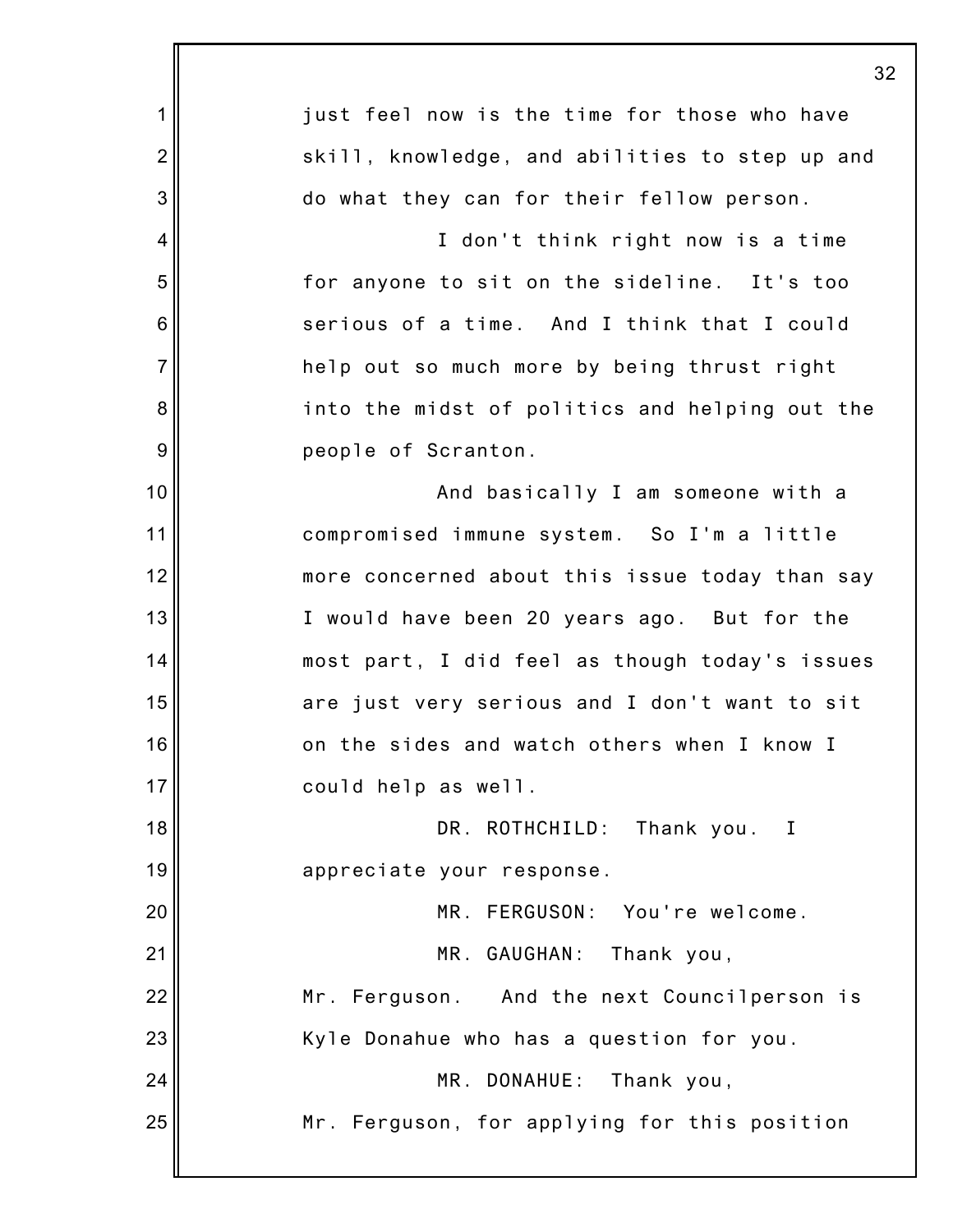|                 | 32                                             |
|-----------------|------------------------------------------------|
| 1               | just feel now is the time for those who have   |
| $\overline{2}$  | skill, knowledge, and abilities to step up and |
| 3               | do what they can for their fellow person.      |
| 4               | I don't think right now is a time              |
| 5               | for anyone to sit on the sideline. It's too    |
| $6\phantom{1}6$ | serious of a time. And I think that I could    |
| $\overline{7}$  | help out so much more by being thrust right    |
| 8               | into the midst of politics and helping out the |
| $\overline{9}$  | people of Scranton.                            |
| 10              | And basically I am someone with a              |
| 11              | compromised immune system. So I'm a little     |
| 12              | more concerned about this issue today than say |
| 13              | I would have been 20 years ago. But for the    |
| 14              | most part, I did feel as though today's issues |
| 15              | are just very serious and I don't want to sit  |
| 16              | on the sides and watch others when I know I    |
| 17              | could help as well.                            |
| 18              | DR. ROTHCHILD: Thank you. I                    |
| 19              | appreciate your response.                      |
| 20              | MR. FERGUSON: You're welcome.                  |
| 21              | MR. GAUGHAN:<br>Thank you,                     |
| 22              | Mr. Ferguson. And the next Councilperson is    |
| 23              | Kyle Donahue who has a question for you.       |
| 24              | MR. DONAHUE:<br>Thank you,                     |
| 25              | Mr. Ferguson, for applying for this position   |
|                 |                                                |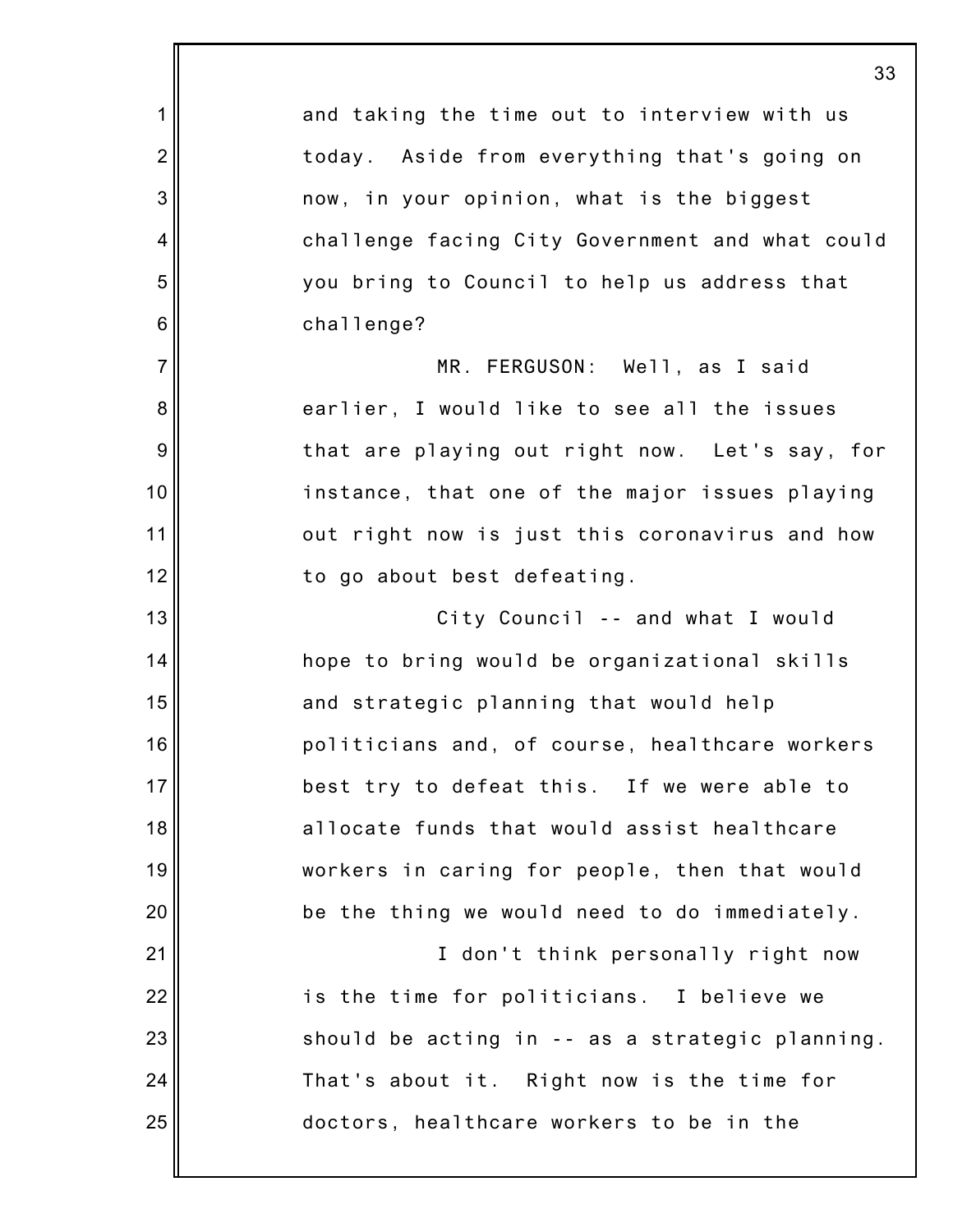|                 | 33                                              |
|-----------------|-------------------------------------------------|
| 1               | and taking the time out to interview with us    |
| $\overline{2}$  | today. Aside from everything that's going on    |
| 3               | now, in your opinion, what is the biggest       |
| 4               | challenge facing City Government and what could |
| 5               | you bring to Council to help us address that    |
| $6\phantom{1}6$ | challenge?                                      |
| $\overline{7}$  | MR. FERGUSON: Well, as I said                   |
| 8               | earlier, I would like to see all the issues     |
| $\overline{9}$  | that are playing out right now. Let's say, for  |
| 10              | instance, that one of the major issues playing  |
| 11              | out right now is just this coronavirus and how  |
| 12              | to go about best defeating.                     |
| 13              | City Council -- and what I would                |
| 14              | hope to bring would be organizational skills    |
| 15              | and strategic planning that would help          |
| 16              | politicians and, of course, healthcare workers  |
| 17              | best try to defeat this. If we were able to     |
| 18              | allocate funds that would assist healthcare     |
| 19              | workers in caring for people, then that would   |
| 20              | be the thing we would need to do immediately.   |
| 21              | I don't think personally right now              |
| 22              | is the time for politicians. I believe we       |
| 23              | should be acting in -- as a strategic planning. |
| 24              | That's about it. Right now is the time for      |
| 25              | doctors, healthcare workers to be in the        |
|                 |                                                 |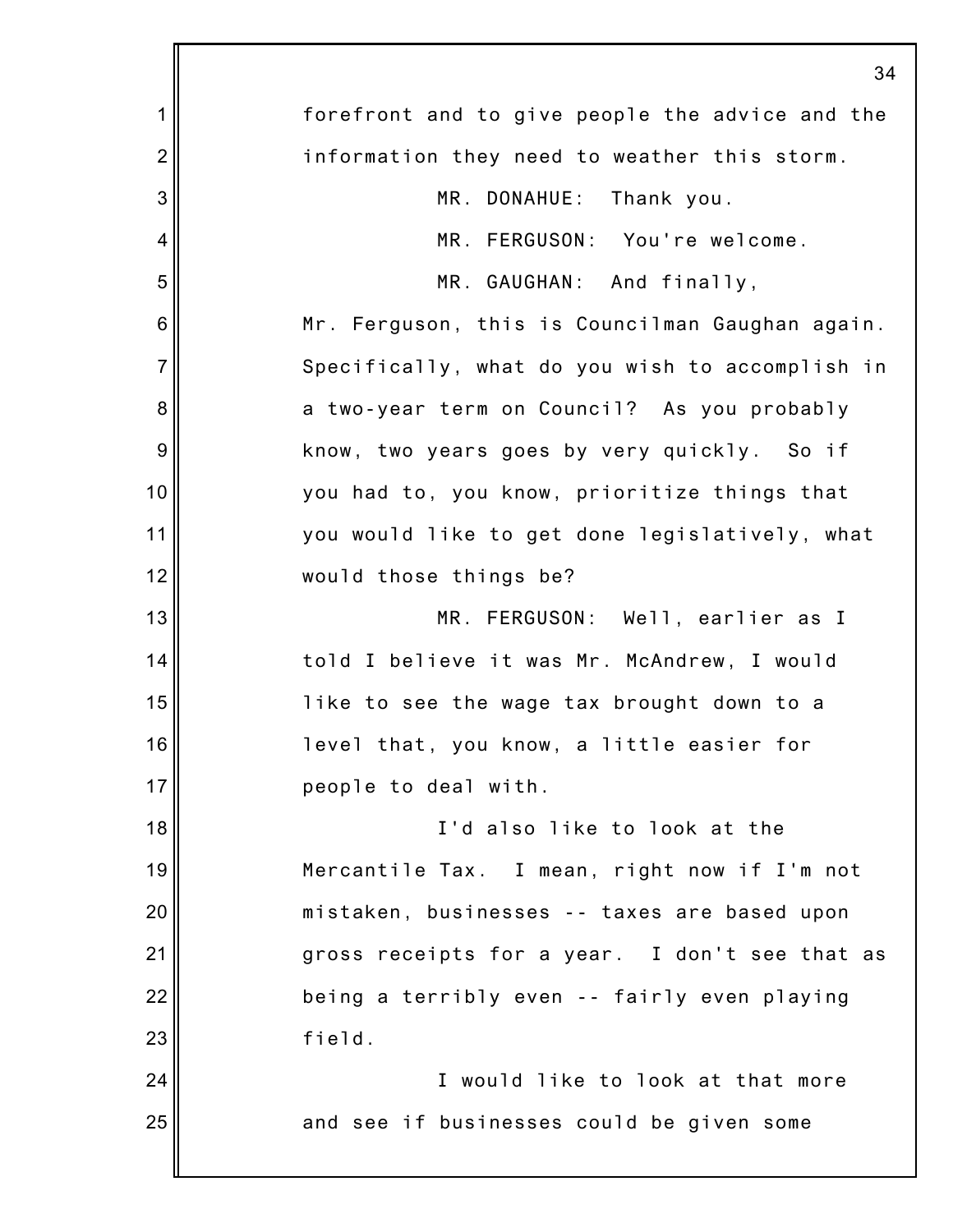|                 | 34                                              |
|-----------------|-------------------------------------------------|
| 1               | forefront and to give people the advice and the |
| $\overline{2}$  | information they need to weather this storm.    |
| 3               | MR. DONAHUE: Thank you.                         |
| 4               | MR. FERGUSON: You're welcome.                   |
| 5               | MR. GAUGHAN: And finally,                       |
| $6\phantom{1}6$ | Mr. Ferguson, this is Councilman Gaughan again. |
| $\overline{7}$  | Specifically, what do you wish to accomplish in |
| 8               | a two-year term on Council? As you probably     |
| 9               | know, two years goes by very quickly. So if     |
| 10              | you had to, you know, prioritize things that    |
| 11              | you would like to get done legislatively, what  |
| 12              | would those things be?                          |
| 13              | MR. FERGUSON: Well, earlier as I                |
| 14              | told I believe it was Mr. McAndrew, I would     |
| 15              | like to see the wage tax brought down to a      |
| 16              | level that, you know, a little easier for       |
| 17              | people to deal with.                            |
| 18              | I'd also like to look at the                    |
| 19              | Mercantile Tax. I mean, right now if I'm not    |
| 20              | mistaken, businesses -- taxes are based upon    |
| 21              | gross receipts for a year. I don't see that as  |
| 22              | being a terribly even -- fairly even playing    |
| 23              | field.                                          |
| 24              | I would like to look at that more               |
| 25              | and see if businesses could be given some       |
|                 |                                                 |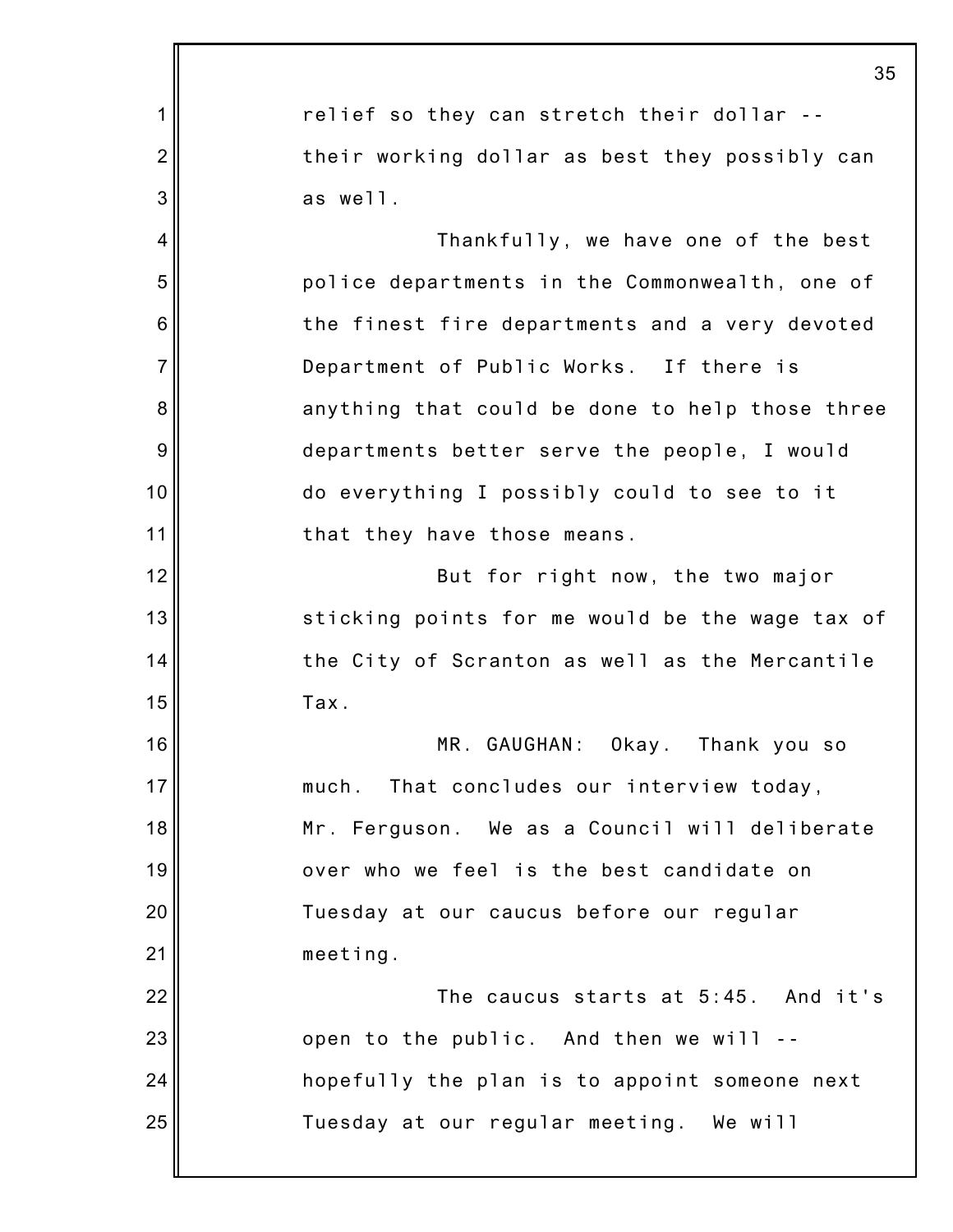|                | 35                                              |
|----------------|-------------------------------------------------|
| 1              | relief so they can stretch their dollar --      |
| $\overline{2}$ | their working dollar as best they possibly can  |
| 3              | as well.                                        |
| $\overline{4}$ | Thankfully, we have one of the best             |
| 5              | police departments in the Commonwealth, one of  |
| 6              | the finest fire departments and a very devoted  |
| $\overline{7}$ | Department of Public Works. If there is         |
| 8              | anything that could be done to help those three |
| 9              | departments better serve the people, I would    |
| 10             | do everything I possibly could to see to it     |
| 11             | that they have those means.                     |
| 12             | But for right now, the two major                |
| 13             | sticking points for me would be the wage tax of |
| 14             | the City of Scranton as well as the Mercantile  |
| 15             | Tax.                                            |
| 16             | MR. GAUGHAN: Okay. Thank you so                 |
| 17             | much. That concludes our interview today,       |
| 18             | Mr. Ferguson. We as a Council will deliberate   |
| 19             | over who we feel is the best candidate on       |
| 20             | Tuesday at our caucus before our regular        |
| 21             | meeting.                                        |
| 22             | The caucus starts at 5:45. And it's             |
| 23             | open to the public. And then we will --         |
| 24             | hopefully the plan is to appoint someone next   |
| 25             | Tuesday at our regular meeting. We will         |
|                |                                                 |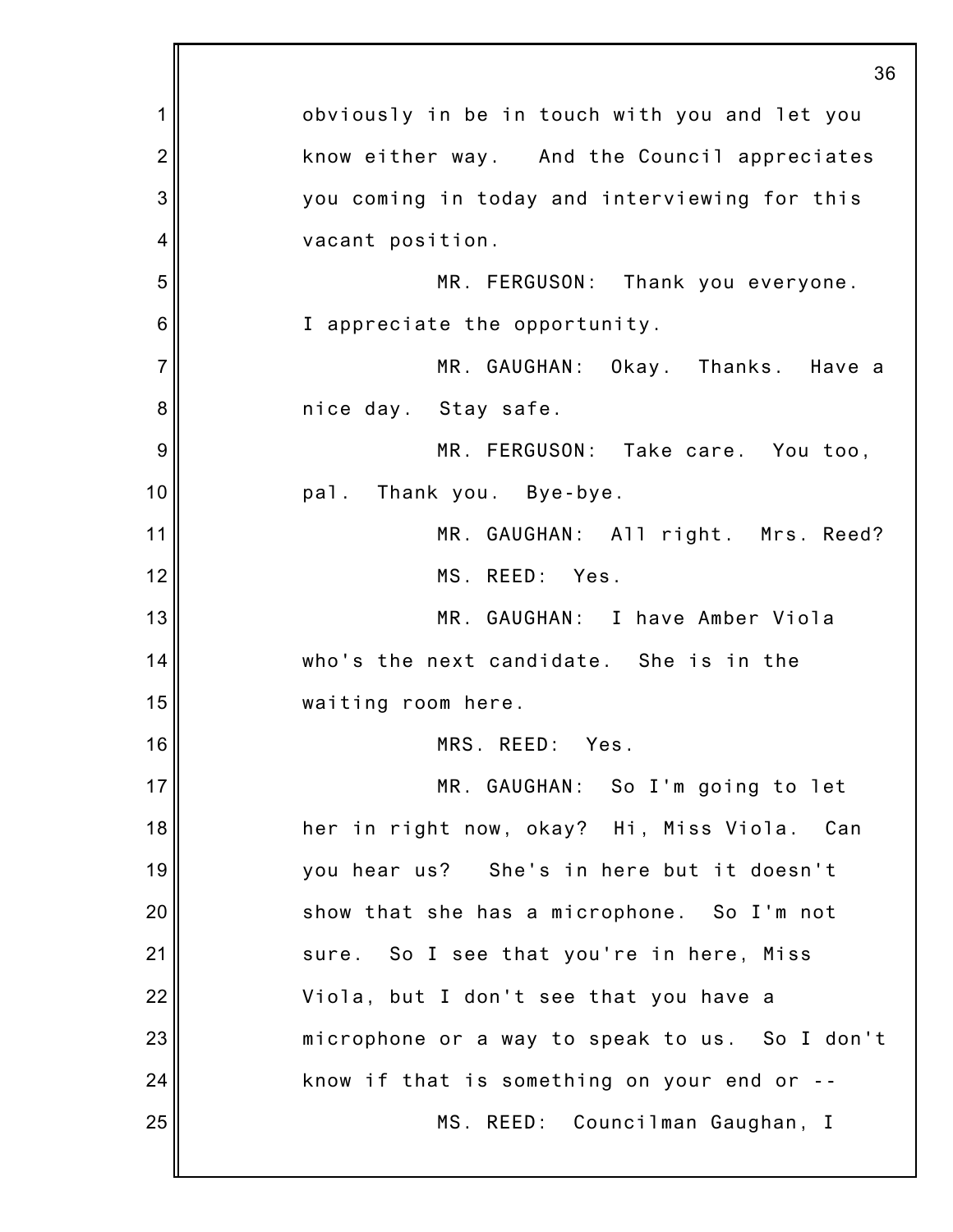|                | 36                                             |
|----------------|------------------------------------------------|
| 1              | obviously in be in touch with you and let you  |
| $\overline{2}$ | know either way. And the Council appreciates   |
| 3              | you coming in today and interviewing for this  |
| 4              | vacant position.                               |
| 5              | MR. FERGUSON: Thank you everyone.              |
| 6              | I appreciate the opportunity.                  |
| $\overline{7}$ | MR. GAUGHAN: Okay. Thanks. Have a              |
| 8              | nice day. Stay safe.                           |
| 9              | MR. FERGUSON: Take care. You too,              |
| 10             | pal. Thank you. Bye-bye.                       |
| 11             | MR. GAUGHAN: All right. Mrs. Reed?             |
| 12             | MS. REED: Yes.                                 |
| 13             | MR. GAUGHAN: I have Amber Viola                |
| 14             | who's the next candidate. She is in the        |
| 15             | waiting room here.                             |
| 16             | MRS. REED: Yes.                                |
| 17             | MR. GAUGHAN: So I'm going to let               |
| 18             | her in right now, okay? Hi, Miss Viola. Can    |
| 19             | you hear us? She's in here but it doesn't      |
| 20             | show that she has a microphone. So I'm not     |
| 21             | sure. So I see that you're in here, Miss       |
| 22             | Viola, but I don't see that you have a         |
| 23             | microphone or a way to speak to us. So I don't |
| 24             | know if that is something on your end or --    |
| 25             | MS. REED: Councilman Gaughan, I                |
|                |                                                |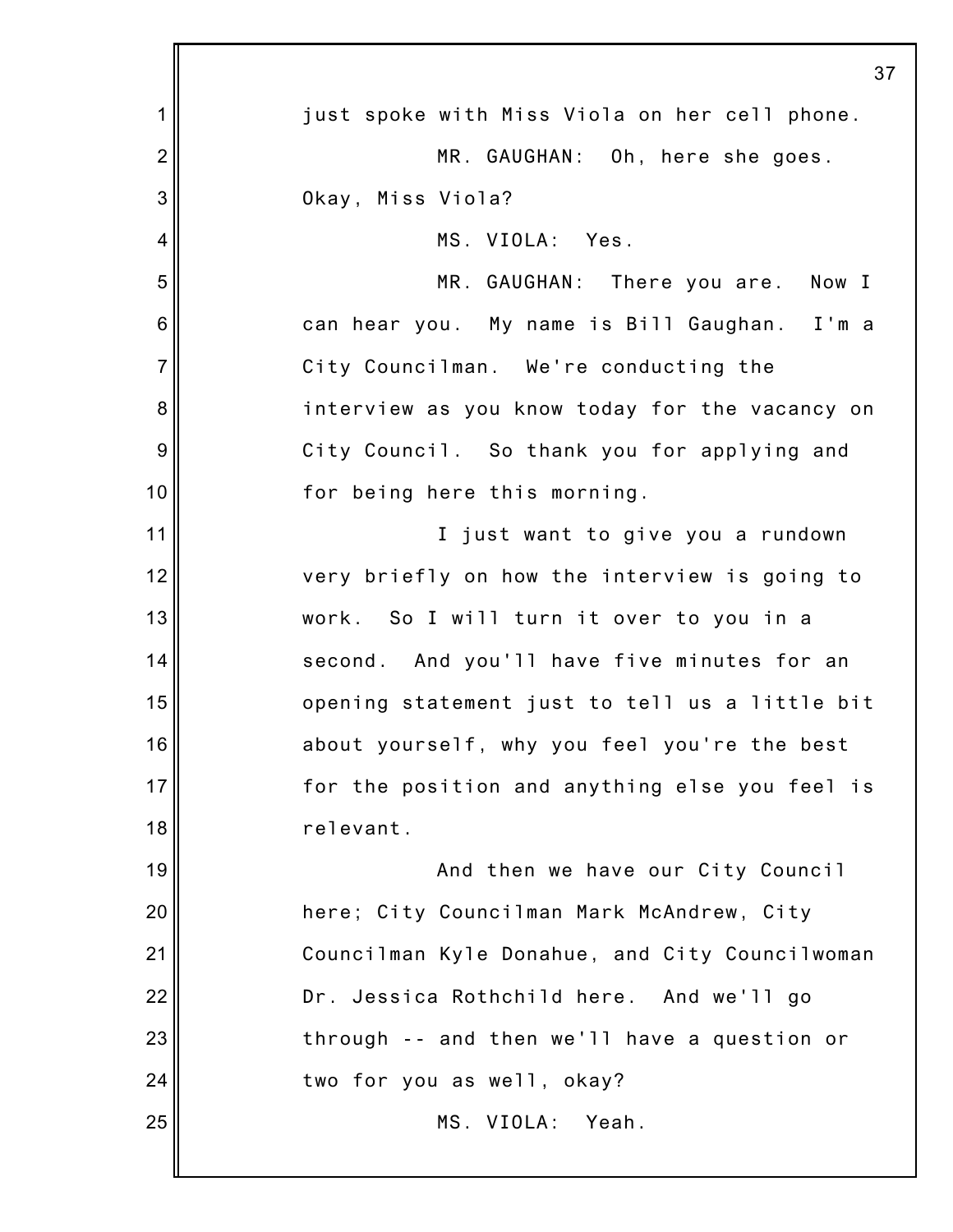|                 | 37                                             |
|-----------------|------------------------------------------------|
| 1               | just spoke with Miss Viola on her cell phone.  |
| $\overline{2}$  | MR. GAUGHAN: Oh, here she goes.                |
| 3               | Okay, Miss Viola?                              |
| 4               | MS. VIOLA: Yes.                                |
| 5               | MR. GAUGHAN: There you are. Now I              |
| $6\phantom{1}6$ | can hear you. My name is Bill Gaughan. I'm a   |
| $\overline{7}$  | City Councilman. We're conducting the          |
| 8               | interview as you know today for the vacancy on |
| $\overline{9}$  | City Council. So thank you for applying and    |
| 10              | for being here this morning.                   |
| 11              | I just want to give you a rundown              |
| 12              | very briefly on how the interview is going to  |
| 13              | work. So I will turn it over to you in a       |
| 14              | second. And you'll have five minutes for an    |
| 15              | opening statement just to tell us a little bit |
| 16              | about yourself, why you feel you're the best   |
| 17              | for the position and anything else you feel is |
| 18              | relevant.                                      |
| 19              | And then we have our City Council              |
| 20              | here; City Councilman Mark McAndrew, City      |
| 21              | Councilman Kyle Donahue, and City Councilwoman |
| 22              | Dr. Jessica Rothchild here. And we'll go       |
| 23              | through -- and then we'll have a question or   |
| 24              | two for you as well, okay?                     |
| 25              | MS. VIOLA: Yeah.                               |
|                 |                                                |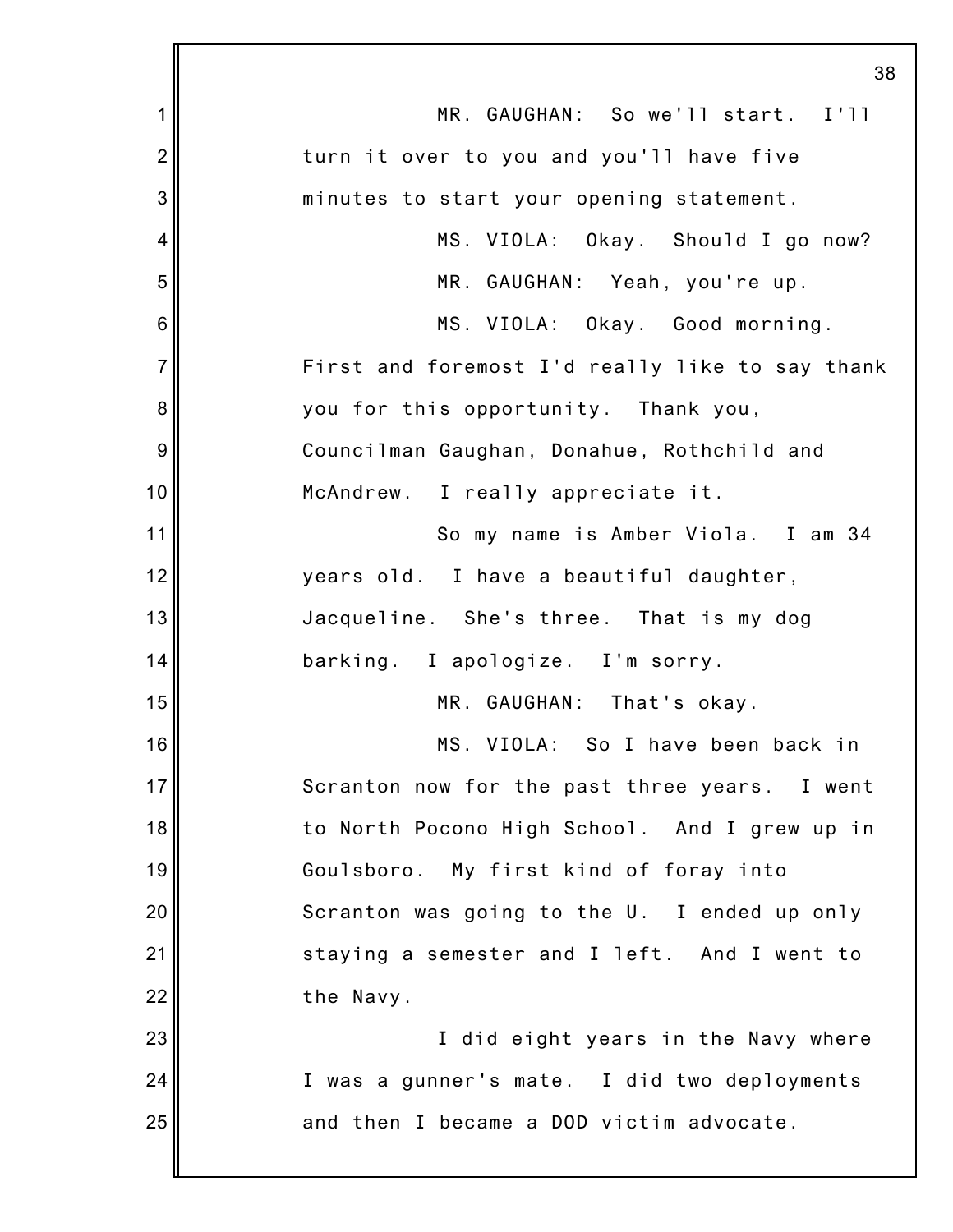|                 | 38                                              |
|-----------------|-------------------------------------------------|
| 1               | MR. GAUGHAN: So we'll start. I'll               |
| $\overline{2}$  | turn it over to you and you'll have five        |
| 3               | minutes to start your opening statement.        |
| 4               | MS. VIOLA: Okay. Should I go now?               |
| 5               | MR. GAUGHAN: Yeah, you're up.                   |
| $6\phantom{1}6$ | MS. VIOLA: Okay. Good morning.                  |
| $\overline{7}$  | First and foremost I'd really like to say thank |
| 8               | you for this opportunity. Thank you,            |
| 9               | Councilman Gaughan, Donahue, Rothchild and      |
| 10              | McAndrew. I really appreciate it.               |
| 11              | So my name is Amber Viola. I am 34              |
| 12              | years old. I have a beautiful daughter,         |
| 13              | Jacqueline. She's three. That is my dog         |
| 14              | barking. I apologize. I'm sorry.                |
| 15              | MR. GAUGHAN: That's okay.                       |
| 16              | MS. VIOLA: So I have been back in               |
| 17              | Scranton now for the past three years. I went   |
| 18              | to North Pocono High School. And I grew up in   |
| 19              | Goulsboro. My first kind of foray into          |
| 20              | Scranton was going to the U. I ended up only    |
| 21              | staying a semester and I left. And I went to    |
| 22              | the Navy.                                       |
| 23              | I did eight years in the Navy where             |
| 24              | I was a gunner's mate. I did two deployments    |
| 25              | and then I became a DOD victim advocate.        |
|                 |                                                 |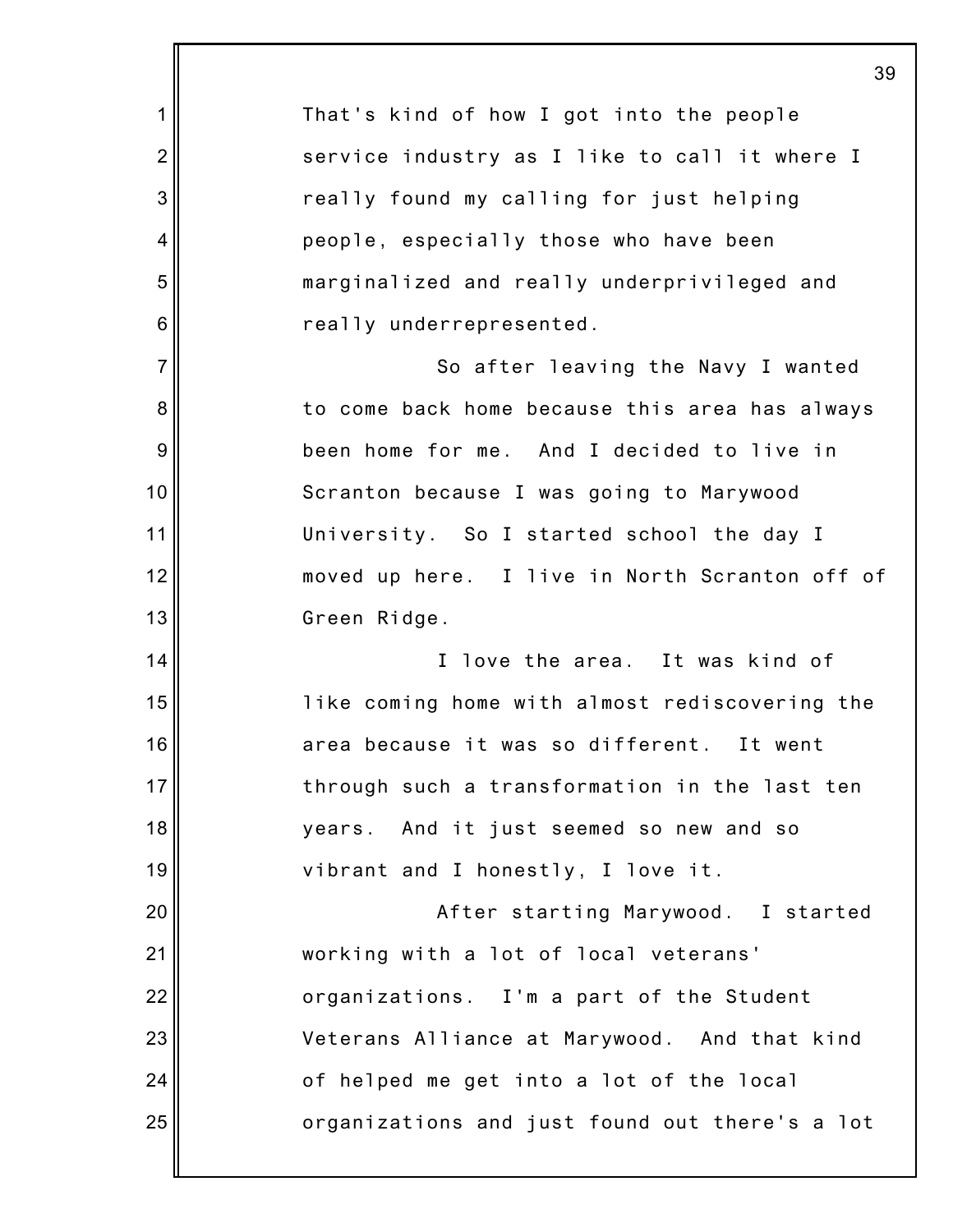|                 | 39                                             |
|-----------------|------------------------------------------------|
| 1               | That's kind of how I got into the people       |
| $\overline{2}$  | service industry as I like to call it where I  |
| 3               | really found my calling for just helping       |
| 4               | people, especially those who have been         |
| 5               | marginalized and really underprivileged and    |
| $6\phantom{1}6$ | really underrepresented.                       |
| $\overline{7}$  | So after leaving the Navy I wanted             |
| 8               | to come back home because this area has always |
| $\overline{9}$  | been home for me. And I decided to live in     |
| 10              | Scranton because I was going to Marywood       |
| 11              | University. So I started school the day I      |
| 12              | moved up here. I live in North Scranton off of |
| 13              | Green Ridge.                                   |
| 14              | I love the area. It was kind of                |
| 15              | like coming home with almost rediscovering the |
| 16              | area because it was so different. It went      |
| 17              | through such a transformation in the last ten  |
| 18              | years. And it just seemed so new and so        |
| 19              | vibrant and I honestly, I love it.             |
| 20              | After starting Marywood. I started             |
| 21              | working with a lot of local veterans'          |
| 22              | organizations. I'm a part of the Student       |
| 23              | Veterans Alliance at Marywood. And that kind   |
| 24              | of helped me get into a lot of the local       |
| 25              | organizations and just found out there's a lot |
|                 |                                                |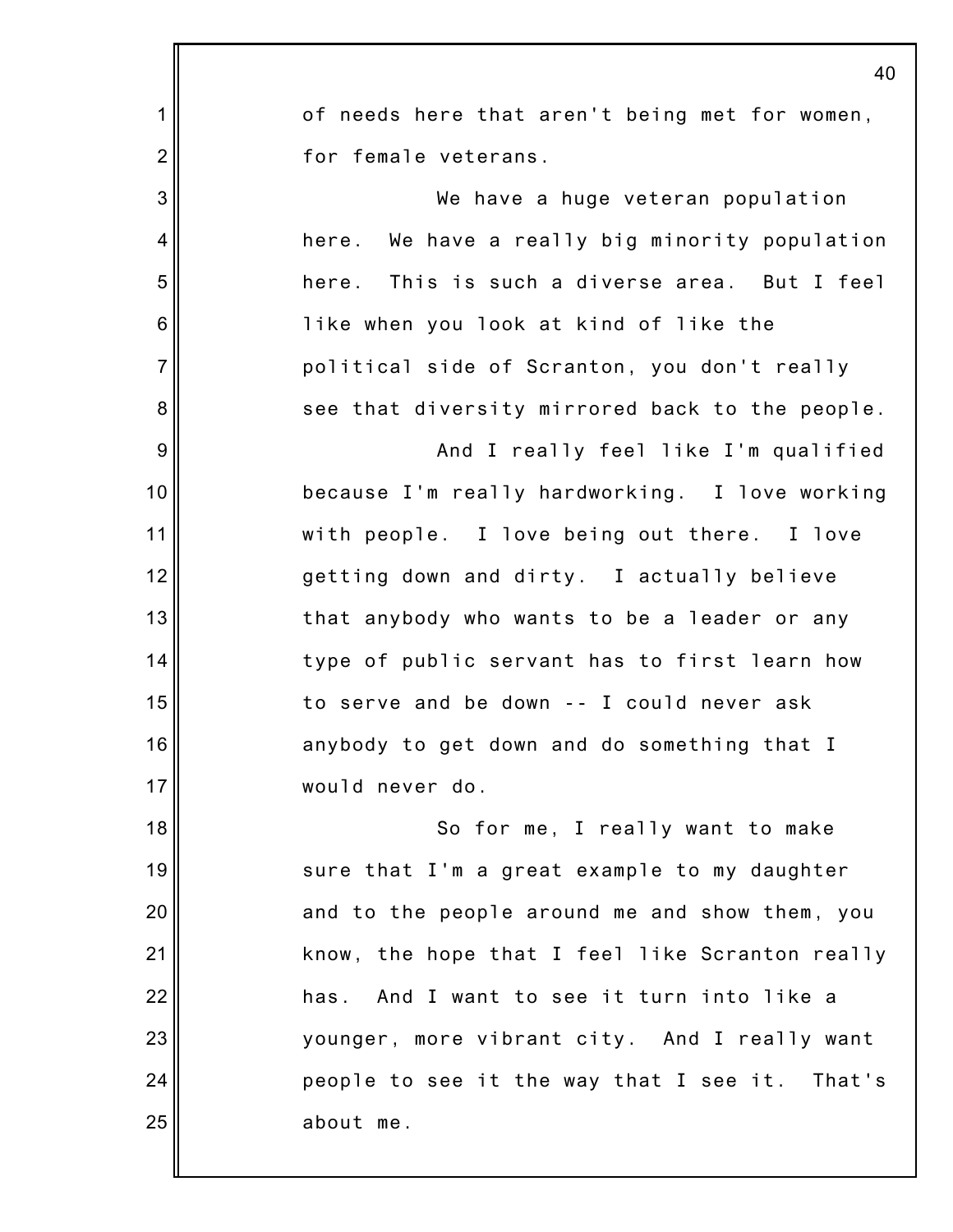|                 | 40                                                |
|-----------------|---------------------------------------------------|
| 1               | of needs here that aren't being met for women,    |
| $\overline{2}$  | for female veterans.                              |
| 3               | We have a huge veteran population                 |
| 4               | We have a really big minority population<br>here. |
| 5               | here. This is such a diverse area. But I feel     |
| $6\phantom{1}6$ | like when you look at kind of like the            |
| $\overline{7}$  | political side of Scranton, you don't really      |
| 8               | see that diversity mirrored back to the people.   |
| 9               | And I really feel like I'm qualified              |
| 10              | because I'm really hardworking. I love working    |
| 11              | with people. I love being out there. I love       |
| 12              | getting down and dirty. I actually believe        |
| 13              | that anybody who wants to be a leader or any      |
| 14              | type of public servant has to first learn how     |
| 15              | to serve and be down -- I could never ask         |
| 16              | anybody to get down and do something that I       |
| 17              | would never do.                                   |
| 18              | So for me, I really want to make                  |
| 19              | sure that I'm a great example to my daughter      |
| 20              | and to the people around me and show them, you    |
| 21              | know, the hope that I feel like Scranton really   |
| 22              | And I want to see it turn into like a<br>has.     |
| 23              | younger, more vibrant city. And I really want     |
| 24              | people to see it the way that I see it.<br>That's |
| 25              | about me.                                         |
|                 |                                                   |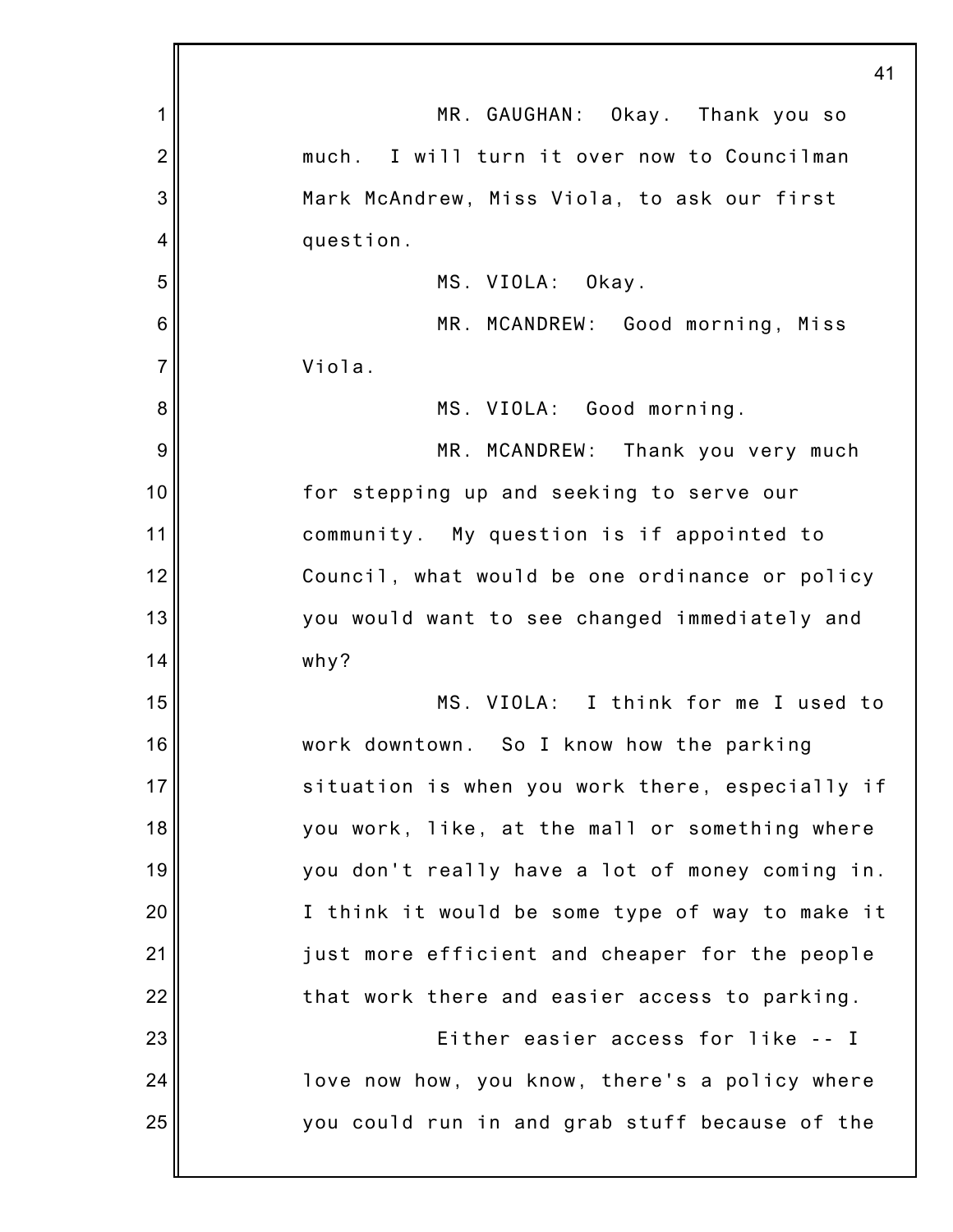|                | 41                                              |
|----------------|-------------------------------------------------|
| 1              | MR. GAUGHAN: Okay. Thank you so                 |
| $\overline{2}$ | much. I will turn it over now to Councilman     |
| 3              | Mark McAndrew, Miss Viola, to ask our first     |
| 4              | question.                                       |
| 5              | MS. VIOLA: Okay.                                |
| 6              | MR. MCANDREW: Good morning, Miss                |
| $\overline{7}$ | Viola.                                          |
| 8              | MS. VIOLA: Good morning.                        |
| 9              | MR. MCANDREW: Thank you very much               |
| 10             | for stepping up and seeking to serve our        |
| 11             | community. My question is if appointed to       |
| 12             | Council, what would be one ordinance or policy  |
| 13             | you would want to see changed immediately and   |
| 14             | why?                                            |
| 15             | MS. VIOLA: I think for me I used to             |
| 16             | work downtown. So I know how the parking        |
| 17             | situation is when you work there, especially if |
| 18             | you work, like, at the mall or something where  |
| 19             | you don't really have a lot of money coming in. |
| 20             | I think it would be some type of way to make it |
| 21             | just more efficient and cheaper for the people  |
| 22             | that work there and easier access to parking.   |
| 23             | Either easier access for like -- I              |
| 24             | love now how, you know, there's a policy where  |
| 25             | you could run in and grab stuff because of the  |
|                |                                                 |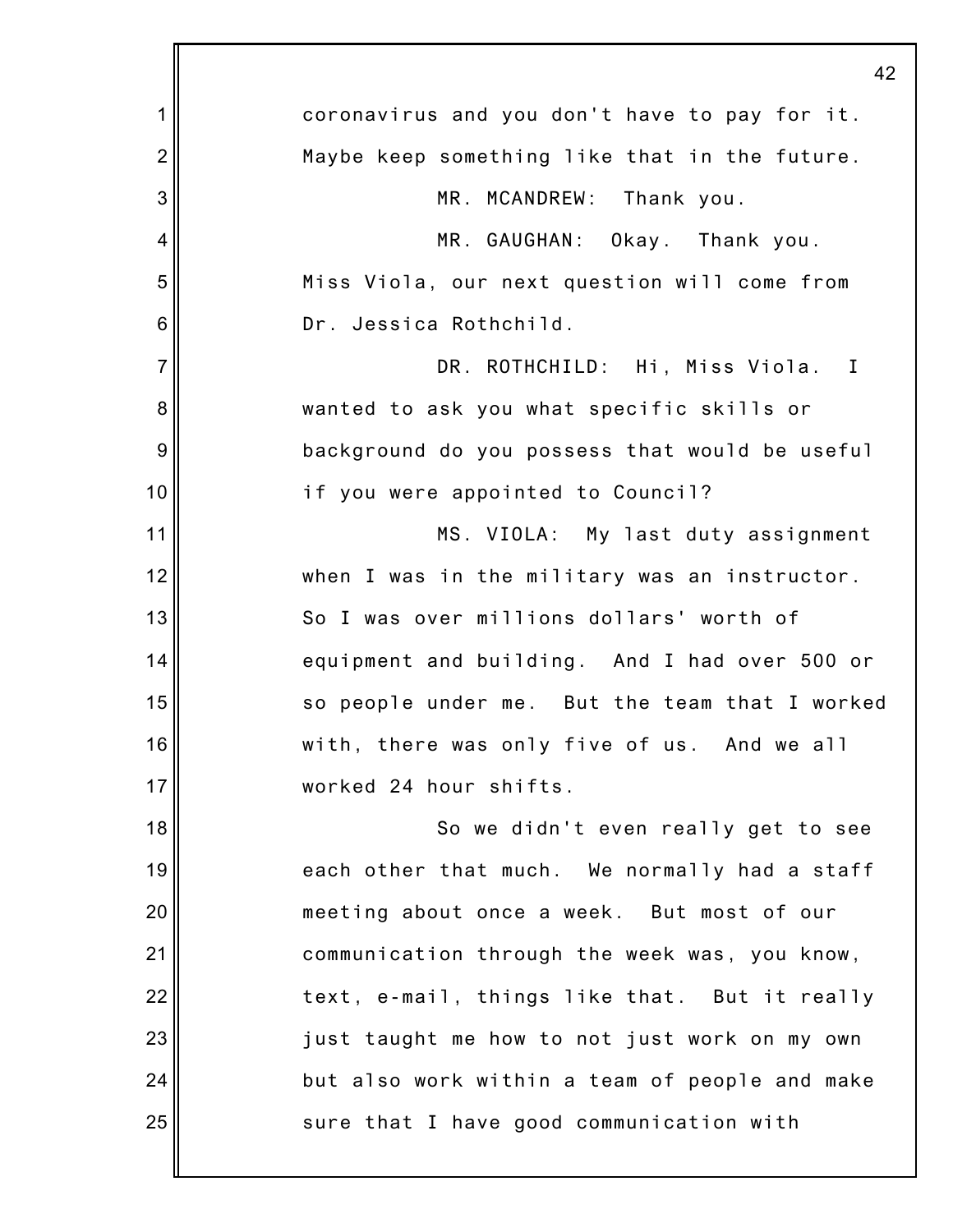|                | 42                                             |
|----------------|------------------------------------------------|
| 1              | coronavirus and you don't have to pay for it.  |
| $\overline{c}$ | Maybe keep something like that in the future.  |
| 3              | MR. MCANDREW: Thank you.                       |
| 4              | MR. GAUGHAN: Okay. Thank you.                  |
| 5              | Miss Viola, our next question will come from   |
| 6              | Dr. Jessica Rothchild.                         |
| $\overline{7}$ | DR. ROTHCHILD: Hi, Miss Viola. I               |
| 8              | wanted to ask you what specific skills or      |
| 9              | background do you possess that would be useful |
| 10             | if you were appointed to Council?              |
| 11             | MS. VIOLA: My last duty assignment             |
| 12             | when I was in the military was an instructor.  |
| 13             | So I was over millions dollars' worth of       |
| 14             | equipment and building. And I had over 500 or  |
| 15             | so people under me. But the team that I worked |
| 16             | with, there was only five of us. And we all    |
| 17             | worked 24 hour shifts.                         |
| 18             | So we didn't even really get to see            |
| 19             | each other that much. We normally had a staff  |
| 20             | meeting about once a week. But most of our     |
| 21             | communication through the week was, you know,  |
| 22             | text, e-mail, things like that. But it really  |
| 23             | just taught me how to not just work on my own  |
| 24             | but also work within a team of people and make |
| 25             | sure that I have good communication with       |
|                |                                                |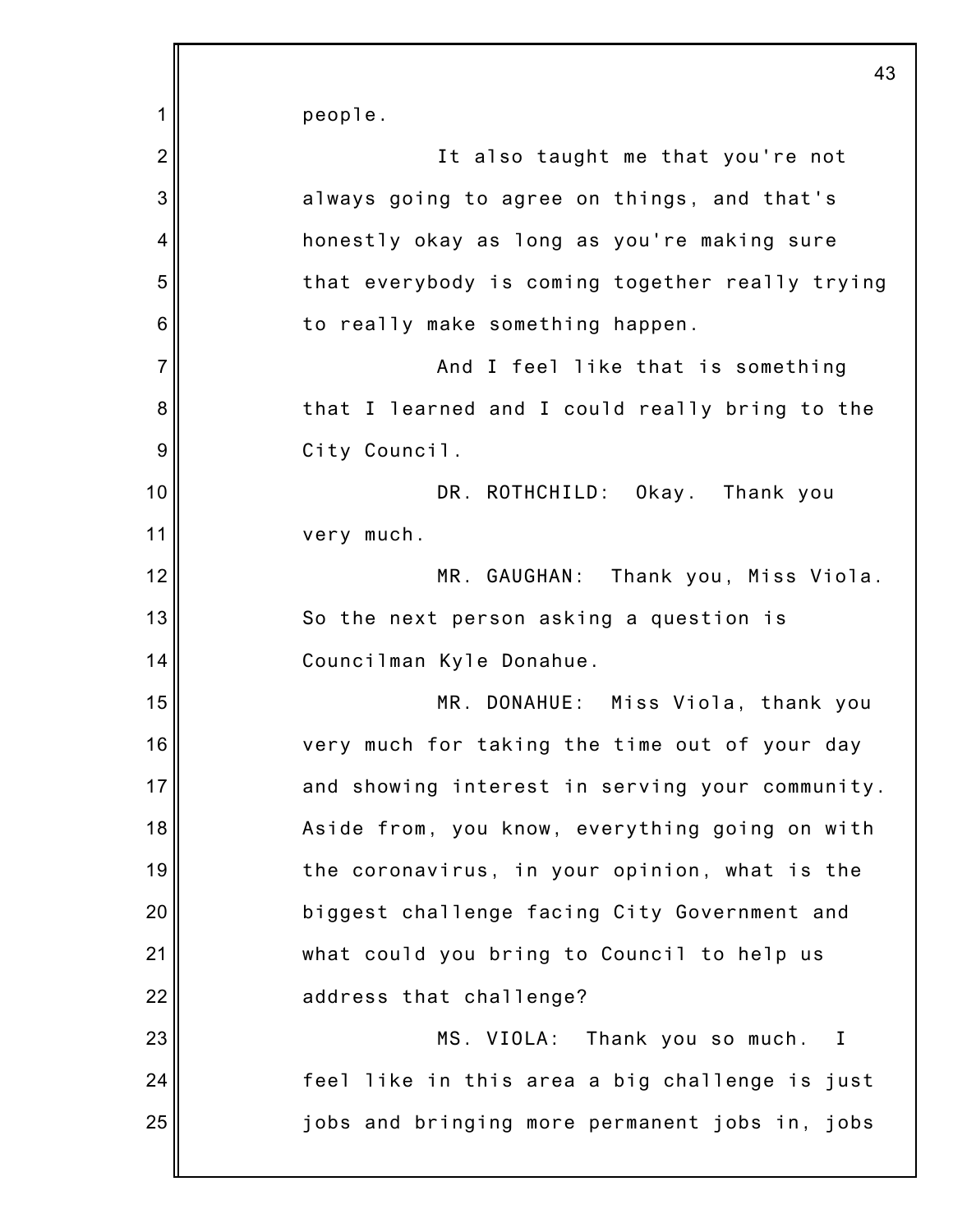1 2 3 4 5 6 7 8 9 10 11 12 13 14 15 16 17 18 19 20 21 22 23 24 25 43 people. It also taught me that you're not always going to agree on things, and that's honestly okay as long as you're making sure that everybody is coming together really trying to really make something happen. And I feel like that is something that I learned and I could really bring to the City Council. DR. ROTHCHILD: Okay. Thank you very much. MR. GAUGHAN: Thank you, Miss Viola. So the next person asking a question is Councilman Kyle Donahue. MR. DONAHUE: Miss Viola, thank you very much for taking the time out of your day and showing interest in serving your community. Aside from, you know, everything going on with the coronavirus, in your opinion, what is the biggest challenge facing City Government and what could you bring to Council to help us address that challenge? MS. VIOLA: Thank you so much. I feel like in this area a big challenge is just jobs and bringing more permanent jobs in, jobs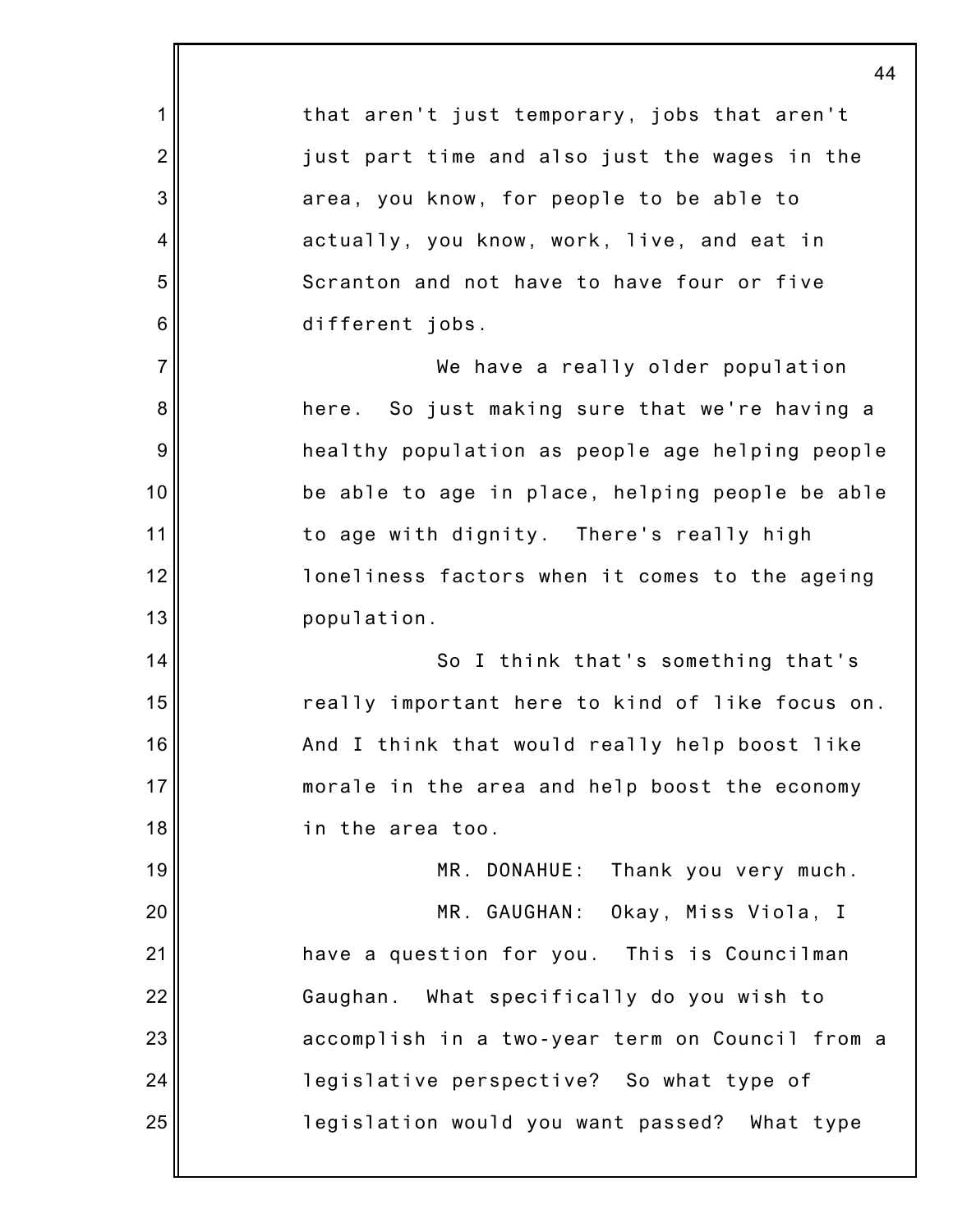|                 | 44                                              |
|-----------------|-------------------------------------------------|
| 1               | that aren't just temporary, jobs that aren't    |
| $\overline{2}$  | just part time and also just the wages in the   |
| 3               | area, you know, for people to be able to        |
| 4               | actually, you know, work, live, and eat in      |
| 5               | Scranton and not have to have four or five      |
| $6\phantom{1}6$ | different jobs.                                 |
| $\overline{7}$  | We have a really older population               |
| 8               | here. So just making sure that we're having a   |
| 9               | healthy population as people age helping people |
| 10              | be able to age in place, helping people be able |
| 11              | to age with dignity. There's really high        |
| 12              | loneliness factors when it comes to the ageing  |
| 13              | population.                                     |
| 14              | So I think that's something that's              |
| 15              | really important here to kind of like focus on. |
| 16              | And I think that would really help boost like   |
| 17              | morale in the area and help boost the economy   |
| 18              | in the area too.                                |
| 19              | MR. DONAHUE:<br>Thank you very much.            |
| 20              | MR. GAUGHAN: Okay, Miss Viola, I                |
| 21              | have a question for you. This is Councilman     |
| 22              | Gaughan. What specifically do you wish to       |
| 23              | accomplish in a two-year term on Council from a |
| 24              | legislative perspective? So what type of        |
| 25              | legislation would you want passed? What type    |
|                 |                                                 |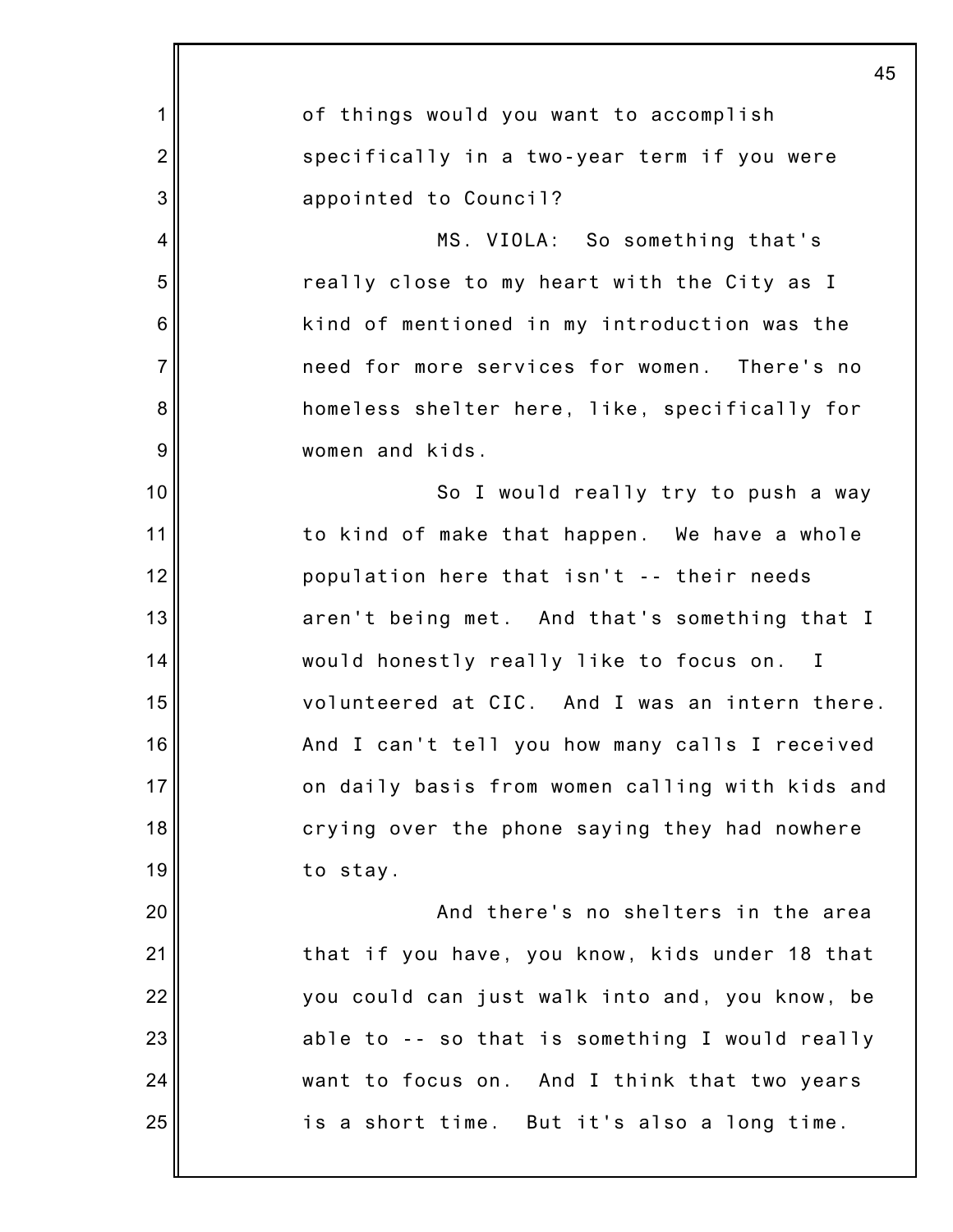|                 | 45                                              |
|-----------------|-------------------------------------------------|
| 1               | of things would you want to accomplish          |
| $\overline{2}$  | specifically in a two-year term if you were     |
| 3               | appointed to Council?                           |
| 4               | MS. VIOLA: So something that's                  |
| 5               | really close to my heart with the City as I     |
| $6\phantom{1}6$ | kind of mentioned in my introduction was the    |
| $\overline{7}$  | need for more services for women. There's no    |
| 8               | homeless shelter here, like, specifically for   |
| $\overline{9}$  | women and kids.                                 |
| 10              | So I would really try to push a way             |
| 11              | to kind of make that happen. We have a whole    |
| 12              | population here that isn't -- their needs       |
| 13              | aren't being met. And that's something that I   |
| 14              | would honestly really like to focus on. I       |
| 15              | volunteered at CIC. And I was an intern there.  |
| 16              | And I can't tell you how many calls I received  |
| 17              | on daily basis from women calling with kids and |
| 18              | crying over the phone saying they had nowhere   |
| 19              | to stay.                                        |
| 20              | And there's no shelters in the area             |
| 21              | that if you have, you know, kids under 18 that  |
| 22              | you could can just walk into and, you know, be  |
| 23              | able to -- so that is something I would really  |
| 24              | want to focus on. And I think that two years    |
| 25              | is a short time. But it's also a long time.     |
|                 |                                                 |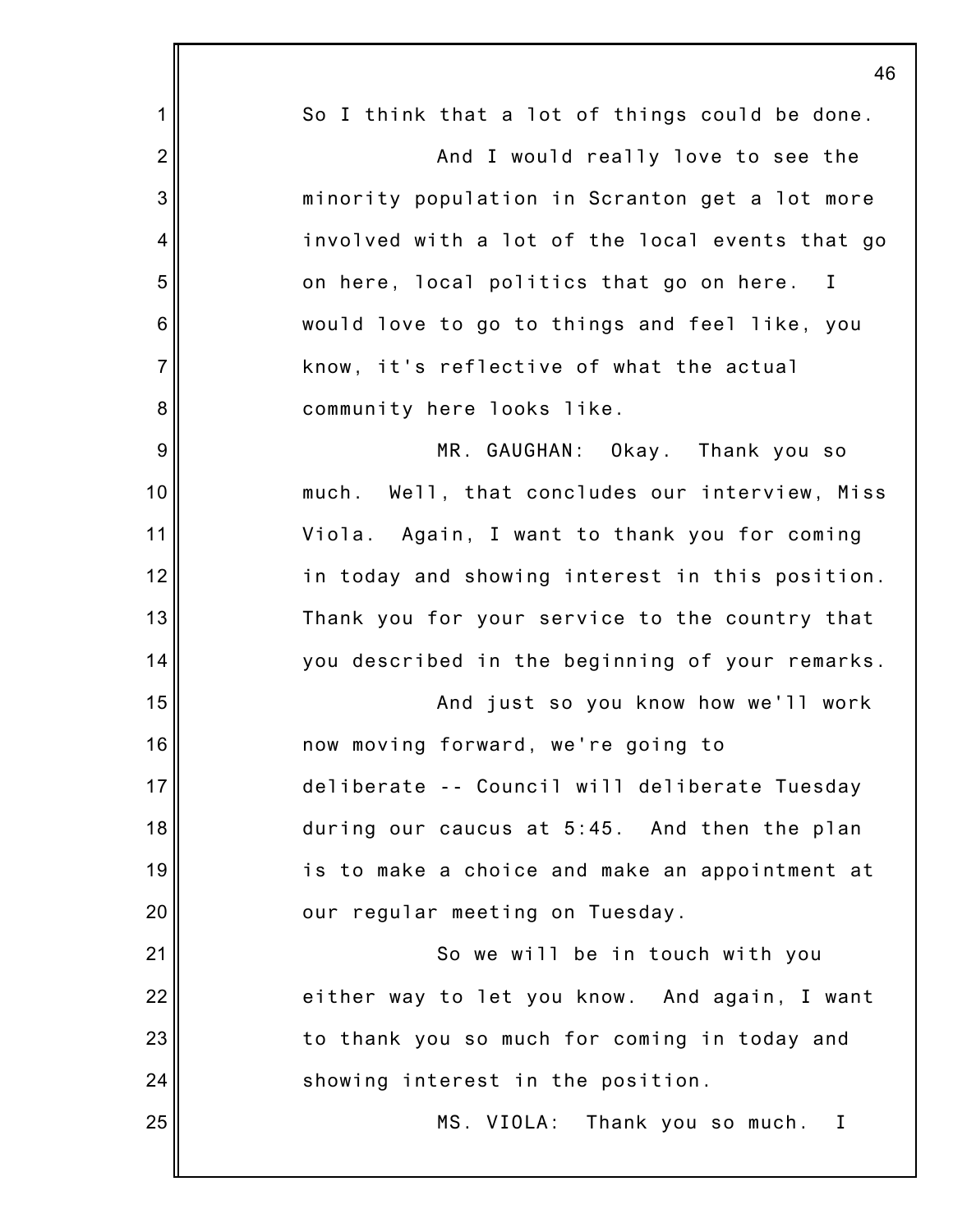|                 | 46                                                       |
|-----------------|----------------------------------------------------------|
| 1               | So I think that a lot of things could be done.           |
| $\overline{2}$  | And I would really love to see the                       |
| 3               | minority population in Scranton get a lot more           |
| 4               | involved with a lot of the local events that go          |
| 5               | on here, local politics that go on here.<br>$\mathbf{I}$ |
| $6\phantom{1}6$ | would love to go to things and feel like, you            |
| $\overline{7}$  | know, it's reflective of what the actual                 |
| 8               | community here looks like.                               |
| 9               | MR. GAUGHAN: Okay. Thank you so                          |
| 10              | much. Well, that concludes our interview, Miss           |
| 11              | Viola. Again, I want to thank you for coming             |
| 12              | in today and showing interest in this position.          |
| 13              | Thank you for your service to the country that           |
| 14              | you described in the beginning of your remarks.          |
| 15              | And just so you know how we'll work                      |
| 16              | now moving forward, we're going to                       |
| 17              | deliberate -- Council will deliberate Tuesday            |
| 18              | during our caucus at 5:45. And then the plan             |
| 19              | is to make a choice and make an appointment at           |
| 20              | our regular meeting on Tuesday.                          |
| 21              | So we will be in touch with you                          |
| 22              | either way to let you know. And again, I want            |
| 23              | to thank you so much for coming in today and             |
| 24              | showing interest in the position.                        |
| 25              | MS. VIOLA: Thank you so much. I                          |
|                 |                                                          |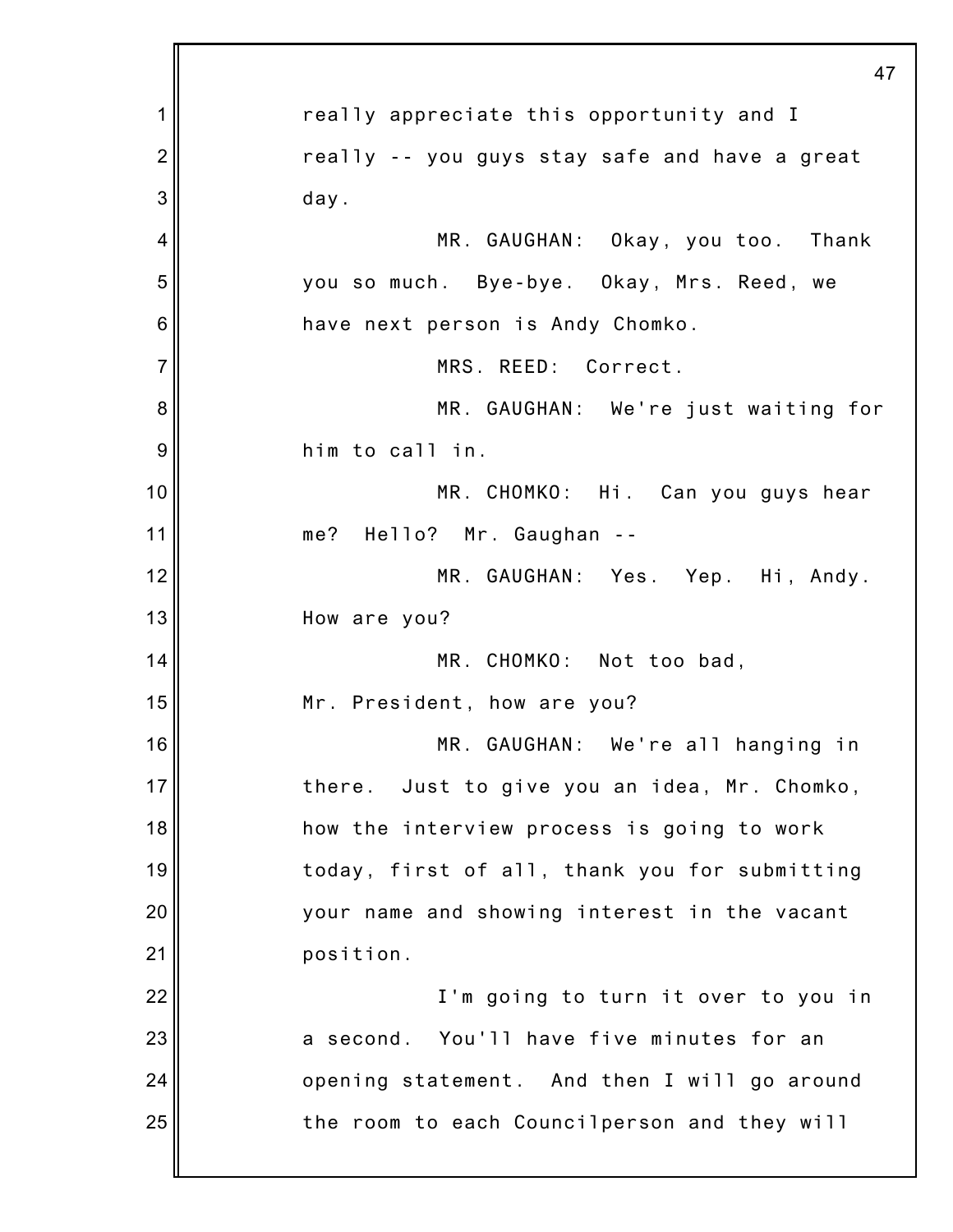|                | 47                                              |
|----------------|-------------------------------------------------|
| 1              | really appreciate this opportunity and I        |
| $\overline{2}$ | really -- you guys stay safe and have a great   |
| 3              | day.                                            |
| $\overline{4}$ | MR. GAUGHAN: Okay, you too. Thank               |
| 5              | you so much. Bye-bye. Okay, Mrs. Reed, we       |
| 6              | have next person is Andy Chomko.                |
| $\overline{7}$ | MRS. REED: Correct.                             |
| 8              | MR. GAUGHAN: We're just waiting for             |
| 9              | him to call in.                                 |
| 10             | MR. CHOMKO: Hi. Can you guys hear               |
| 11             | me? Hello? Mr. Gaughan --                       |
| 12             | MR. GAUGHAN: Yes. Yep. Hi, Andy.                |
| 13             | How are you?                                    |
| 14             | MR. CHOMKO: Not too bad,                        |
| 15             | Mr. President, how are you?                     |
| 16             | MR. GAUGHAN: We're all hanging in               |
| 17             | Just to give you an idea, Mr. Chomko,<br>there. |
| 18             | how the interview process is going to work      |
| 19             | today, first of all, thank you for submitting   |
| 20             | your name and showing interest in the vacant    |
| 21             | position.                                       |
| 22             | I'm going to turn it over to you in             |
| 23             | a second. You'll have five minutes for an       |
| 24             | opening statement. And then I will go around    |
| 25             | the room to each Councilperson and they will    |
|                |                                                 |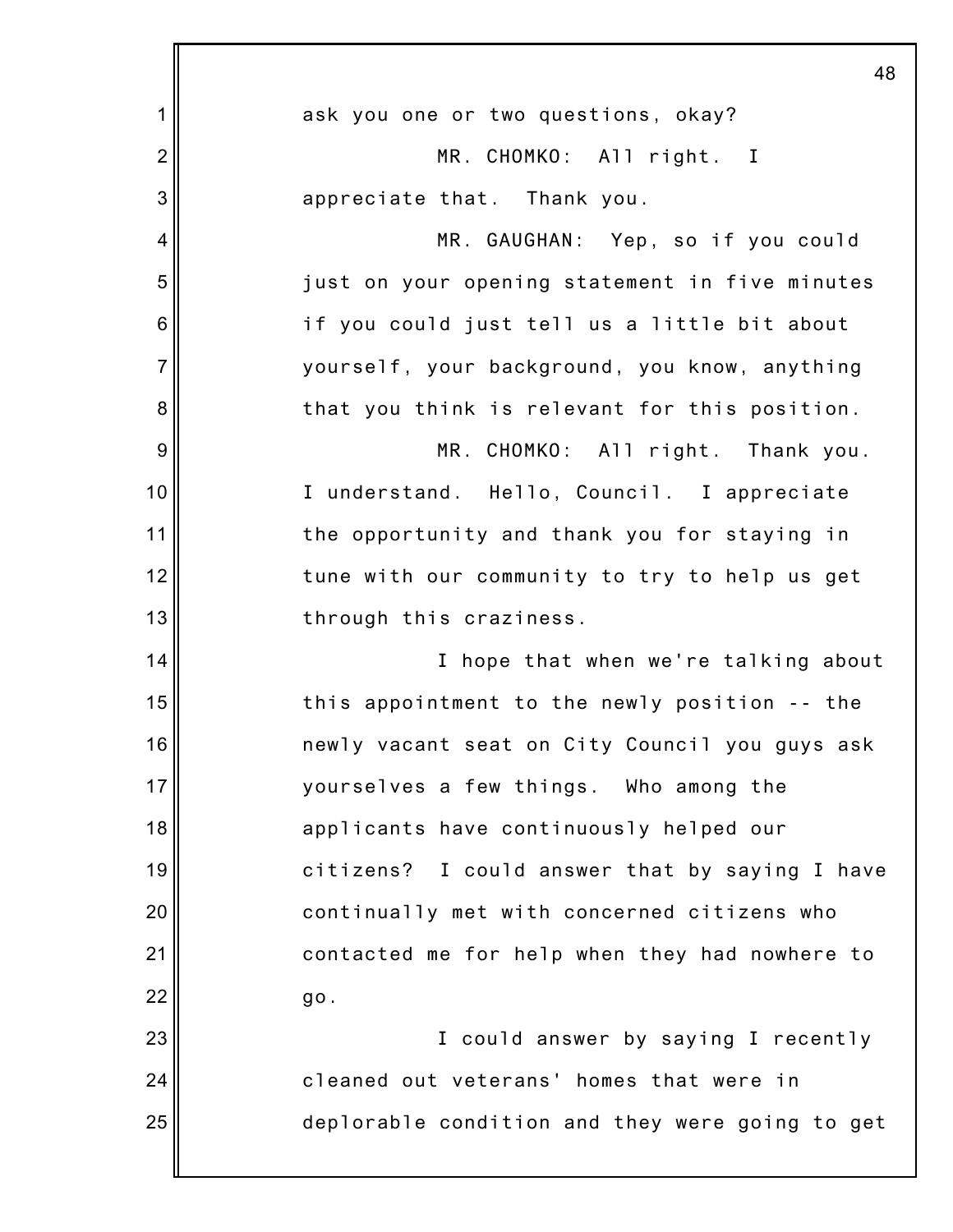|                 | 48                                              |
|-----------------|-------------------------------------------------|
| 1               | ask you one or two questions, okay?             |
| $\overline{2}$  | MR. CHOMKO: All right. I                        |
| 3               | appreciate that. Thank you.                     |
| 4               | MR. GAUGHAN: Yep, so if you could               |
| 5               | just on your opening statement in five minutes  |
| $6\phantom{1}6$ | if you could just tell us a little bit about    |
| $\overline{7}$  | yourself, your background, you know, anything   |
| 8               | that you think is relevant for this position.   |
| 9               | MR. CHOMKO: All right. Thank you.               |
| 10              | I understand. Hello, Council. I appreciate      |
| 11              | the opportunity and thank you for staying in    |
| 12              | tune with our community to try to help us get   |
| 13              | through this craziness.                         |
| 14              | I hope that when we're talking about            |
| 15              | this appointment to the newly position -- the   |
| 16              | newly vacant seat on City Council you guys ask  |
| 17              | yourselves a few things. Who among the          |
| 18              | applicants have continuously helped our         |
| 19              | citizens? I could answer that by saying I have  |
| 20              | continually met with concerned citizens who     |
| 21              | contacted me for help when they had nowhere to  |
| 22              | go.                                             |
| 23              | I could answer by saying I recently             |
| 24              | cleaned out veterans' homes that were in        |
| 25              | deplorable condition and they were going to get |
|                 |                                                 |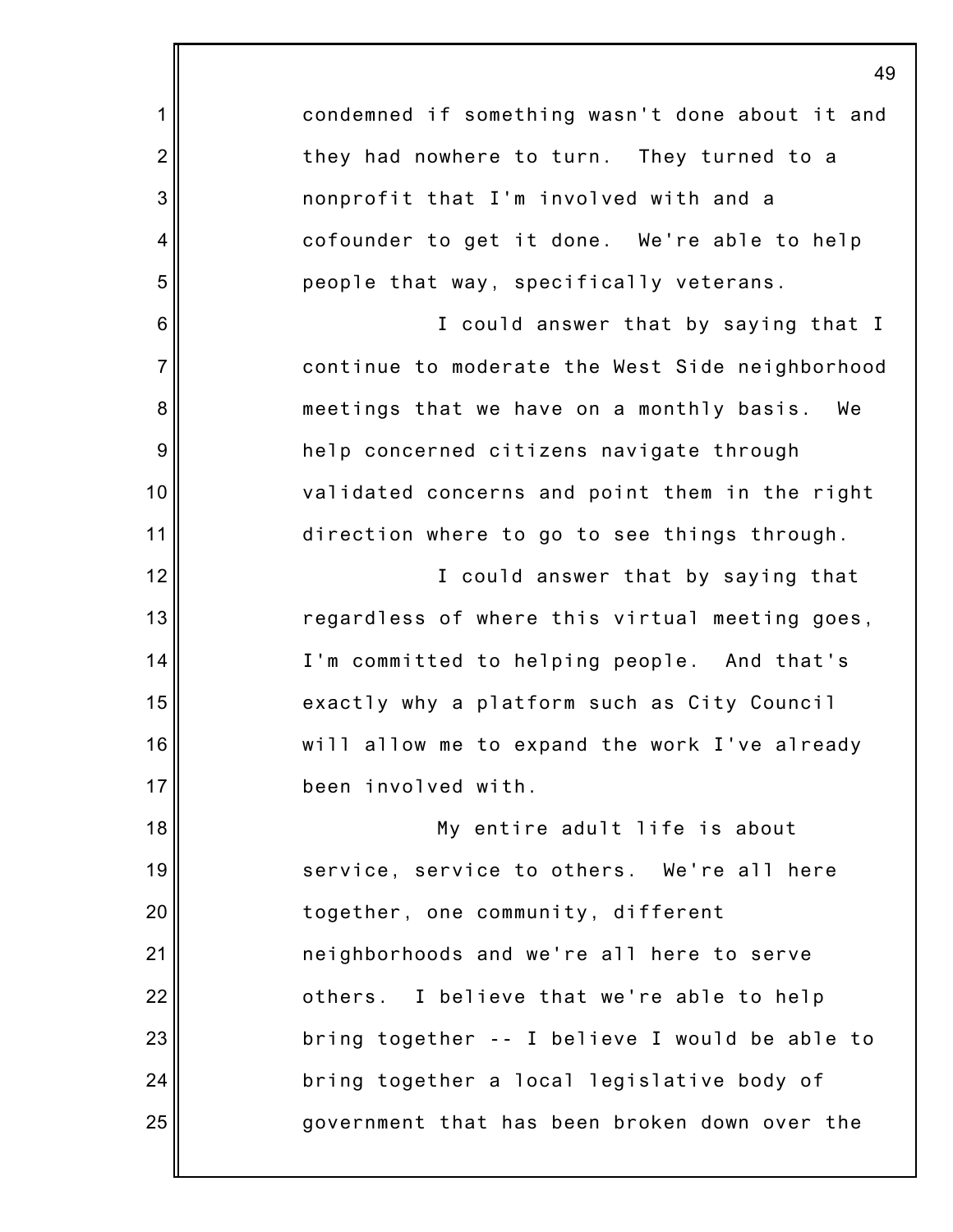|                | 4 <sub>3</sub>                                  |
|----------------|-------------------------------------------------|
| 1              | condemned if something wasn't done about it and |
| $\overline{2}$ | they had nowhere to turn. They turned to a      |
| 3              | nonprofit that I'm involved with and a          |
| $\overline{4}$ | cofounder to get it done. We're able to help    |
| 5              | people that way, specifically veterans.         |
| 6              | I could answer that by saying that I            |
| $\overline{7}$ | continue to moderate the West Side neighborhood |
| 8              | meetings that we have on a monthly basis. We    |
| 9              | help concerned citizens navigate through        |
| 10             | validated concerns and point them in the right  |
| 11             | direction where to go to see things through.    |
| 12             | I could answer that by saying that              |
| 13             | regardless of where this virtual meeting goes,  |
| 14             | I'm committed to helping people. And that's     |
| 15             | exactly why a platform such as City Council     |
| 16             | will allow me to expand the work I've already   |
| 17             | been involved with.                             |
| 18             | My entire adult life is about                   |
| 19             | service, service to others. We're all here      |
| 20             | together, one community, different              |
| 21             | neighborhoods and we're all here to serve       |
| 22             | others. I believe that we're able to help       |
| 23             | bring together -- I believe I would be able to  |
| 24             | bring together a local legislative body of      |
| 25             | government that has been broken down over the   |
|                |                                                 |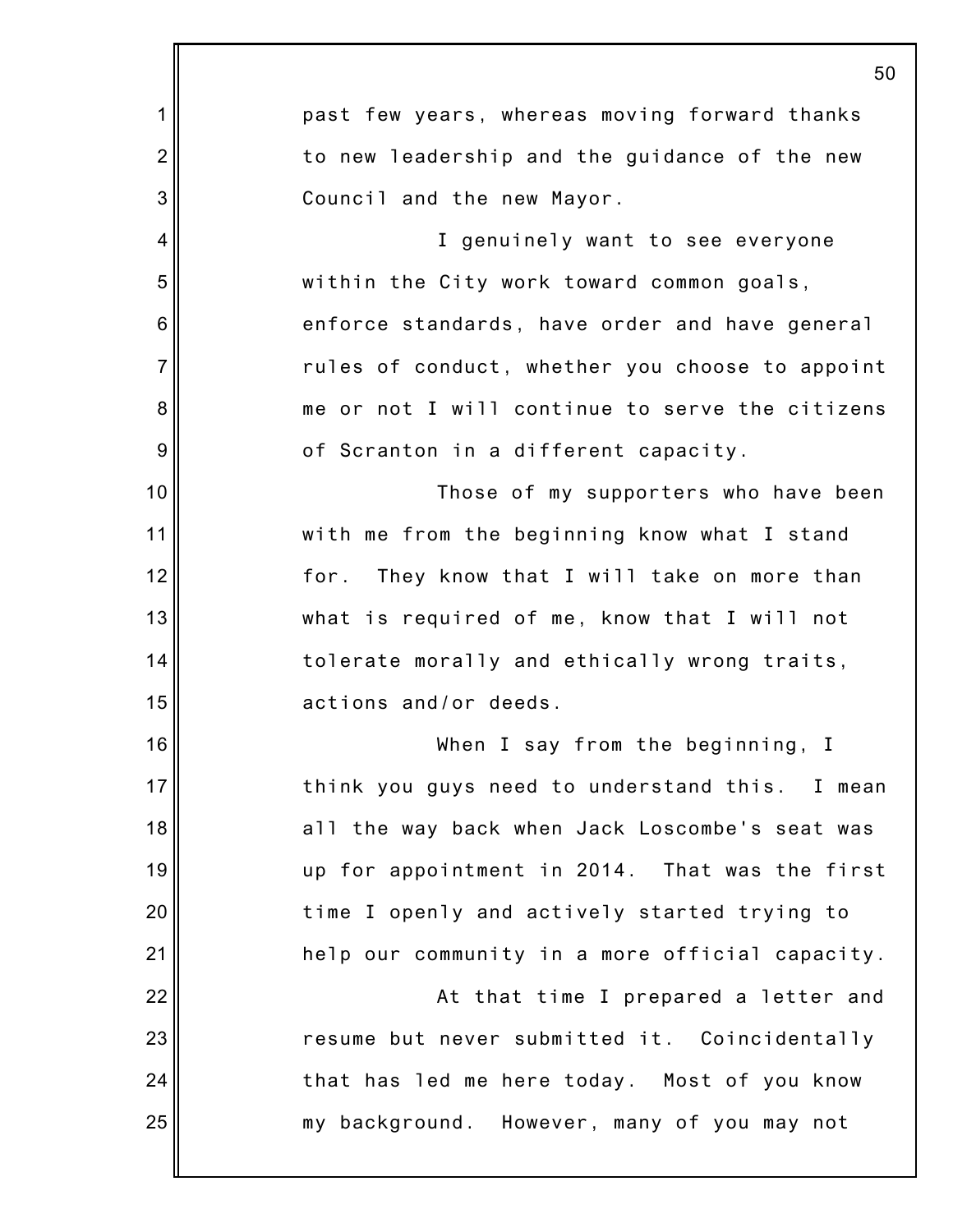|                | 50                                              |
|----------------|-------------------------------------------------|
| 1              | past few years, whereas moving forward thanks   |
| $\overline{2}$ | to new leadership and the guidance of the new   |
| 3              | Council and the new Mayor.                      |
| $\overline{4}$ | I genuinely want to see everyone                |
| 5              | within the City work toward common goals,       |
| 6              | enforce standards, have order and have general  |
| $\overline{7}$ | rules of conduct, whether you choose to appoint |
| 8              | me or not I will continue to serve the citizens |
| 9              | of Scranton in a different capacity.            |
| 10             | Those of my supporters who have been            |
| 11             | with me from the beginning know what I stand    |
| 12             | They know that I will take on more than<br>for. |
| 13             | what is required of me, know that I will not    |
| 14             | tolerate morally and ethically wrong traits,    |
| 15             | actions and/or deeds.                           |
| 16             | When I say from the beginning, I                |
| 17             | think you guys need to understand this. I mean  |
| 18             | all the way back when Jack Loscombe's seat was  |
| 19             | up for appointment in 2014. That was the first  |
| 20             | time I openly and actively started trying to    |
| 21             | help our community in a more official capacity. |
| 22             | At that time I prepared a letter and            |
| 23             | resume but never submitted it. Coincidentally   |
| 24             | that has led me here today. Most of you know    |
| 25             | my background. However, many of you may not     |
|                |                                                 |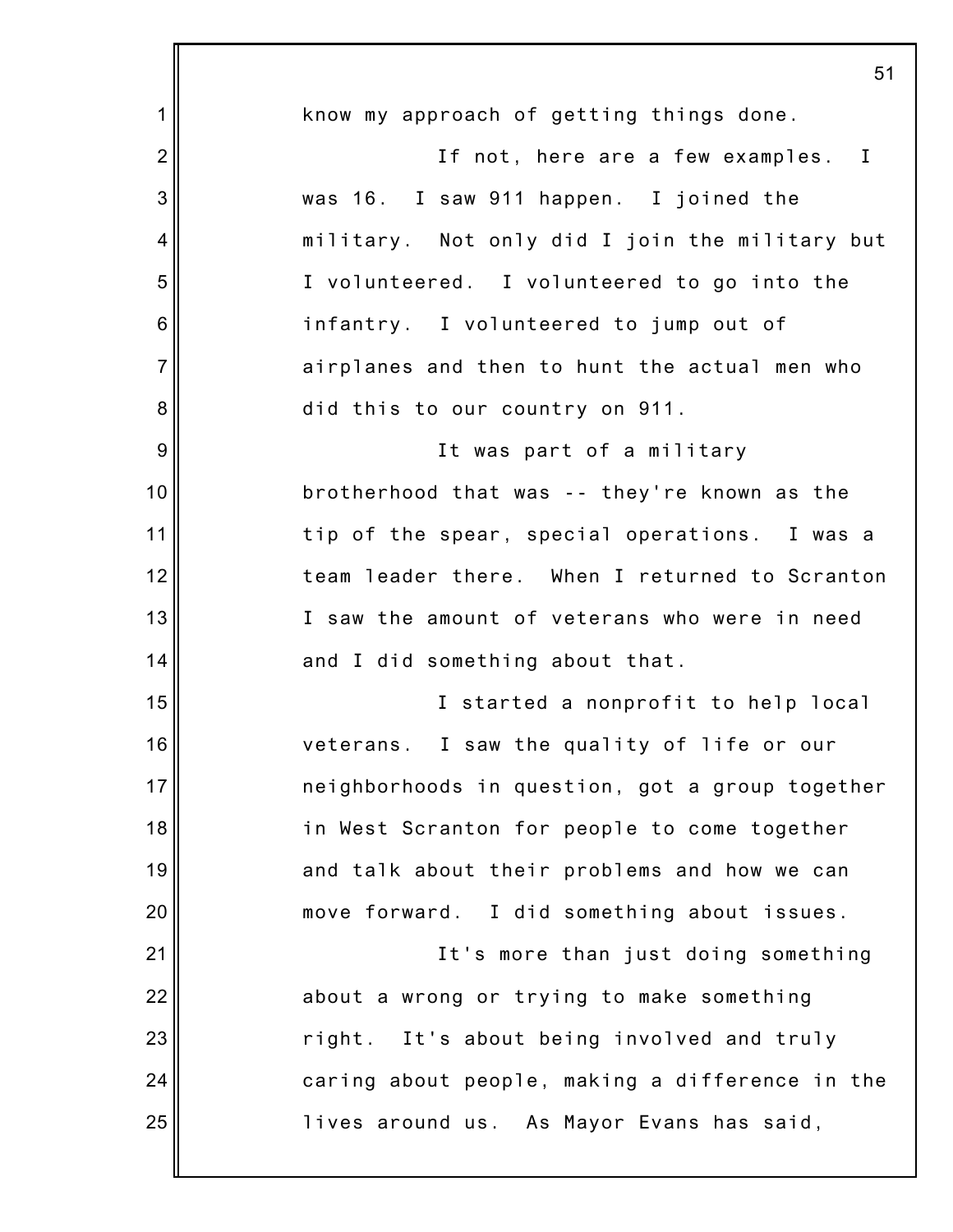|                | 51                                              |
|----------------|-------------------------------------------------|
| 1              | know my approach of getting things done.        |
| $\overline{2}$ | If not, here are a few examples. I              |
| 3              | was 16. I saw 911 happen. I joined the          |
| 4              | military. Not only did I join the military but  |
| 5              | I volunteered. I volunteered to go into the     |
| 6              | infantry. I volunteered to jump out of          |
| $\overline{7}$ | airplanes and then to hunt the actual men who   |
| 8              | did this to our country on 911.                 |
| 9              | It was part of a military                       |
| 10             | brotherhood that was -- they're known as the    |
| 11             | tip of the spear, special operations. I was a   |
| 12             | team leader there. When I returned to Scranton  |
| 13             | I saw the amount of veterans who were in need   |
| 14             | and I did something about that.                 |
| 15             | I started a nonprofit to help local             |
| 16             | veterans. I saw the quality of life or our      |
| 17             | neighborhoods in question, got a group together |
| 18             | in West Scranton for people to come together    |
| 19             | and talk about their problems and how we can    |
| 20             | move forward. I did something about issues.     |
| 21             | It's more than just doing something             |
| 22             | about a wrong or trying to make something       |
| 23             | right. It's about being involved and truly      |
| 24             | caring about people, making a difference in the |
| 25             | lives around us. As Mayor Evans has said,       |
|                |                                                 |

 $\overline{5}$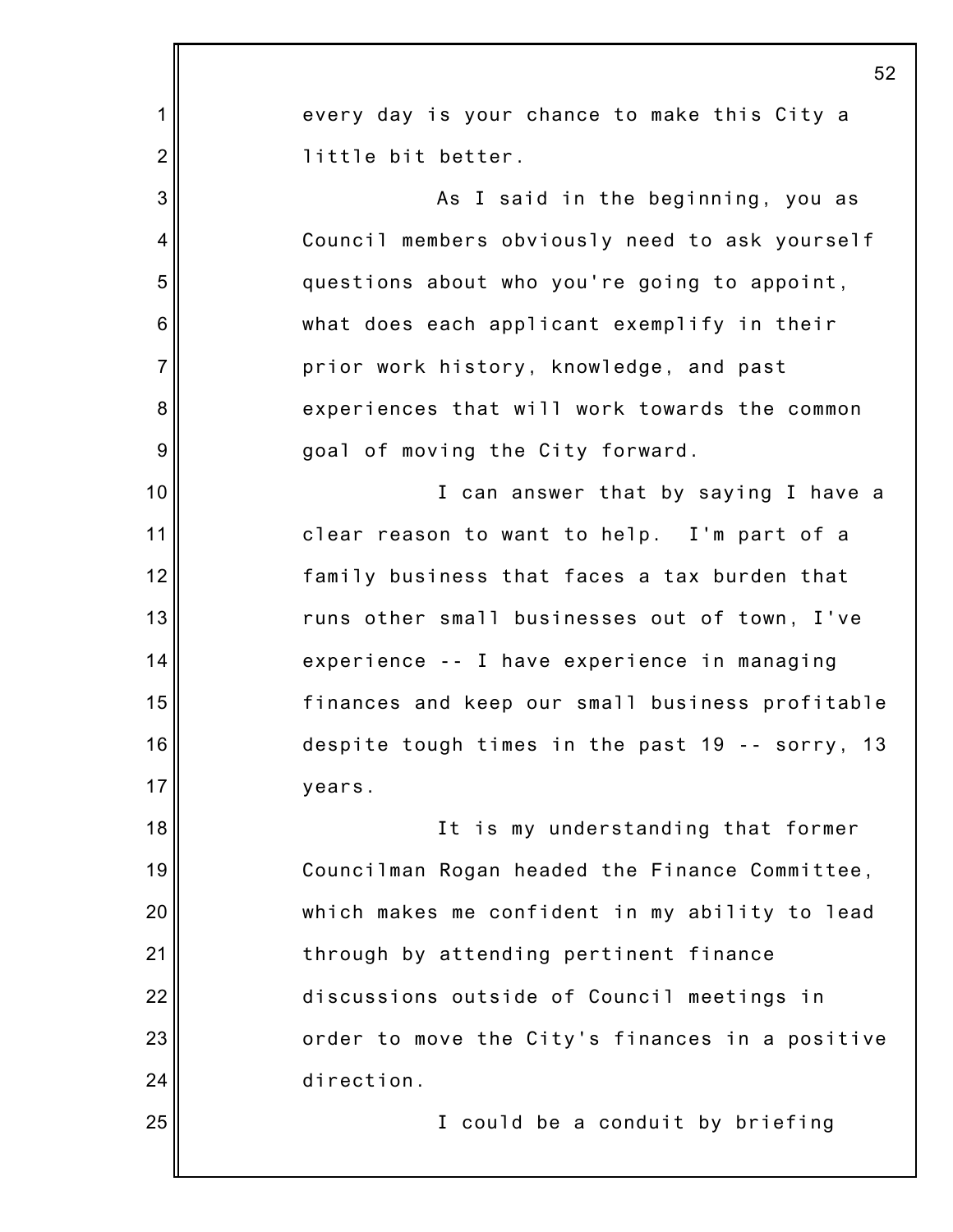|                 | 52                                              |
|-----------------|-------------------------------------------------|
| 1               | every day is your chance to make this City a    |
| $\overline{2}$  | little bit better.                              |
| 3               | As I said in the beginning, you as              |
| 4               | Council members obviously need to ask yourself  |
| 5               | questions about who you're going to appoint,    |
| $6\phantom{1}6$ | what does each applicant exemplify in their     |
| $\overline{7}$  | prior work history, knowledge, and past         |
| 8               | experiences that will work towards the common   |
| $\overline{9}$  | goal of moving the City forward.                |
| 10              | I can answer that by saying I have a            |
| 11              | clear reason to want to help. I'm part of a     |
| 12              | family business that faces a tax burden that    |
| 13              | runs other small businesses out of town, I've   |
| 14              | experience -- I have experience in managing     |
| 15              | finances and keep our small business profitable |
| 16              | despite tough times in the past 19 -- sorry, 13 |
| 17              | years.                                          |
| 18              | It is my understanding that former              |
| 19              | Councilman Rogan headed the Finance Committee,  |
| 20              | which makes me confident in my ability to lead  |
| 21              | through by attending pertinent finance          |
| 22              | discussions outside of Council meetings in      |
| 23              | order to move the City's finances in a positive |
| 24              | direction.                                      |
| 25              | I could be a conduit by briefing                |
|                 |                                                 |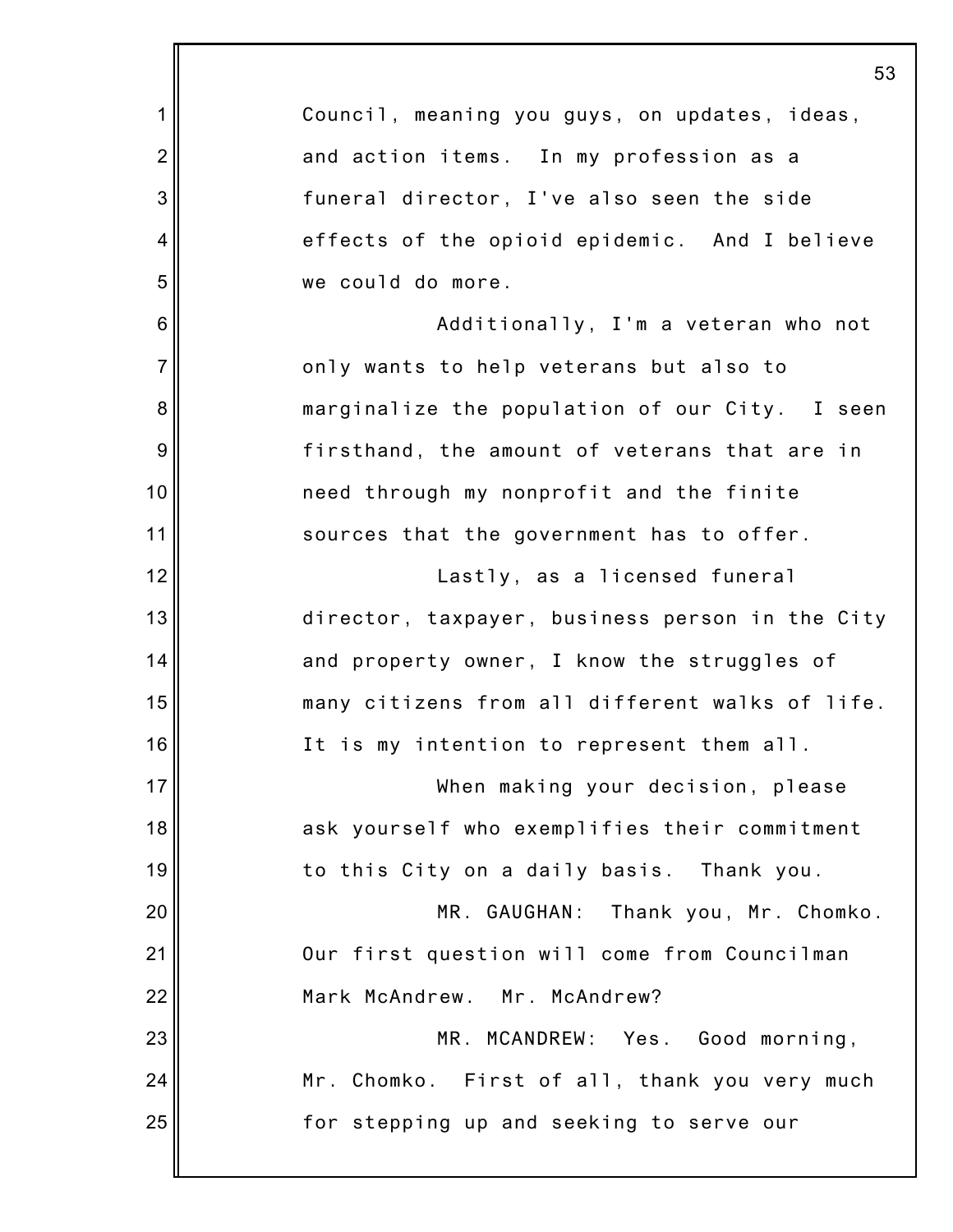|                | 53                                              |
|----------------|-------------------------------------------------|
| 1              | Council, meaning you guys, on updates, ideas,   |
| $\overline{c}$ | and action items. In my profession as a         |
| 3              | funeral director, I've also seen the side       |
| 4              | effects of the opioid epidemic. And I believe   |
| 5              | we could do more.                               |
| 6              | Additionally, I'm a veteran who not             |
| $\overline{7}$ | only wants to help veterans but also to         |
| 8              | marginalize the population of our City. I seen  |
| 9              | firsthand, the amount of veterans that are in   |
| 10             | need through my nonprofit and the finite        |
| 11             | sources that the government has to offer.       |
| 12             | Lastly, as a licensed funeral                   |
| 13             | director, taxpayer, business person in the City |
| 14             | and property owner, I know the struggles of     |
| 15             | many citizens from all different walks of life. |
| 16             | It is my intention to represent them all.       |
| 17             | When making your decision, please               |
| 18             | ask yourself who exemplifies their commitment   |
| 19             | to this City on a daily basis. Thank you.       |
| 20             | MR. GAUGHAN: Thank you, Mr. Chomko.             |
| 21             | Our first question will come from Councilman    |
| 22             | Mark McAndrew. Mr. McAndrew?                    |
| 23             | MR. MCANDREW: Yes. Good morning,                |
| 24             | Mr. Chomko. First of all, thank you very much   |
| 25             | for stepping up and seeking to serve our        |
|                |                                                 |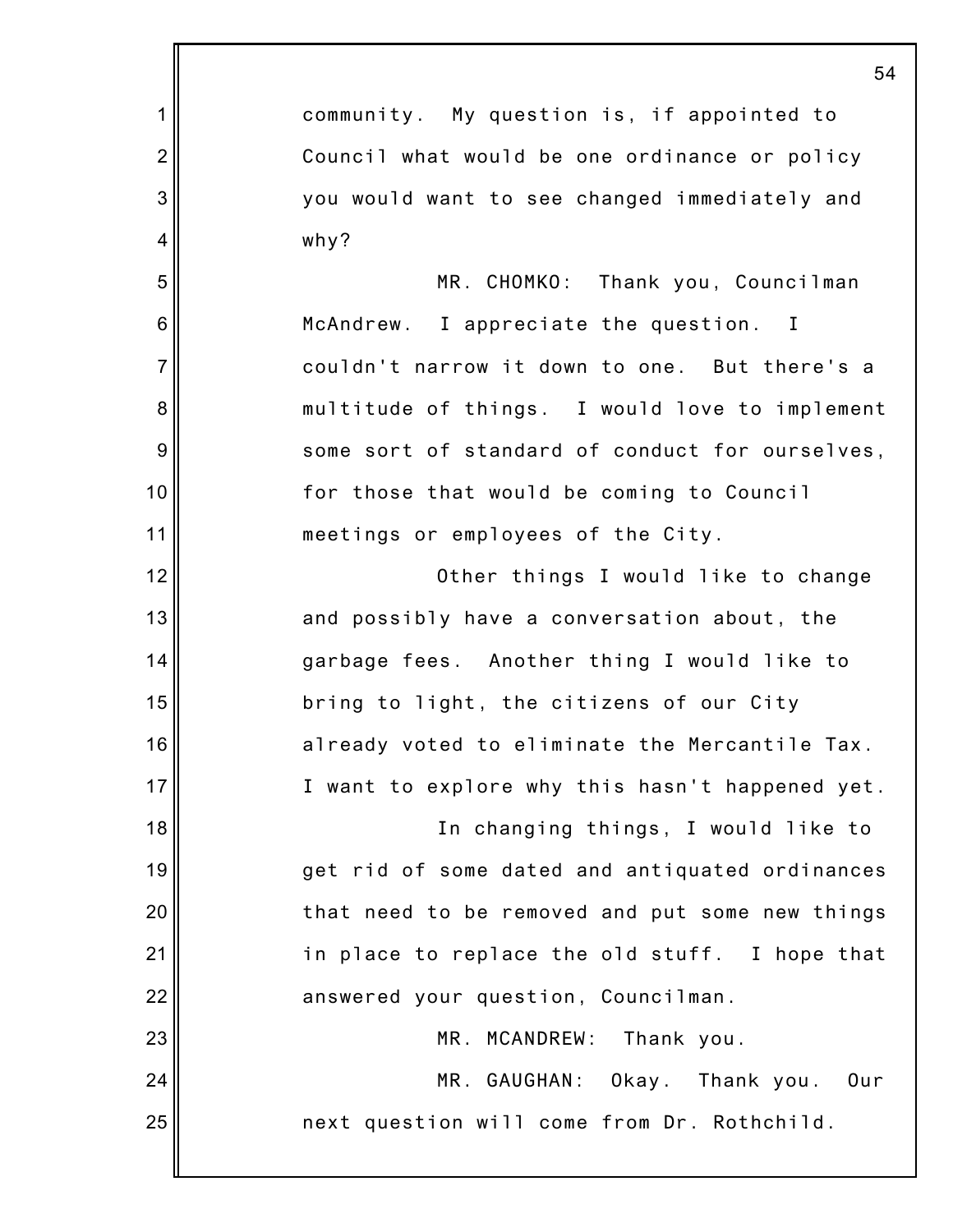|                | 54                                              |
|----------------|-------------------------------------------------|
| 1              | community. My question is, if appointed to      |
| $\overline{2}$ | Council what would be one ordinance or policy   |
| 3              | you would want to see changed immediately and   |
| 4              | why?                                            |
| 5              | MR. CHOMKO: Thank you, Councilman               |
| 6              | McAndrew. I appreciate the question. I          |
| $\overline{7}$ | couldn't narrow it down to one. But there's a   |
| 8              | multitude of things. I would love to implement  |
| 9              | some sort of standard of conduct for ourselves, |
| 10             | for those that would be coming to Council       |
| 11             | meetings or employees of the City.              |
| 12             | Other things I would like to change             |
| 13             | and possibly have a conversation about, the     |
| 14             | garbage fees. Another thing I would like to     |
| 15             | bring to light, the citizens of our City        |
| 16             | already voted to eliminate the Mercantile Tax.  |
| 17             | I want to explore why this hasn't happened yet. |
| 18             | In changing things, I would like to             |
| 19             | get rid of some dated and antiquated ordinances |
| 20             | that need to be removed and put some new things |
| 21             | in place to replace the old stuff. I hope that  |
| 22             | answered your question, Councilman.             |
| 23             | MR. MCANDREW:<br>Thank you.                     |
| 24             | MR. GAUGHAN: Okay. Thank you.<br>Our            |
| 25             | next question will come from Dr. Rothchild.     |
|                |                                                 |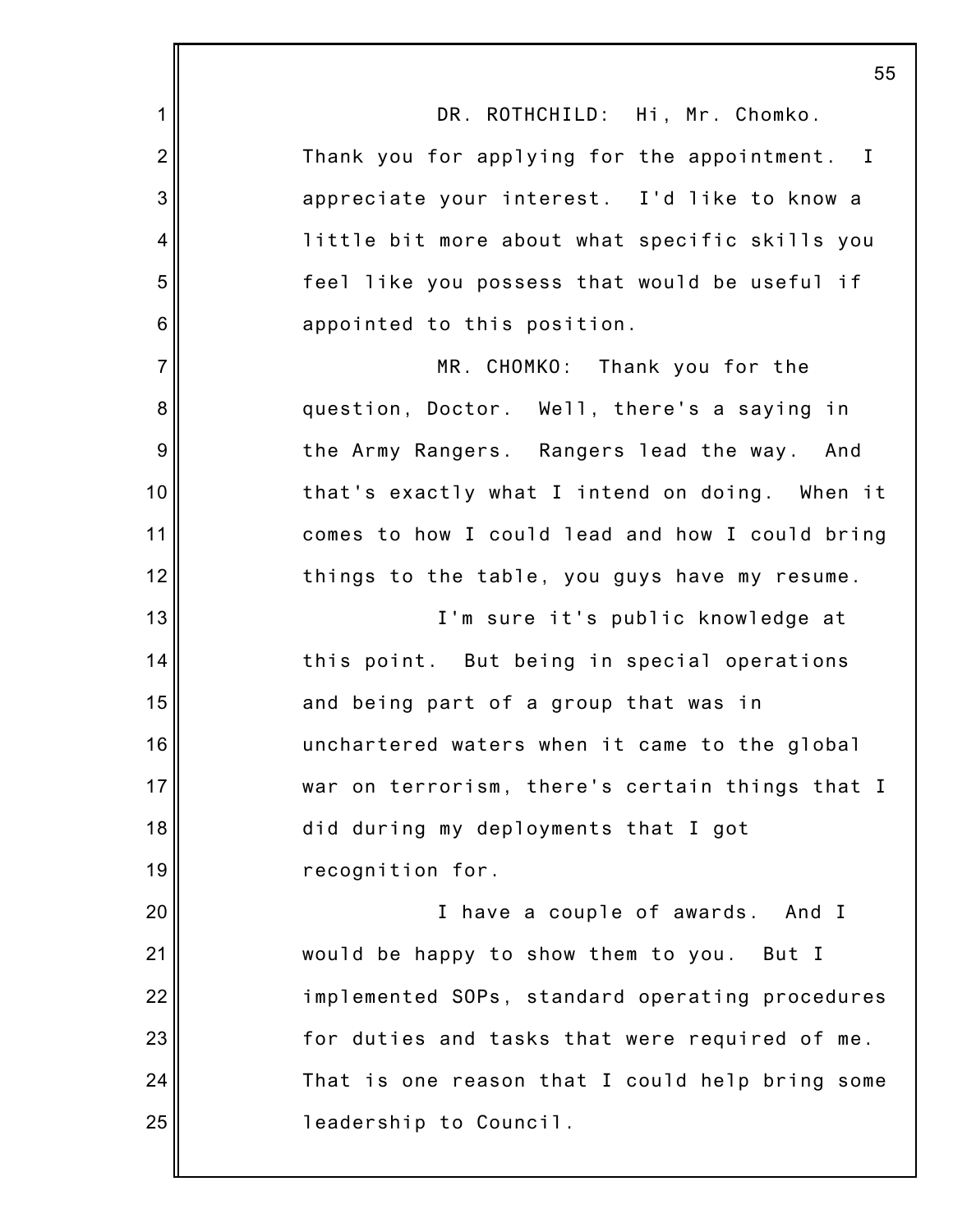|                 | 55                                              |
|-----------------|-------------------------------------------------|
| 1               | DR. ROTHCHILD: Hi, Mr. Chomko.                  |
| $\overline{2}$  | Thank you for applying for the appointment. I   |
| 3               | appreciate your interest. I'd like to know a    |
| 4               | little bit more about what specific skills you  |
| 5               | feel like you possess that would be useful if   |
| $6\phantom{1}6$ | appointed to this position.                     |
| $\overline{7}$  | MR. CHOMKO: Thank you for the                   |
| 8               | question, Doctor. Well, there's a saying in     |
| 9               | the Army Rangers. Rangers lead the way. And     |
| 10              | that's exactly what I intend on doing. When it  |
| 11              | comes to how I could lead and how I could bring |
| 12              | things to the table, you guys have my resume.   |
| 13              | I'm sure it's public knowledge at               |
| 14              | this point. But being in special operations     |
| 15              | and being part of a group that was in           |
| 16              | unchartered waters when it came to the global   |
| 17              | war on terrorism, there's certain things that I |
| 18              | did during my deployments that I got            |
| 19              | recognition for.                                |
| 20              | I have a couple of awards. And I                |
| 21              | would be happy to show them to you. But I       |
| 22              | implemented SOPs, standard operating procedures |
| 23              | for duties and tasks that were required of me.  |
| 24              | That is one reason that I could help bring some |
| 25              | leadership to Council.                          |
|                 |                                                 |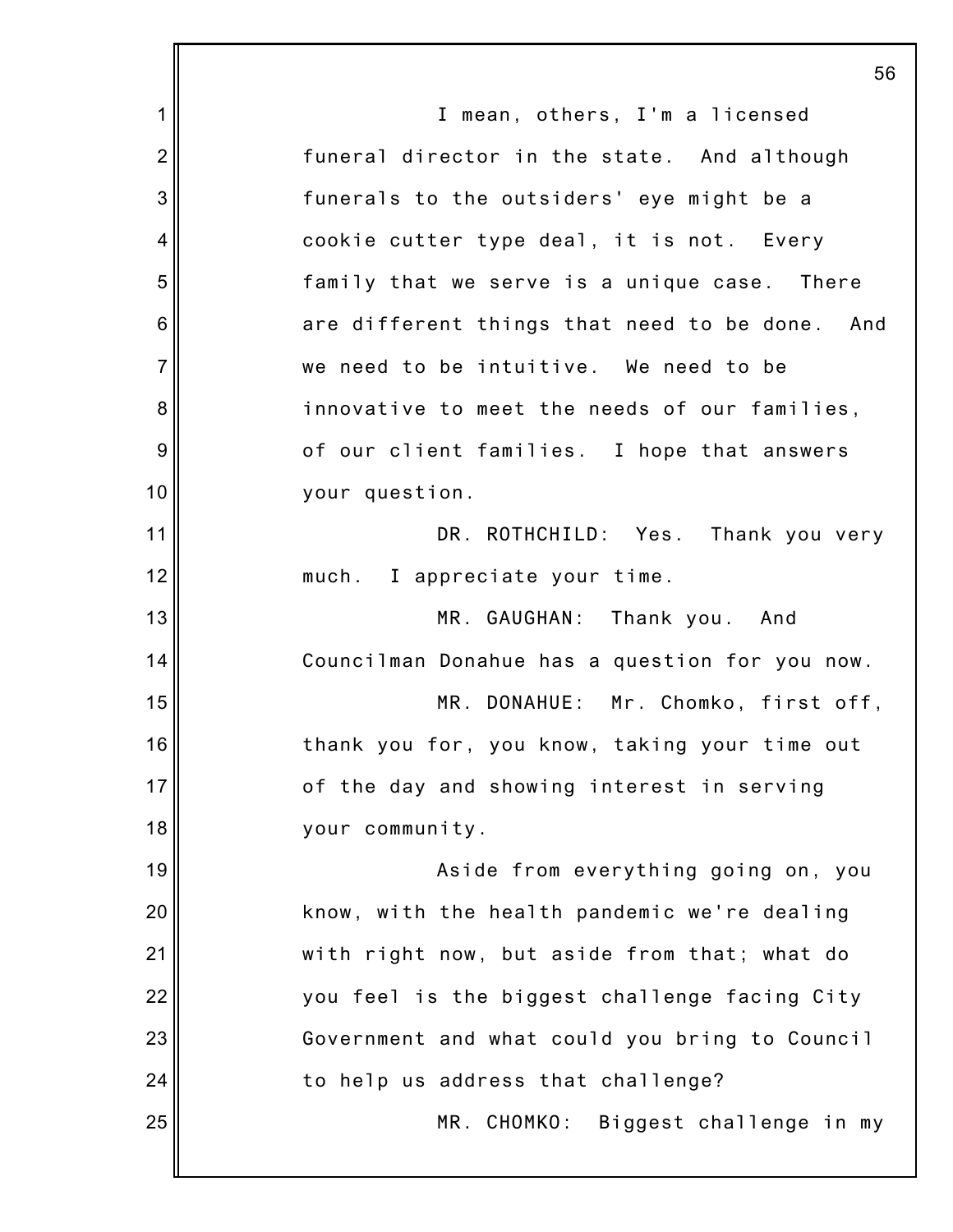|                | 56                                             |
|----------------|------------------------------------------------|
| $\mathbf 1$    | I mean, others, I'm a licensed                 |
| $\overline{2}$ | funeral director in the state. And although    |
| 3              | funerals to the outsiders' eye might be a      |
| 4              | cookie cutter type deal, it is not. Every      |
| 5              | family that we serve is a unique case. There   |
| 6              | are different things that need to be done. And |
| $\overline{7}$ | we need to be intuitive. We need to be         |
| 8              | innovative to meet the needs of our families,  |
| 9              | of our client families. I hope that answers    |
| 10             | your question.                                 |
| 11             | DR. ROTHCHILD: Yes. Thank you very             |
| 12             | much. I appreciate your time.                  |
| 13             | MR. GAUGHAN: Thank you. And                    |
| 14             | Councilman Donahue has a question for you now. |
| 15             | MR. DONAHUE: Mr. Chomko, first off,            |
| 16             | thank you for, you know, taking your time out  |
| 17             | of the day and showing interest in serving     |
| 18             | your community.                                |
| 19             | Aside from everything going on, you            |
| 20             | know, with the health pandemic we're dealing   |
| 21             | with right now, but aside from that; what do   |
| 22             | you feel is the biggest challenge facing City  |
| 23             | Government and what could you bring to Council |
| 24             | to help us address that challenge?             |
| 25             | MR. CHOMKO: Biggest challenge in my            |
|                |                                                |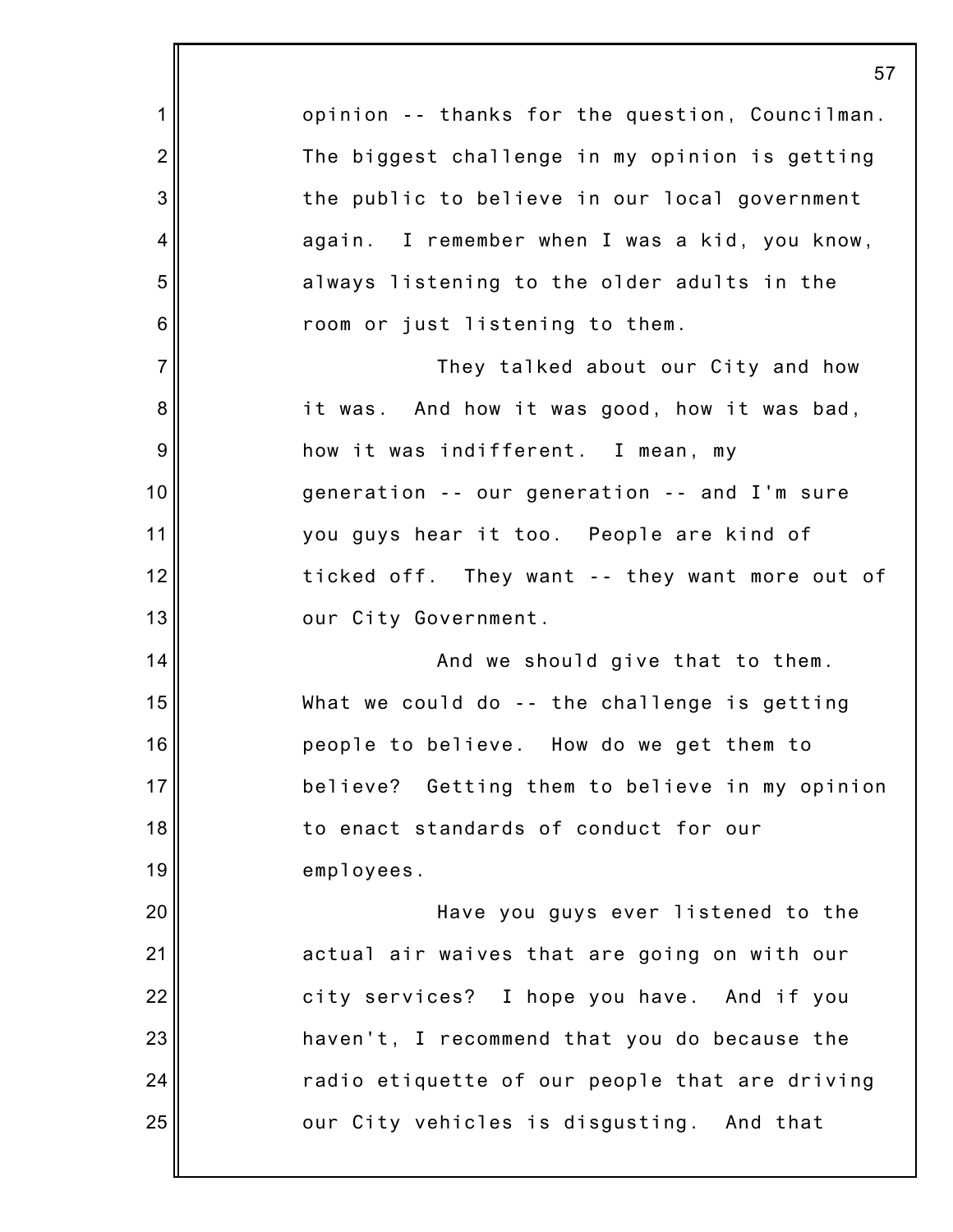1 2 3 4 5 6 7 8 9 10 11 12 13 14 15 16 17 18 19 20 21 22 23 24 25 57 opinion -- thanks for the question, Councilman. The biggest challenge in my opinion is getting the public to believe in our local government again. I remember when I was a kid, you know, always listening to the older adults in the room or just listening to them. They talked about our City and how it was. And how it was good, how it was bad, how it was indifferent. I mean, my generation -- our generation -- and I'm sure you guys hear it too. People are kind of ticked off. They want -- they want more out of our City Government. And we should give that to them. What we could do -- the challenge is getting people to believe. How do we get them to believe? Getting them to believe in my opinion to enact standards of conduct for our employees. Have you guys ever listened to the actual air waives that are going on with our city services? I hope you have. And if you haven't, I recommend that you do because the radio etiquette of our people that are driving our City vehicles is disgusting. And that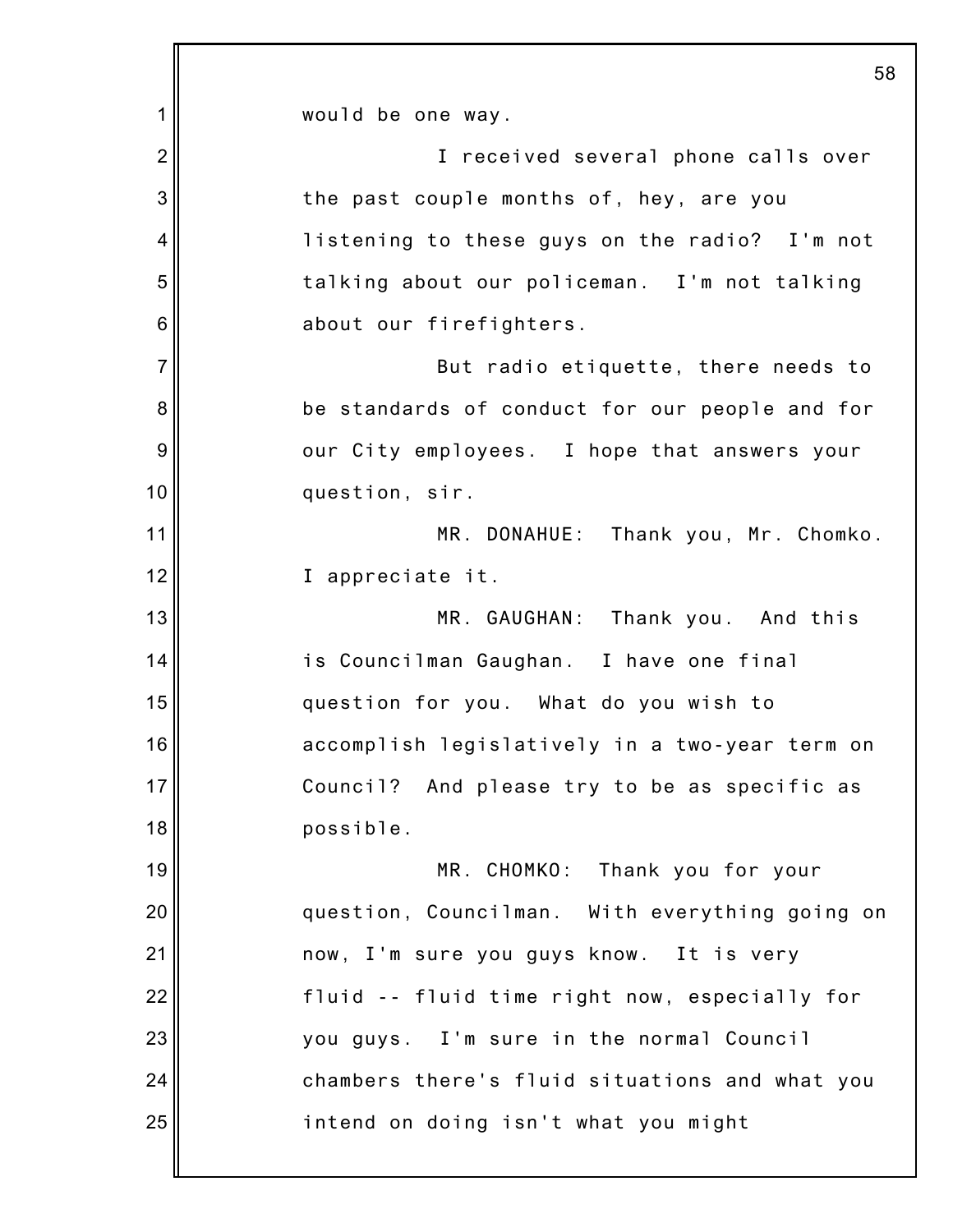1 2 3 4 5 6 7 8 9 10 11 12 13 14 15 16 17 18 19 20 21 22 23 24 25 58 would be one way. I received several phone calls over the past couple months of, hey, are you listening to these guys on the radio? I'm not talking about our policeman. I'm not talking about our firefighters. But radio etiquette, there needs to be standards of conduct for our people and for our City employees. I hope that answers your question, sir. MR. DONAHUE: Thank you, Mr. Chomko. I appreciate it. MR. GAUGHAN: Thank you. And this is Councilman Gaughan. I have one final question for you. What do you wish to accomplish legislatively in a two-year term on Council? And please try to be as specific as possible. MR. CHOMKO: Thank you for your question, Councilman. With everything going on now, I'm sure you guys know. It is very fluid -- fluid time right now, especially for you guys. I'm sure in the normal Council chambers there's fluid situations and what you intend on doing isn't what you might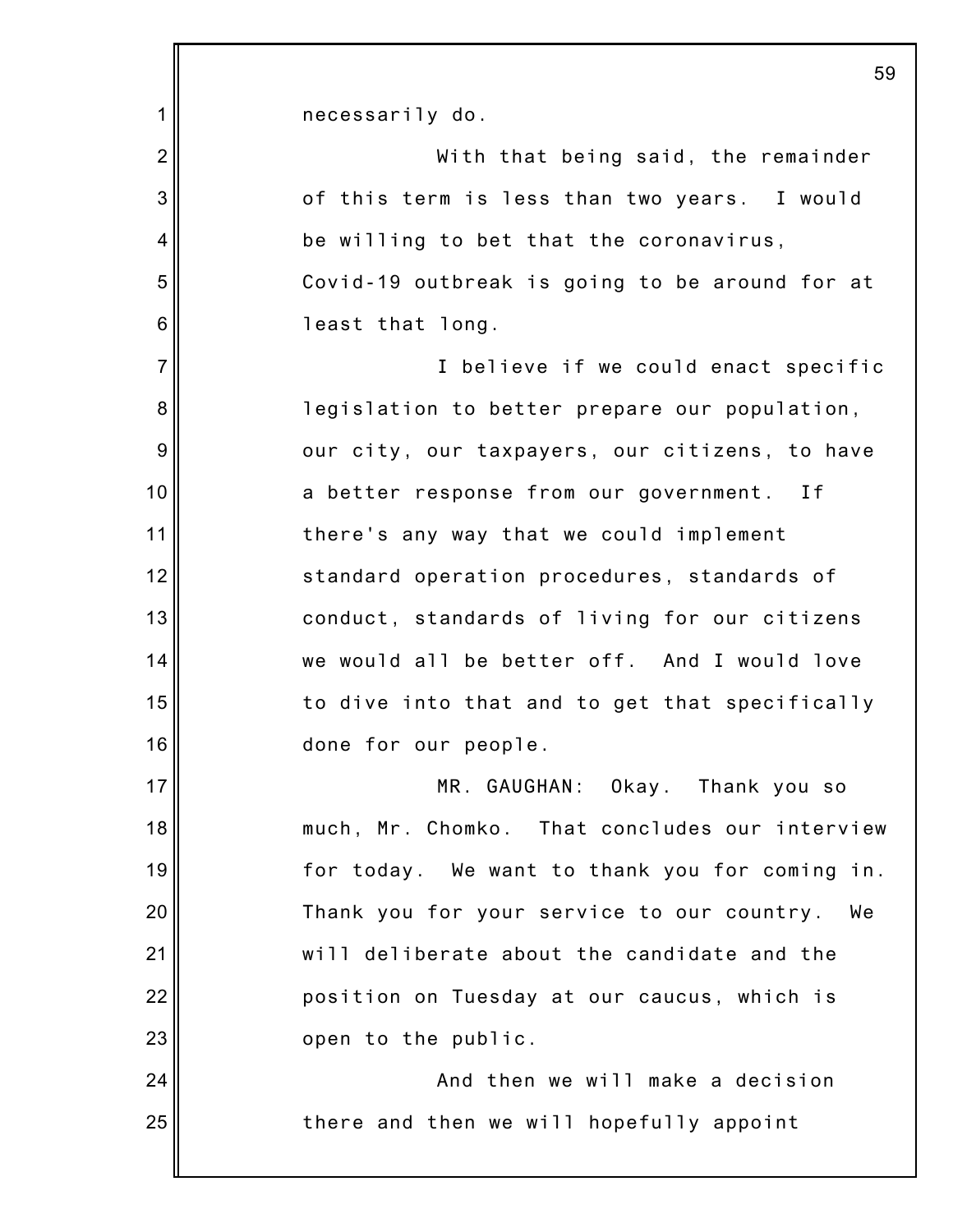| 1              | necessarily do.                                  |
|----------------|--------------------------------------------------|
| $\overline{2}$ | With that being said, the remainder              |
| 3              | of this term is less than two years. I would     |
| 4              | be willing to bet that the coronavirus,          |
| 5              | Covid-19 outbreak is going to be around for at   |
| 6              | least that long.                                 |
| $\overline{7}$ | I believe if we could enact specific             |
| 8              | legislation to better prepare our population,    |
| 9              | our city, our taxpayers, our citizens, to have   |
| 10             | a better response from our government. If        |
| 11             | there's any way that we could implement          |
| 12             | standard operation procedures, standards of      |
| 13             | conduct, standards of living for our citizens    |
| 14             | we would all be better off. And I would love     |
| 15             | to dive into that and to get that specifically   |
| 16             | done for our people.                             |
| 17             | MR. GAUGHAN: Okay. Thank you so                  |
| 18             | much, Mr. Chomko. That concludes our interview   |
| 19             | for today. We want to thank you for coming in.   |
| 20             | Thank you for your service to our country.<br>We |
| 21             | will deliberate about the candidate and the      |
| 22             | position on Tuesday at our caucus, which is      |
| 23             | open to the public.                              |
| 24             | And then we will make a decision                 |
| 25             | there and then we will hopefully appoint         |
|                |                                                  |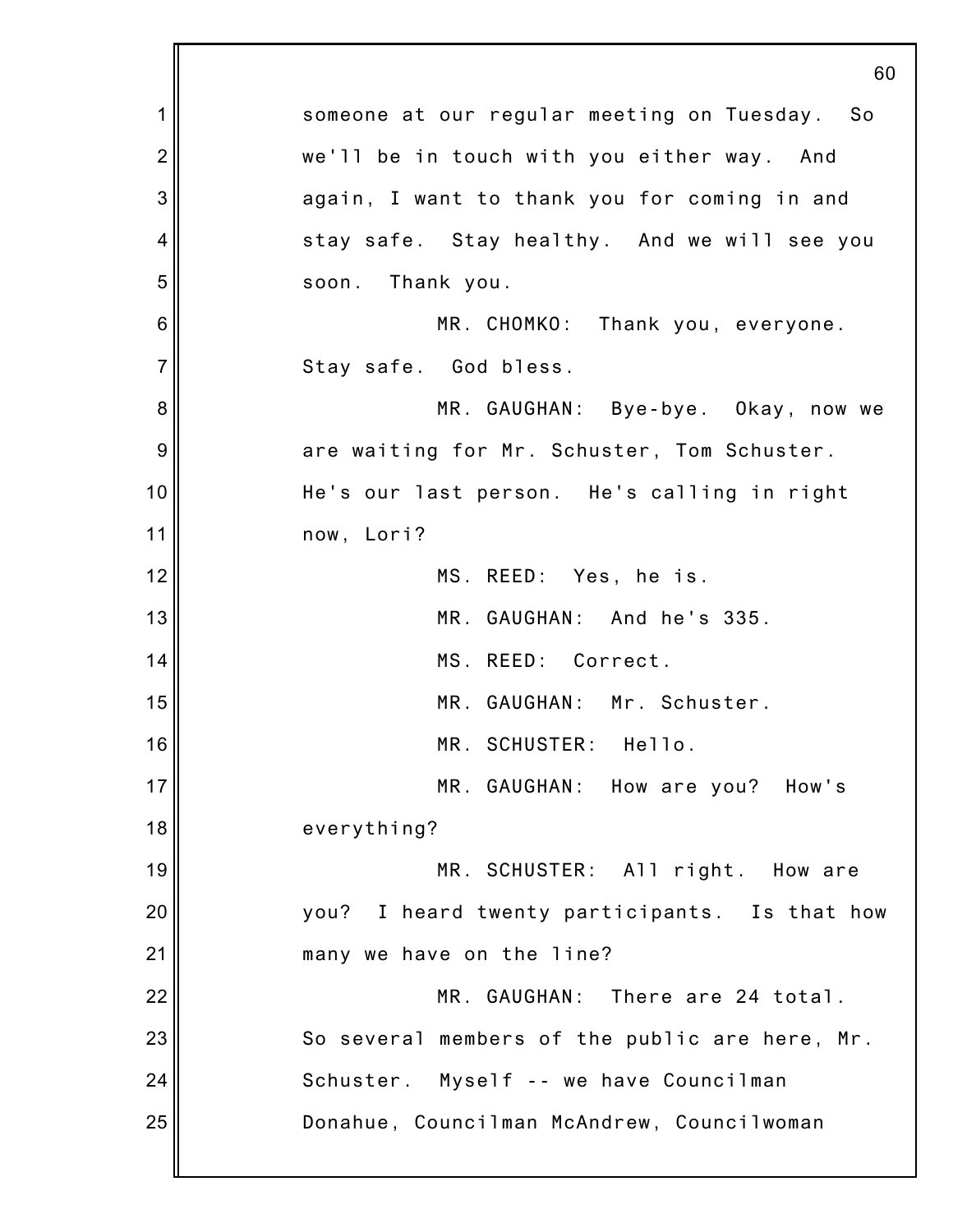|                | 60                                             |
|----------------|------------------------------------------------|
| 1              | someone at our regular meeting on Tuesday. So  |
| $\overline{2}$ | we'll be in touch with you either way. And     |
| 3              | again, I want to thank you for coming in and   |
| 4              | stay safe. Stay healthy. And we will see you   |
| 5              | Thank you.<br>soon.                            |
| 6              | MR. CHOMKO: Thank you, everyone.               |
| $\overline{7}$ | Stay safe. God bless.                          |
| 8              | MR. GAUGHAN: Bye-bye. Okay, now we             |
| 9              | are waiting for Mr. Schuster, Tom Schuster.    |
| 10             | He's our last person. He's calling in right    |
| 11             | now, Lori?                                     |
| 12             | MS. REED: Yes, he is.                          |
| 13             | MR. GAUGHAN: And he's 335.                     |
| 14             | MS. REED: Correct.                             |
| 15             | MR. GAUGHAN: Mr. Schuster.                     |
| 16             | MR. SCHUSTER: Hello.                           |
| 17             | MR. GAUGHAN: How are you? How's                |
| 18             | everything?                                    |
| 19             | MR. SCHUSTER: All right. How are               |
| 20             | you? I heard twenty participants. Is that how  |
| 21             | many we have on the line?                      |
| 22             | MR. GAUGHAN: There are 24 total.               |
| 23             | So several members of the public are here, Mr. |
| 24             | Schuster. Myself -- we have Councilman         |
| 25             | Donahue, Councilman McAndrew, Councilwoman     |
|                |                                                |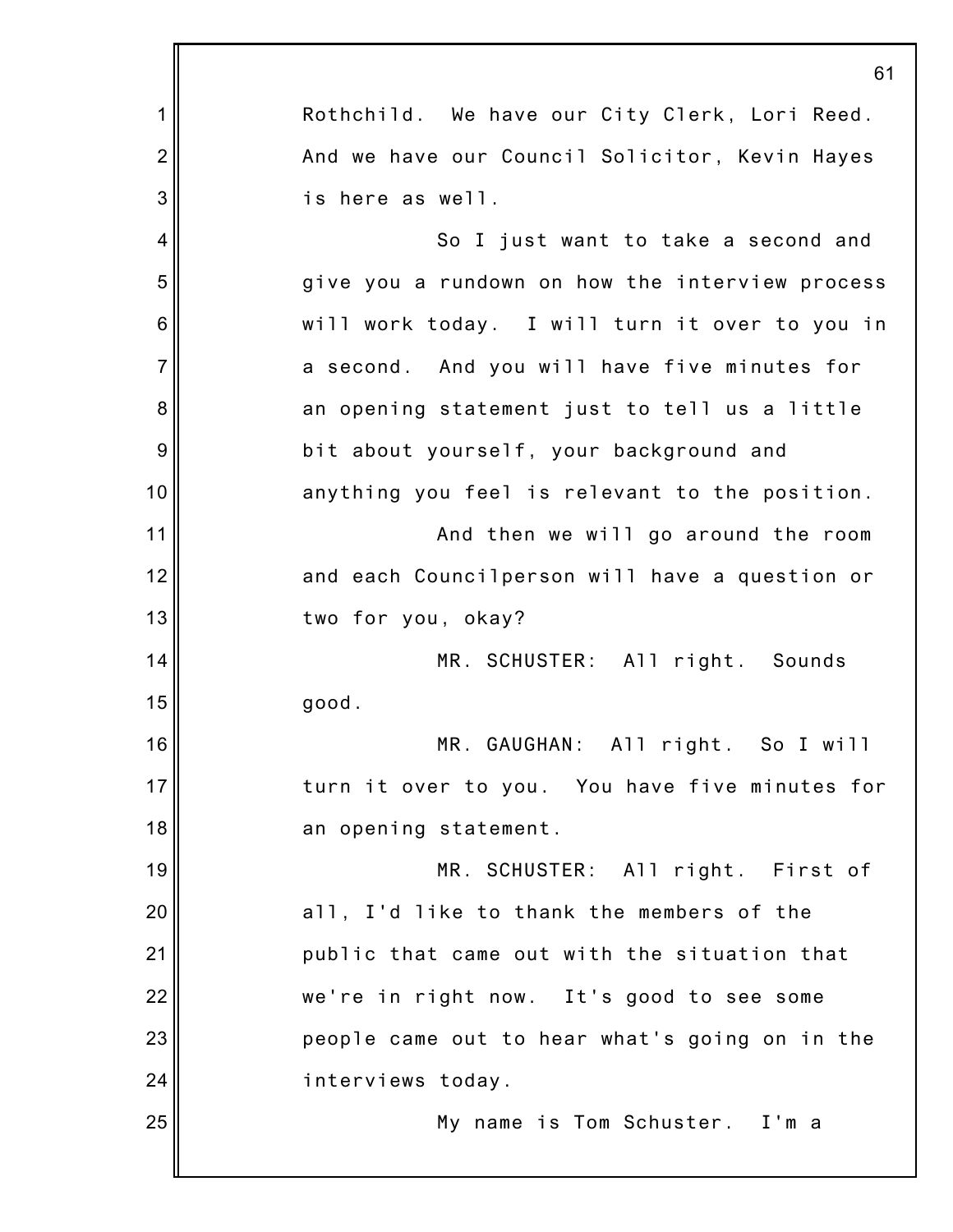|                | 61                                              |
|----------------|-------------------------------------------------|
| 1              | Rothchild. We have our City Clerk, Lori Reed.   |
| $\overline{2}$ | And we have our Council Solicitor, Kevin Hayes  |
| 3              | is here as well.                                |
| 4              | So I just want to take a second and             |
| 5              | give you a rundown on how the interview process |
| 6              | will work today. I will turn it over to you in  |
| $\overline{7}$ | a second. And you will have five minutes for    |
| 8              | an opening statement just to tell us a little   |
| 9              | bit about yourself, your background and         |
| 10             | anything you feel is relevant to the position.  |
| 11             | And then we will go around the room             |
| 12             | and each Councilperson will have a question or  |
| 13             | two for you, okay?                              |
| 14             | MR. SCHUSTER: All right. Sounds                 |
| 15             | good.                                           |
| 16             | MR. GAUGHAN: All right. So I will               |
| 17             | turn it over to you. You have five minutes for  |
| 18             | an opening statement.                           |
| 19             | MR. SCHUSTER: All right. First of               |
| 20             | all, I'd like to thank the members of the       |
| 21             | public that came out with the situation that    |
| 22             | we're in right now. It's good to see some       |
| 23             | people came out to hear what's going on in the  |
| 24             | interviews today.                               |
| 25             | My name is Tom Schuster. I'm a                  |
|                |                                                 |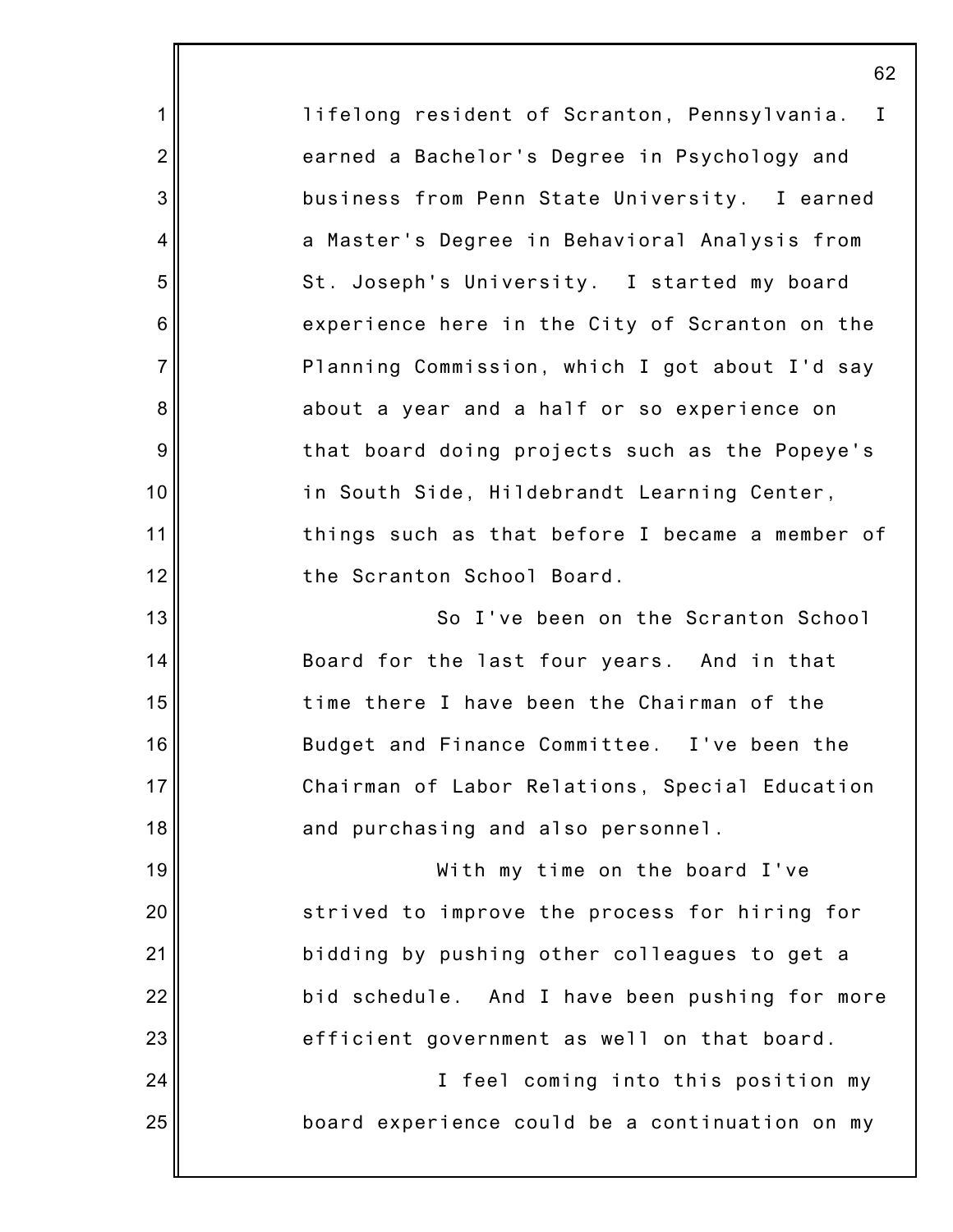|                | 62                                              |
|----------------|-------------------------------------------------|
| 1              | lifelong resident of Scranton, Pennsylvania. I  |
| $\overline{2}$ | earned a Bachelor's Degree in Psychology and    |
| 3              | business from Penn State University. I earned   |
| 4              | a Master's Degree in Behavioral Analysis from   |
| 5              | St. Joseph's University. I started my board     |
| $\,6$          | experience here in the City of Scranton on the  |
| $\overline{7}$ | Planning Commission, which I got about I'd say  |
| 8              | about a year and a half or so experience on     |
| $9\,$          | that board doing projects such as the Popeye's  |
| 10             | in South Side, Hildebrandt Learning Center,     |
| 11             | things such as that before I became a member of |
| 12             | the Scranton School Board.                      |
| 13             | So I've been on the Scranton School             |
| 14             | Board for the last four years. And in that      |
| 15             | time there I have been the Chairman of the      |
| 16             | Budget and Finance Committee. I've been the     |
| 17             | Chairman of Labor Relations, Special Education  |
| 18             | and purchasing and also personnel.              |
| 19             | With my time on the board I've                  |
| 20             | strived to improve the process for hiring for   |
| 21             | bidding by pushing other colleagues to get a    |
| 22             | bid schedule. And I have been pushing for more  |
| 23             | efficient government as well on that board.     |
| 24             | I feel coming into this position my             |
| 25             | board experience could be a continuation on my  |
|                |                                                 |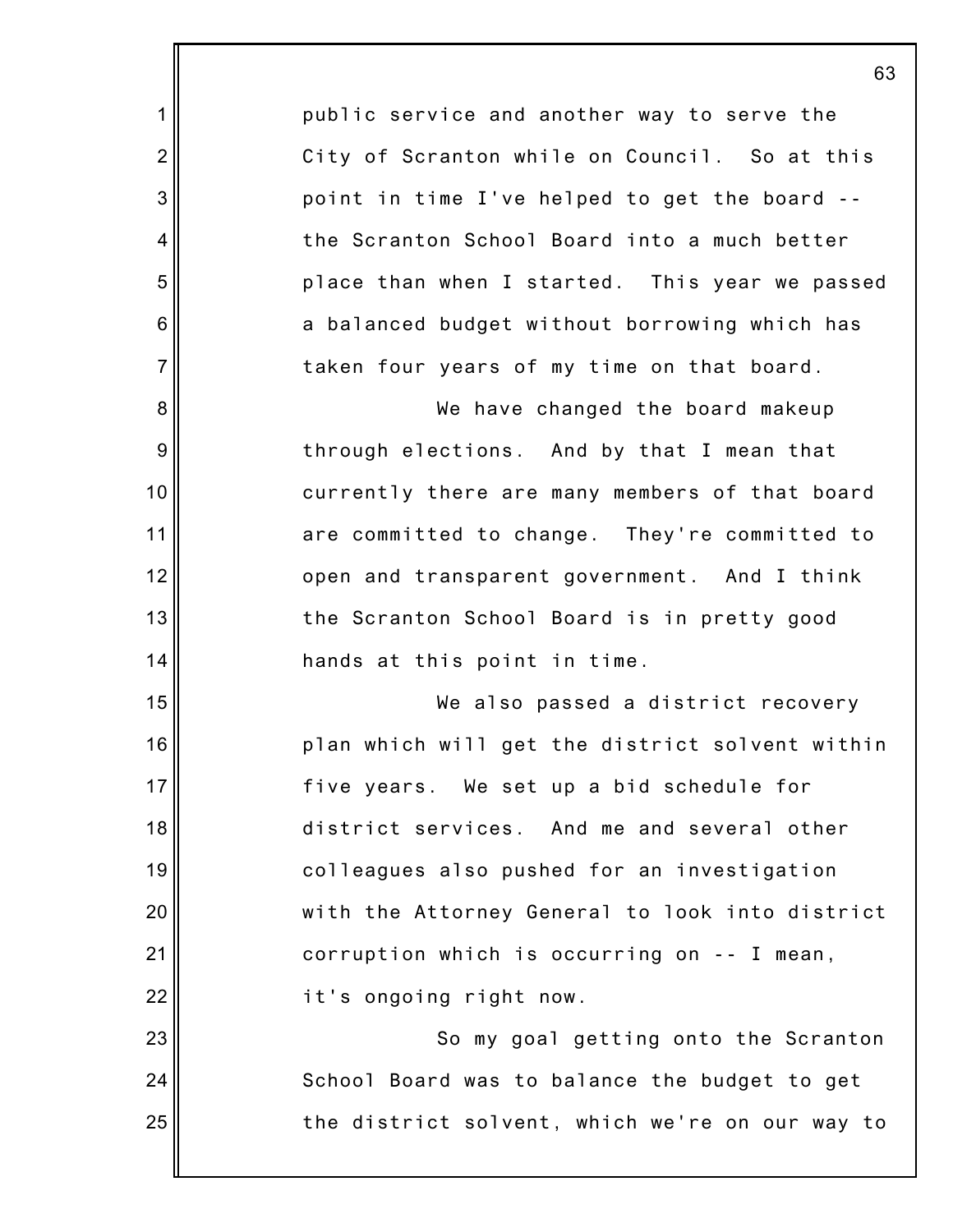public service and another way to serve the City of Scranton while on Council. So at this point in time I've helped to get the board - the Scranton School Board into a much better place than when I started. This year we passed a balanced budget without borrowing which has taken four years of my time on that board.

1

2

3

4

5

6

7

8

9

10

11

12

13

14

15

16

17

18

19

20

21

22

23

24

25

We have changed the board makeup through elections. And by that I mean that currently there are many members of that board are committed to change. They're committed to open and transparent government. And I think the Scranton School Board is in pretty good hands at this point in time.

We also passed a district recovery plan which will get the district solvent within five years. We set up a bid schedule for district services. And me and several other colleagues also pushed for an investigation with the Attorney General to look into district corruption which is occurring on -- I mean, it's ongoing right now.

So my goal getting onto the Scranton School Board was to balance the budget to get the district solvent, which we're on our way to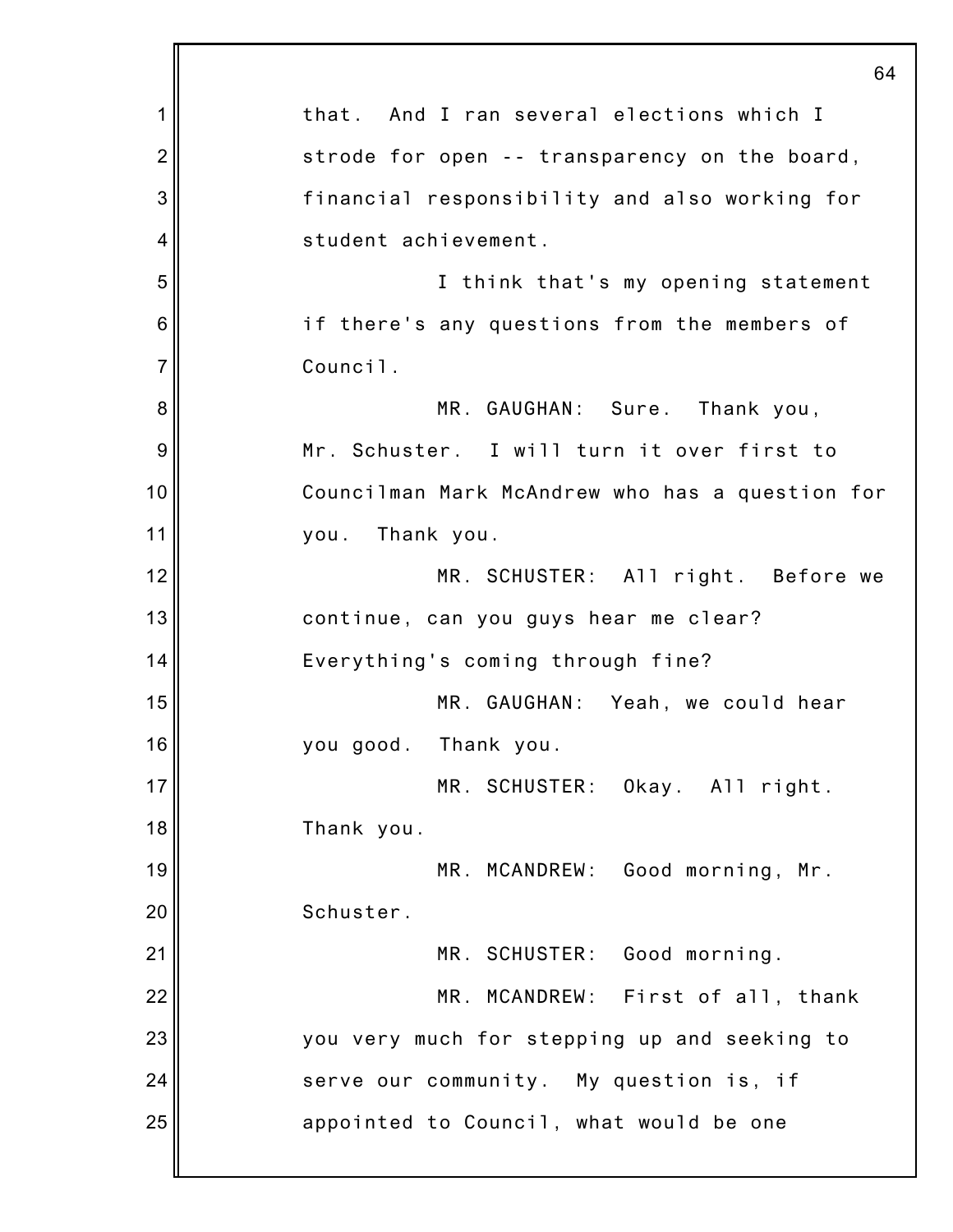|                | 64                                              |
|----------------|-------------------------------------------------|
| 1              | that. And I ran several elections which I       |
| $\overline{2}$ | strode for open -- transparency on the board,   |
| 3              | financial responsibility and also working for   |
| 4              | student achievement.                            |
| 5              | I think that's my opening statement             |
| 6              | if there's any questions from the members of    |
| $\overline{7}$ | Council.                                        |
| 8              | MR. GAUGHAN: Sure. Thank you,                   |
| 9              | Mr. Schuster. I will turn it over first to      |
| 10             | Councilman Mark McAndrew who has a question for |
| 11             | Thank you.<br>you.                              |
| 12             | MR. SCHUSTER: All right. Before we              |
| 13             | continue, can you guys hear me clear?           |
| 14             | Everything's coming through fine?               |
| 15             | MR. GAUGHAN: Yeah, we could hear                |
| 16             | you good. Thank you.                            |
| 17             | MR. SCHUSTER: Okay. All right.                  |
| 18             | Thank you.                                      |
| 19             | MR. MCANDREW: Good morning, Mr.                 |
| 20             | Schuster.                                       |
| 21             | MR. SCHUSTER: Good morning.                     |
| 22             | MR. MCANDREW: First of all, thank               |
| 23             | you very much for stepping up and seeking to    |
| 24             | serve our community. My question is, if         |
| 25             | appointed to Council, what would be one         |
|                |                                                 |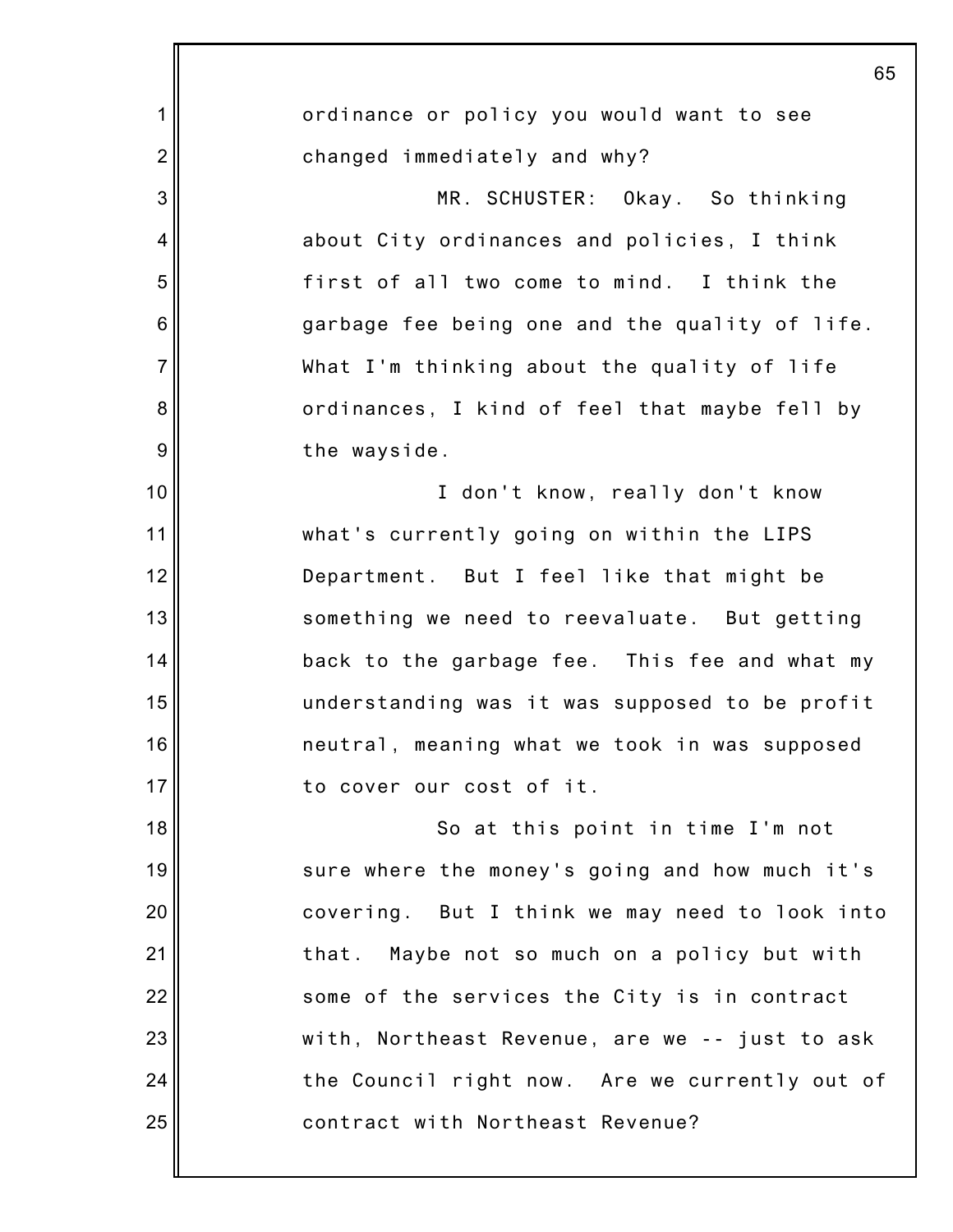|                 | 65                                             |
|-----------------|------------------------------------------------|
| 1               | ordinance or policy you would want to see      |
| $\overline{2}$  | changed immediately and why?                   |
| 3               | MR. SCHUSTER: Okay. So thinking                |
| 4               | about City ordinances and policies, I think    |
| 5               | first of all two come to mind. I think the     |
| $6\phantom{1}6$ | garbage fee being one and the quality of life. |
| $\overline{7}$  | What I'm thinking about the quality of life    |
| 8               | ordinances, I kind of feel that maybe fell by  |
| 9               | the wayside.                                   |
| 10              | I don't know, really don't know                |
| 11              | what's currently going on within the LIPS      |
| 12              | Department. But I feel like that might be      |
| 13              | something we need to reevaluate. But getting   |
| 14              | back to the garbage fee. This fee and what my  |
| 15              | understanding was it was supposed to be profit |
| 16              | neutral, meaning what we took in was supposed  |
| 17              | to cover our cost of it.                       |
| 18              | So at this point in time I'm not               |
| 19              | sure where the money's going and how much it's |
| 20              | covering. But I think we may need to look into |
| 21              | that. Maybe not so much on a policy but with   |
| 22              | some of the services the City is in contract   |
| 23              | with, Northeast Revenue, are we -- just to ask |
| 24              | the Council right now. Are we currently out of |
| 25              | contract with Northeast Revenue?               |
|                 |                                                |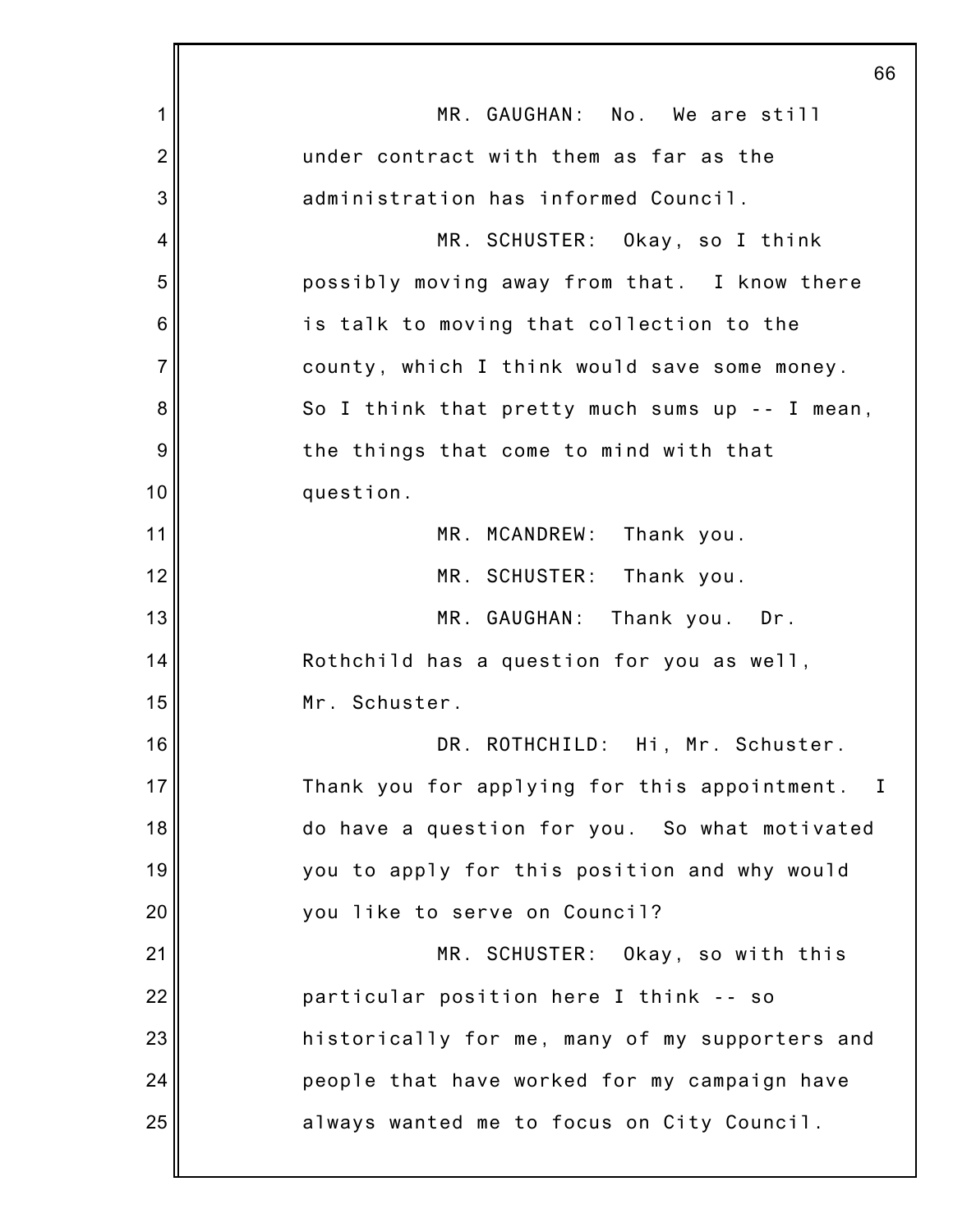|                | 66                                             |
|----------------|------------------------------------------------|
| 1              | MR. GAUGHAN: No. We are still                  |
| $\overline{2}$ | under contract with them as far as the         |
| 3              | administration has informed Council.           |
| 4              | MR. SCHUSTER: Okay, so I think                 |
| 5              | possibly moving away from that. I know there   |
| 6              | is talk to moving that collection to the       |
| $\overline{7}$ | county, which I think would save some money.   |
| 8              | So I think that pretty much sums up -- I mean, |
| 9              | the things that come to mind with that         |
| 10             | question.                                      |
| 11             | MR. MCANDREW: Thank you.                       |
| 12             | MR. SCHUSTER: Thank you.                       |
| 13             | MR. GAUGHAN:<br>Thank you. Dr.                 |
| 14             | Rothchild has a question for you as well,      |
| 15             | Mr. Schuster.                                  |
| 16             | DR. ROTHCHILD: Hi, Mr. Schuster.               |
| 17             | Thank you for applying for this appointment. I |
| 18             | do have a question for you. So what motivated  |
| 19             | you to apply for this position and why would   |
| 20             | you like to serve on Council?                  |
| 21             | MR. SCHUSTER: Okay, so with this               |
| 22             | particular position here I think -- so         |
| 23             | historically for me, many of my supporters and |
| 24             | people that have worked for my campaign have   |
| 25             | always wanted me to focus on City Council.     |
|                |                                                |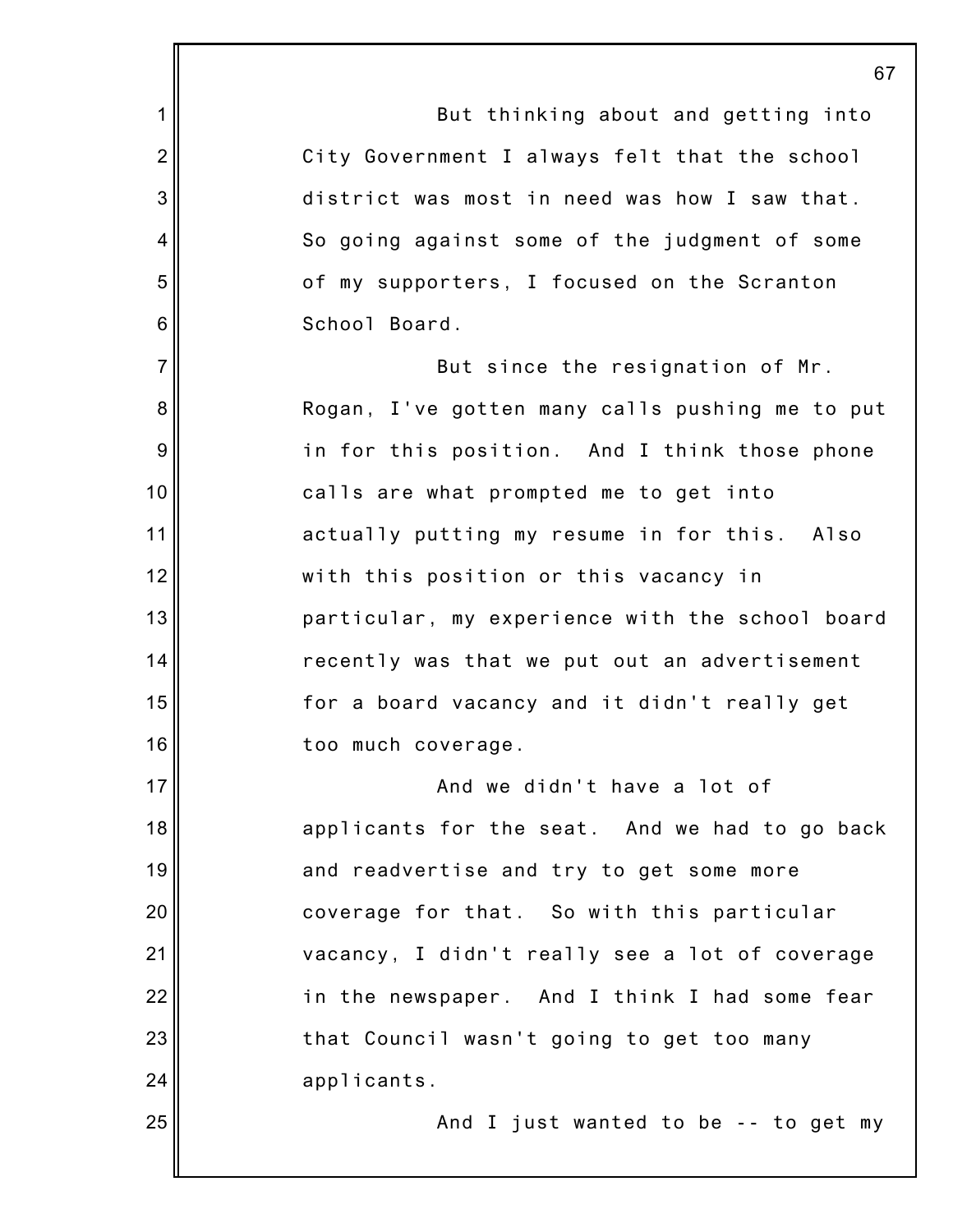1 2 3 4 5 6 7 8 9 10 11 12 13 14 15 16 17 18 19 20 21 22 23 24 25 67 But thinking about and getting into City Government I always felt that the school district was most in need was how I saw that. So going against some of the judgment of some of my supporters, I focused on the Scranton School Board. But since the resignation of Mr. Rogan, I've gotten many calls pushing me to put in for this position. And I think those phone calls are what prompted me to get into actually putting my resume in for this. Also with this position or this vacancy in particular, my experience with the school board recently was that we put out an advertisement for a board vacancy and it didn't really get too much coverage. And we didn't have a lot of applicants for the seat. And we had to go back and readvertise and try to get some more coverage for that. So with this particular vacancy, I didn't really see a lot of coverage in the newspaper. And I think I had some fear that Council wasn't going to get too many applicants. And I just wanted to be -- to get my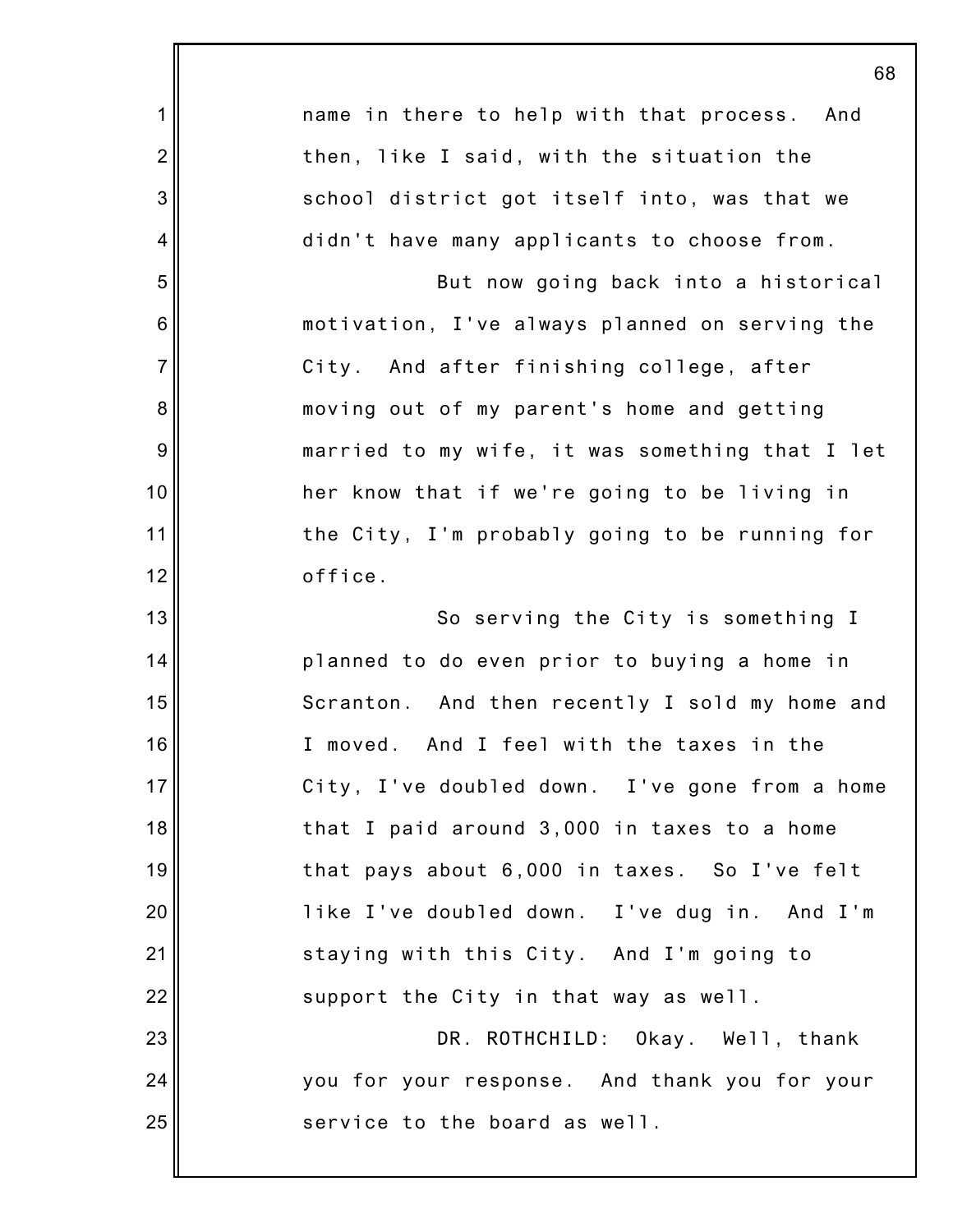|                 | 68                                              |
|-----------------|-------------------------------------------------|
| 1               | name in there to help with that process. And    |
| $\overline{2}$  | then, like I said, with the situation the       |
| 3               | school district got itself into, was that we    |
| 4               | didn't have many applicants to choose from.     |
| 5               | But now going back into a historical            |
| $6\phantom{1}6$ | motivation, I've always planned on serving the  |
| $\overline{7}$  | City. And after finishing college, after        |
| 8               | moving out of my parent's home and getting      |
| $\overline{9}$  | married to my wife, it was something that I let |
| 10              | her know that if we're going to be living in    |
| 11              | the City, I'm probably going to be running for  |
| 12              | office.                                         |
| 13              | So serving the City is something I              |
| 14              | planned to do even prior to buying a home in    |
| 15              | Scranton. And then recently I sold my home and  |
| 16              | I moved. And I feel with the taxes in the       |
| 17              | City, I've doubled down. I've gone from a home  |
| 18              | that I paid around 3,000 in taxes to a home     |
| 19              | that pays about 6,000 in taxes. So I've felt    |
| 20              | like I've doubled down. I've dug in. And I'm    |
| 21              | staying with this City. And I'm going to        |
| 22              | support the City in that way as well.           |
| 23              | DR. ROTHCHILD: Okay. Well, thank                |
| 24              | you for your response. And thank you for your   |
| 25              | service to the board as well.                   |
|                 |                                                 |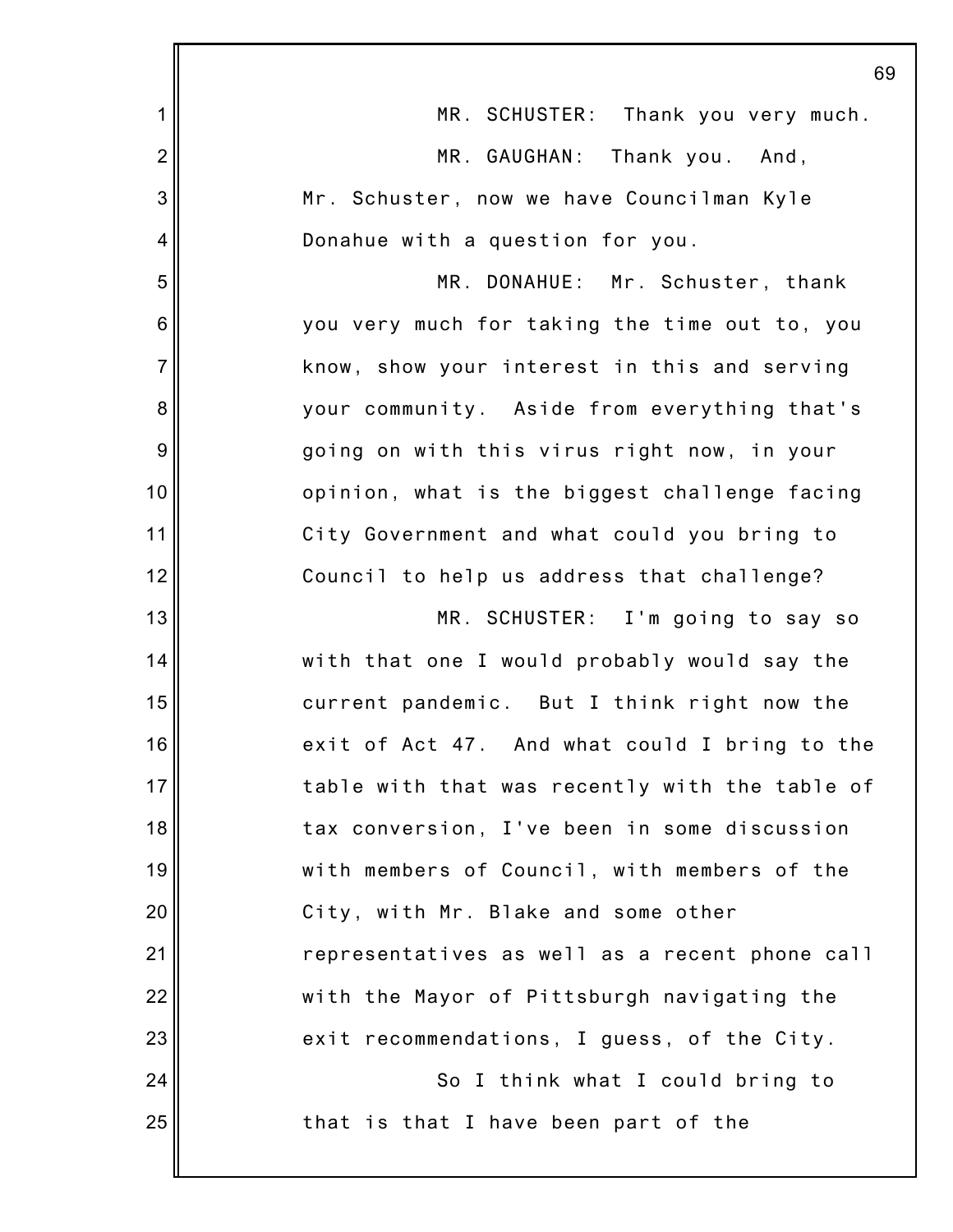|                 | 69                                             |
|-----------------|------------------------------------------------|
| 1               | MR. SCHUSTER: Thank you very much.             |
| $\overline{2}$  | MR. GAUGHAN: Thank you. And,                   |
| 3               | Mr. Schuster, now we have Councilman Kyle      |
| 4               | Donahue with a question for you.               |
| 5               | MR. DONAHUE: Mr. Schuster, thank               |
| $6\phantom{1}6$ | you very much for taking the time out to, you  |
| $\overline{7}$  | know, show your interest in this and serving   |
| 8               | your community. Aside from everything that's   |
| 9               | going on with this virus right now, in your    |
| 10              | opinion, what is the biggest challenge facing  |
| 11              | City Government and what could you bring to    |
| 12              | Council to help us address that challenge?     |
| 13              | MR. SCHUSTER: I'm going to say so              |
| 14              | with that one I would probably would say the   |
| 15              | current pandemic. But I think right now the    |
| 16              | exit of Act 47. And what could I bring to the  |
| 17              | table with that was recently with the table of |
| 18              | tax conversion, I've been in some discussion   |
| 19              | with members of Council, with members of the   |
| 20              | City, with Mr. Blake and some other            |
| 21              | representatives as well as a recent phone call |
| 22              | with the Mayor of Pittsburgh navigating the    |
| 23              | exit recommendations, I guess, of the City.    |
| 24              | So I think what I could bring to               |
| 25              | that is that I have been part of the           |
|                 |                                                |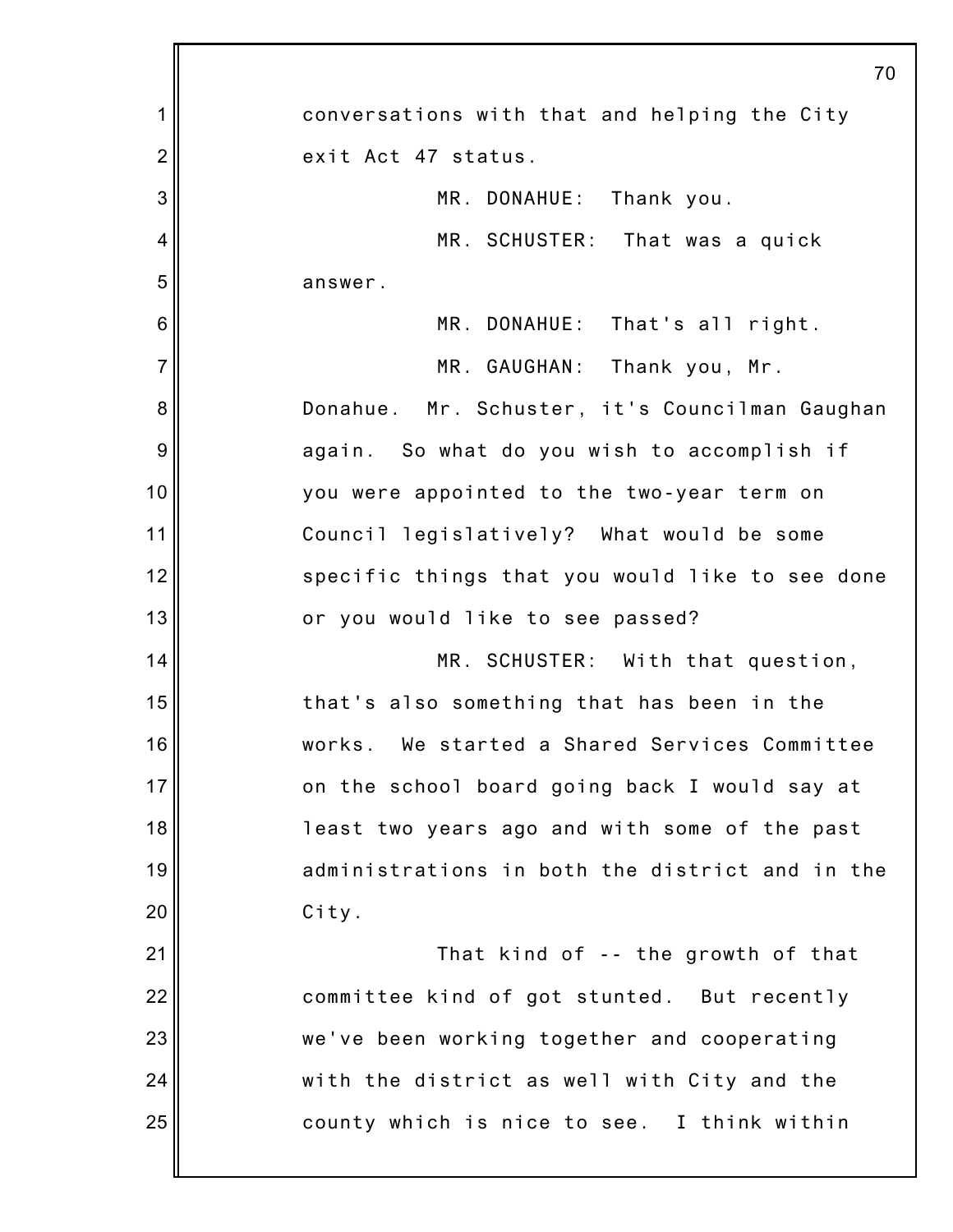|                 | 70                                               |
|-----------------|--------------------------------------------------|
| 1               | conversations with that and helping the City     |
| $\overline{2}$  | exit Act 47 status.                              |
| 3               | MR. DONAHUE: Thank you.                          |
| 4               | MR. SCHUSTER: That was a quick                   |
| 5               | answer.                                          |
| $6\phantom{1}6$ | MR. DONAHUE: That's all right.                   |
| $\overline{7}$  | MR. GAUGHAN: Thank you, Mr.                      |
| 8               | Donahue. Mr. Schuster, it's Councilman Gaughan   |
| 9               | again. So what do you wish to accomplish if      |
| 10              | you were appointed to the two-year term on       |
| 11              | Council legislatively? What would be some        |
| 12              | specific things that you would like to see done  |
| 13              | or you would like to see passed?                 |
| 14              | MR. SCHUSTER: With that question,                |
| 15              | that's also something that has been in the       |
| 16              | We started a Shared Services Committee<br>works. |
| 17              | on the school board going back I would say at    |
| 18              | least two years ago and with some of the past    |
| 19              | administrations in both the district and in the  |
| 20              | City.                                            |
| 21              | That kind of -- the growth of that               |
| 22              | committee kind of got stunted. But recently      |
| 23              | we've been working together and cooperating      |
| 24              | with the district as well with City and the      |
| 25              | county which is nice to see. I think within      |
|                 |                                                  |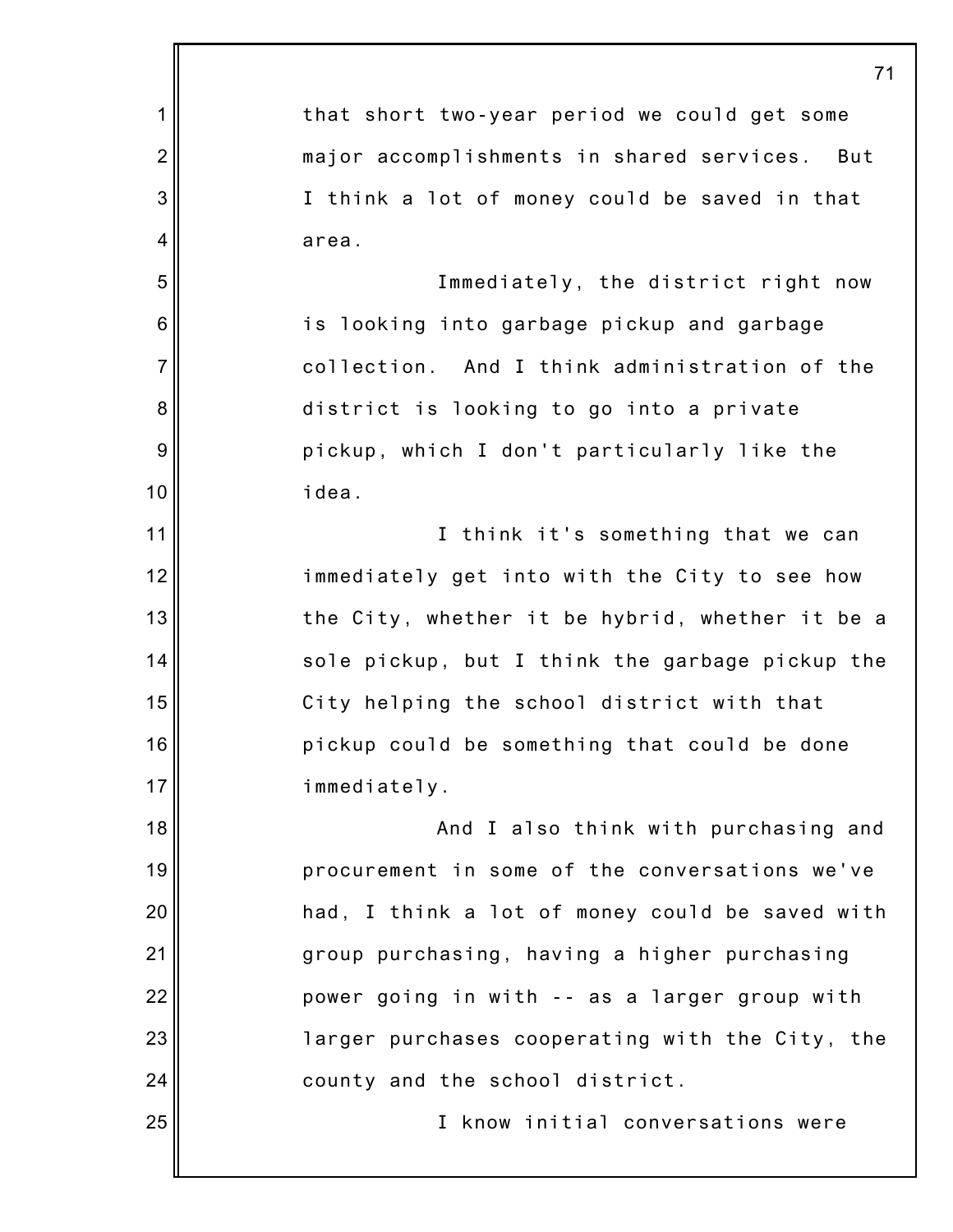|                  | 71                                              |
|------------------|-------------------------------------------------|
| 1                | that short two-year period we could get some    |
| $\overline{2}$   | major accomplishments in shared services. But   |
| 3                | I think a lot of money could be saved in that   |
| 4                | area.                                           |
| 5                | Immediately, the district right now             |
| $\,6$            | is looking into garbage pickup and garbage      |
| $\overline{7}$   | collection. And I think administration of the   |
| 8                | district is looking to go into a private        |
| $\boldsymbol{9}$ | pickup, which I don't particularly like the     |
| 10               | idea.                                           |
| 11               | I think it's something that we can              |
| 12               | immediately get into with the City to see how   |
| 13               | the City, whether it be hybrid, whether it be a |
| 14               | sole pickup, but I think the garbage pickup the |
| 15               | City helping the school district with that      |
| 16               | pickup could be something that could be done    |
| 17               | immediately.                                    |
| 18               | And I also think with purchasing and            |
| 19               | procurement in some of the conversations we've  |
| 20               | had, I think a lot of money could be saved with |
| 21               | group purchasing, having a higher purchasing    |
| 22               | power going in with -- as a larger group with   |
| 23               | larger purchases cooperating with the City, the |
| 24               | county and the school district.                 |
| 25               | I know initial conversations were               |
|                  |                                                 |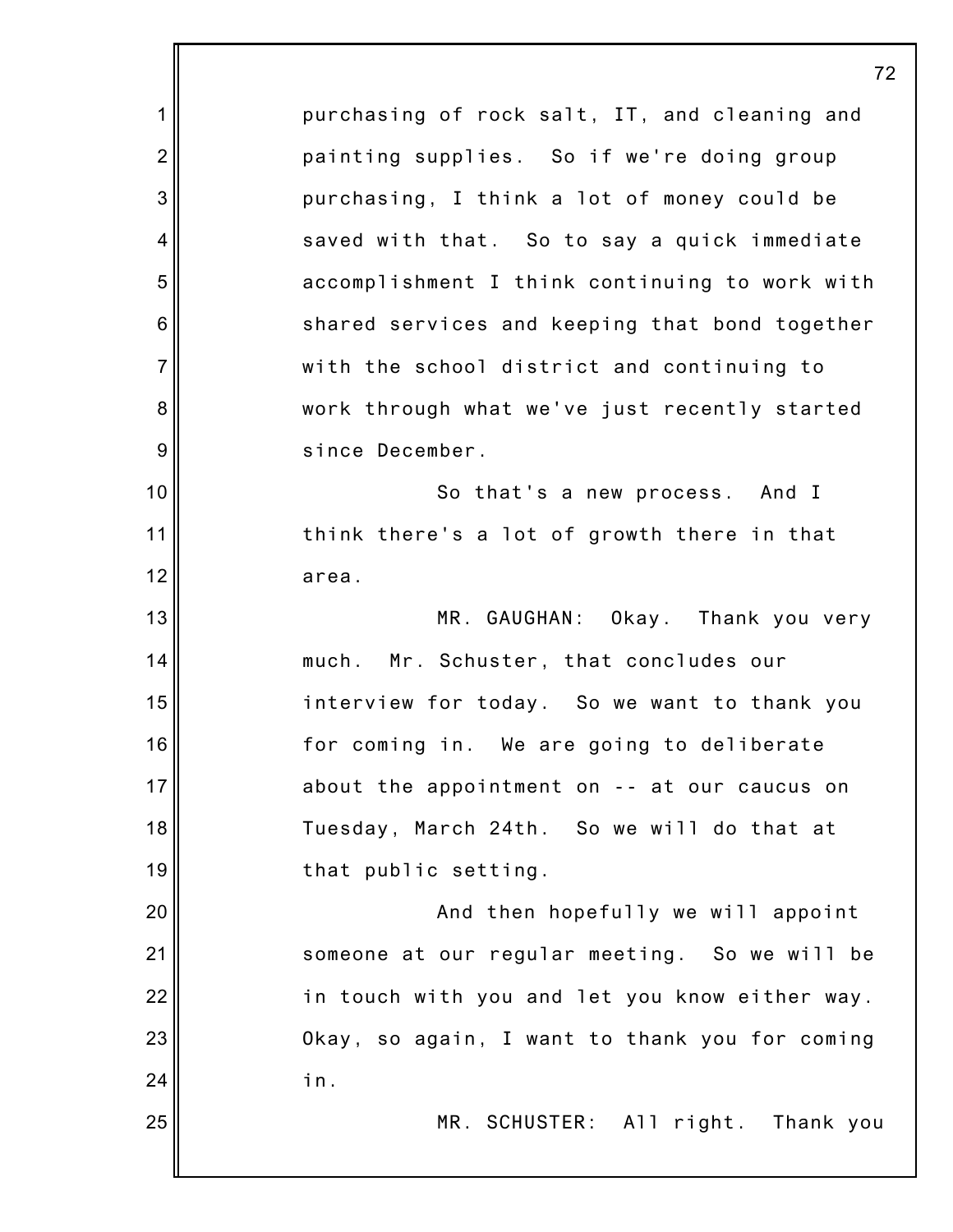1 2 3 4 5 6 7 8 9 10 11 12 13 14 15 16 17 18 19 20 21 22 23 24 25 72 purchasing of rock salt, IT, and cleaning and painting supplies. So if we're doing group purchasing, I think a lot of money could be saved with that. So to say a quick immediate accomplishment I think continuing to work with shared services and keeping that bond together with the school district and continuing to work through what we've just recently started since December. So that's a new process. And I think there's a lot of growth there in that area. MR. GAUGHAN: Okay. Thank you very much. Mr. Schuster, that concludes our interview for today. So we want to thank you for coming in. We are going to deliberate about the appointment on -- at our caucus on Tuesday, March 24th. So we will do that at that public setting. And then hopefully we will appoint someone at our regular meeting. So we will be in touch with you and let you know either way. Okay, so again, I want to thank you for coming in. MR. SCHUSTER: All right. Thank you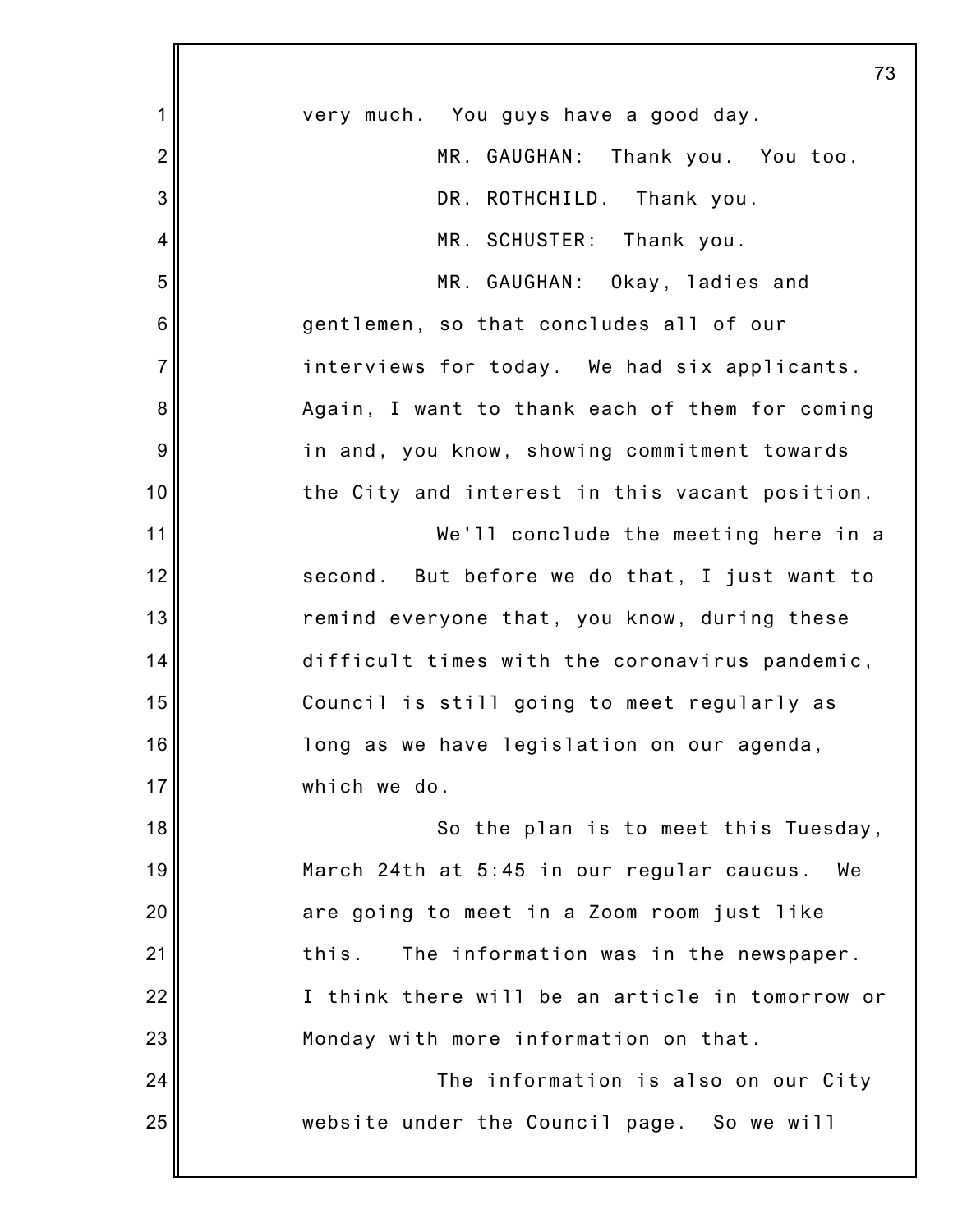|                | 73                                              |
|----------------|-------------------------------------------------|
| 1              | very much. You guys have a good day.            |
| $\overline{2}$ | MR. GAUGHAN: Thank you. You too.                |
| 3              | DR. ROTHCHILD. Thank you.                       |
| 4              | MR. SCHUSTER: Thank you.                        |
| 5              | MR. GAUGHAN: Okay, ladies and                   |
| 6              | gentlemen, so that concludes all of our         |
| $\overline{7}$ | interviews for today. We had six applicants.    |
| 8              | Again, I want to thank each of them for coming  |
| 9              | in and, you know, showing commitment towards    |
| 10             | the City and interest in this vacant position.  |
| 11             | We'll conclude the meeting here in a            |
| 12             | second. But before we do that, I just want to   |
| 13             | remind everyone that, you know, during these    |
| 14             | difficult times with the coronavirus pandemic,  |
| 15             | Council is still going to meet regularly as     |
| 16             | long as we have legislation on our agenda,      |
| 17             | which we do.                                    |
| 18             | So the plan is to meet this Tuesday,            |
| 19             | March 24th at 5:45 in our regular caucus.<br>We |
| 20             | are going to meet in a Zoom room just like      |
| 21             | The information was in the newspaper.<br>this.  |
| 22             | I think there will be an article in tomorrow or |
| 23             | Monday with more information on that.           |
| 24             | The information is also on our City             |
| 25             | website under the Council page. So we will      |
|                |                                                 |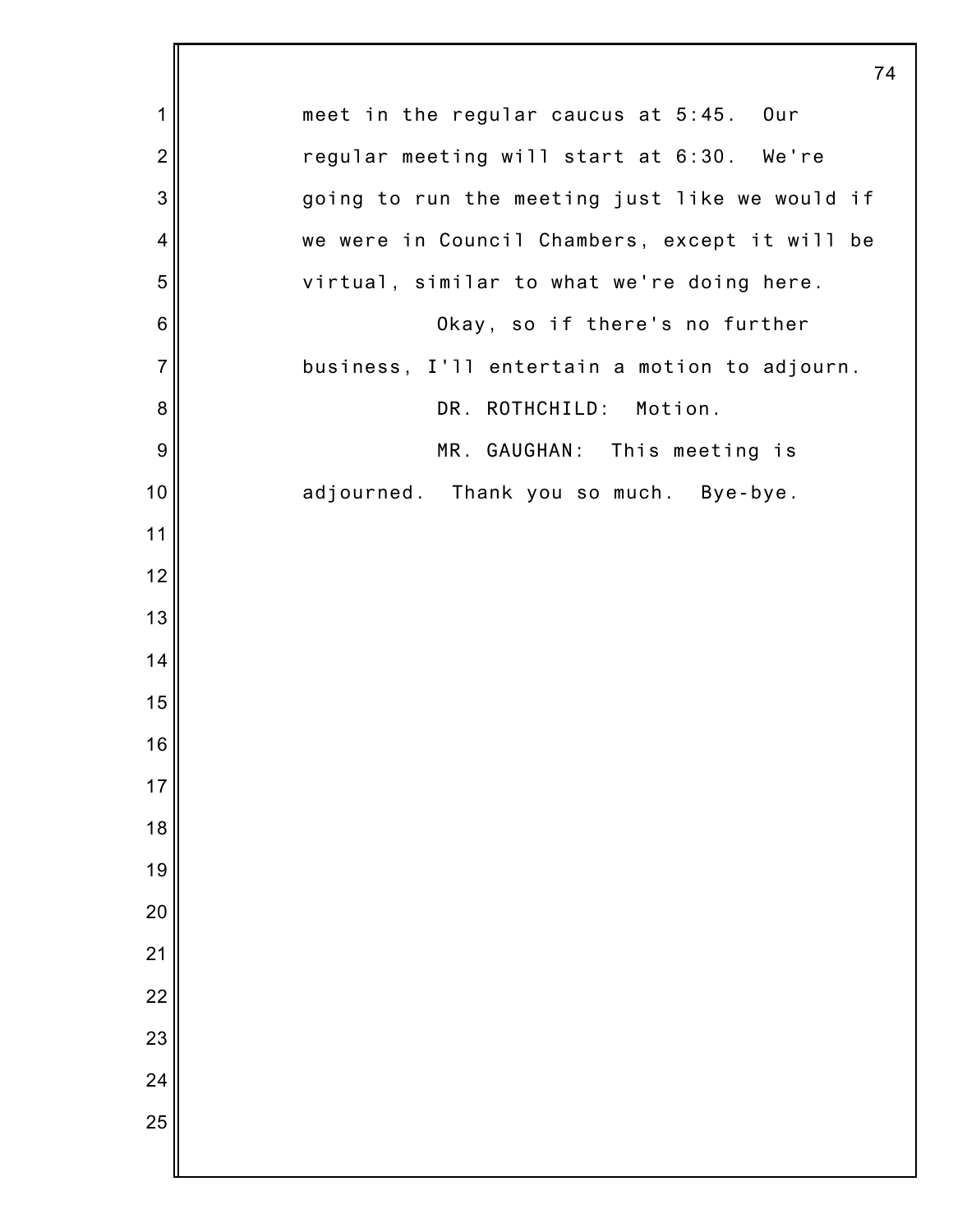|                 | 74                                             |
|-----------------|------------------------------------------------|
| $\mathbf 1$     | meet in the regular caucus at 5:45. Our        |
| $\overline{2}$  | regular meeting will start at 6:30. We're      |
| 3               | going to run the meeting just like we would if |
| 4               | we were in Council Chambers, except it will be |
| 5               | virtual, similar to what we're doing here.     |
| $6\phantom{1}6$ | Okay, so if there's no further                 |
| $\overline{7}$  | business, I'll entertain a motion to adjourn.  |
| 8               | DR. ROTHCHILD: Motion.                         |
| $\overline{9}$  | MR. GAUGHAN: This meeting is                   |
| 10              | adjourned. Thank you so much. Bye-bye.         |
| 11              |                                                |
| 12              |                                                |
| 13              |                                                |
| 14              |                                                |
| 15              |                                                |
| 16              |                                                |
| 17              |                                                |
| 18              |                                                |
| 19              |                                                |
| 20              |                                                |
| 21              |                                                |
| 22              |                                                |
| 23              |                                                |
| 24              |                                                |
| 25              |                                                |
|                 |                                                |